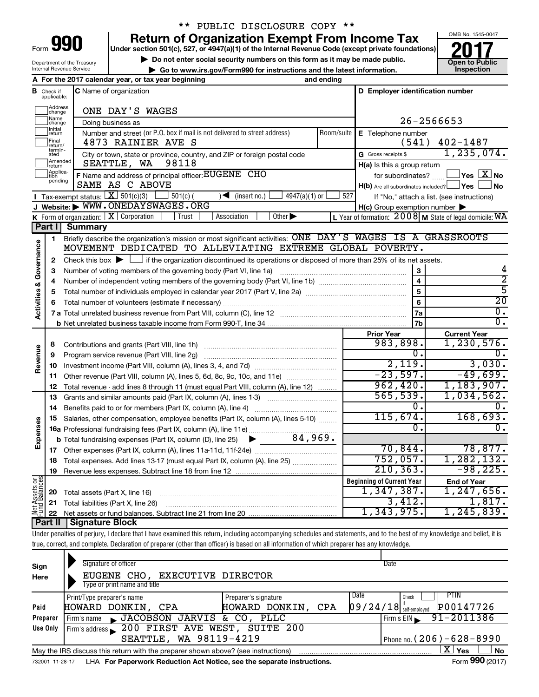| Form |  |
|------|--|
|      |  |

# \*\* PUBLIC DISCLOSURE COPY \*\*

**Under section 501(c), 527, or 4947(a)(1) of the Internal Revenue Code (except private foundations) 990 Return of Organization Exempt From Income Tax 1990 2017 Divide the section 501(c)**, 527, or 4947(a)(1) of the Internal Revenue Code (except private foundations) **2017** 

▶ Do not enter social security numbers on this form as it may be made public.<br>► Go to www.irs.gov/Form990 for instructions and the latest information. **Development of Public** 

**| Go to www.irs.gov/Form990 for instructions and the latest information. Inspection**



Department of the Treasury Internal Revenue Service

|                         |                                  | A For the 2017 calendar year, or tax year beginning                                                                                                                        | and ending |                                                     |                                                             |
|-------------------------|----------------------------------|----------------------------------------------------------------------------------------------------------------------------------------------------------------------------|------------|-----------------------------------------------------|-------------------------------------------------------------|
|                         | <b>B</b> Check if<br>applicable: | C Name of organization                                                                                                                                                     |            | D Employer identification number                    |                                                             |
|                         | Address<br>change                | ONE DAY'S WAGES                                                                                                                                                            |            |                                                     |                                                             |
|                         | ]Name<br>]change                 | Doing business as                                                                                                                                                          |            |                                                     | 26-2566653                                                  |
|                         | Initial<br>return                | Number and street (or P.O. box if mail is not delivered to street address)                                                                                                 | Room/suite | E Telephone number                                  |                                                             |
|                         | Final<br>return/                 | 4873 RAINIER AVE S                                                                                                                                                         |            | (541)                                               | $402 - 1487$                                                |
|                         | termin-<br>ated                  | City or town, state or province, country, and ZIP or foreign postal code                                                                                                   |            | G Gross receipts \$                                 | 1, 235, 074.                                                |
|                         | Amended<br> return               | SEATTLE, WA<br>98118                                                                                                                                                       |            | H(a) Is this a group return                         |                                                             |
|                         | Applica-<br>Ition                | F Name and address of principal officer: EUGENE CHO                                                                                                                        |            | for subordinates?                                   | $\Box$ Yes $\Box X$ No                                      |
|                         | pending                          | SAME AS C ABOVE                                                                                                                                                            |            | H(b) Are all subordinates included? Ves             | J No                                                        |
|                         |                                  | Tax-exempt status: $X \overline{301(c)(3)}$<br>$501(c)$ (<br>$4947(a)(1)$ or<br>$(\text{insert no.})$                                                                      | 527        |                                                     | If "No," attach a list. (see instructions)                  |
|                         |                                  | J Website: WWW.ONEDAYSWAGES.ORG                                                                                                                                            |            | $H(c)$ Group exemption number $\blacktriangleright$ |                                                             |
|                         |                                  | K Form of organization: $X$ Corporation<br>Other $\blacktriangleright$<br>Association<br>Trust                                                                             |            |                                                     | L Year of formation: $2008$ M State of legal domicile: $WA$ |
|                         | Part I                           | <b>Summary</b>                                                                                                                                                             |            |                                                     |                                                             |
|                         | 1                                | Briefly describe the organization's mission or most significant activities: ONE DAY'S WAGES IS A GRASSROOTS                                                                |            |                                                     |                                                             |
| Governance              |                                  | MOVEMENT DEDICATED TO ALLEVIATING EXTREME GLOBAL POVERTY.                                                                                                                  |            |                                                     |                                                             |
|                         | 2                                | Check this box $\blacktriangleright$ $\Box$ if the organization discontinued its operations or disposed of more than 25% of its net assets.                                |            |                                                     |                                                             |
|                         | 3                                |                                                                                                                                                                            |            | 3                                                   | 4<br>2                                                      |
|                         | 4                                |                                                                                                                                                                            |            | $\overline{\mathbf{4}}$                             | $\overline{5}$                                              |
|                         | 5                                |                                                                                                                                                                            |            | 5                                                   | $\overline{20}$                                             |
| <b>Activities &amp;</b> | 6                                |                                                                                                                                                                            |            | 6                                                   | $\overline{0}$ .                                            |
|                         |                                  |                                                                                                                                                                            |            | 7a                                                  | $\overline{0}$ .                                            |
|                         |                                  |                                                                                                                                                                            |            | 7b                                                  |                                                             |
|                         |                                  |                                                                                                                                                                            |            | <b>Prior Year</b><br>983,898.                       | <b>Current Year</b><br>1, 230, 576.                         |
| Revenue                 | 8<br>9                           | Program service revenue (Part VIII, line 2g)                                                                                                                               |            | $\overline{0}$ .                                    |                                                             |
|                         | 10                               |                                                                                                                                                                            |            | 2,119.                                              | 3,030.                                                      |
|                         | 11                               | Other revenue (Part VIII, column (A), lines 5, 6d, 8c, 9c, 10c, and 11e)                                                                                                   |            | $-23,597.$                                          | $-49,699.$                                                  |
|                         | 12                               | Total revenue - add lines 8 through 11 (must equal Part VIII, column (A), line 12)                                                                                         |            | 962, 420.                                           | 1,183,907.                                                  |
|                         | 13                               | Grants and similar amounts paid (Part IX, column (A), lines 1-3) <i></i>                                                                                                   |            | 565,539.                                            | 1,034,562.                                                  |
|                         | 14                               |                                                                                                                                                                            |            | 0.                                                  |                                                             |
|                         | 15                               | Salaries, other compensation, employee benefits (Part IX, column (A), lines 5-10)                                                                                          |            | 115,674.                                            | 168,693.                                                    |
|                         |                                  | 16a Professional fundraising fees (Part IX, column (A), line 11e)                                                                                                          |            | 0.                                                  | 0.                                                          |
| Expenses                |                                  |                                                                                                                                                                            |            |                                                     |                                                             |
|                         |                                  |                                                                                                                                                                            |            | 70,844.                                             | 78,877.                                                     |
|                         |                                  | 18 Total expenses. Add lines 13-17 (must equal Part IX, column (A), line 25)                                                                                               |            | 752,057.                                            | 1, 282, 132.                                                |
|                         |                                  | 19 Revenue less expenses. Subtract line 18 from line 12                                                                                                                    |            | 210, 363.                                           | $-98,225.$                                                  |
| Net Assets or           |                                  |                                                                                                                                                                            |            | <b>Beginning of Current Year</b>                    | <b>End of Year</b>                                          |
|                         | 20                               | Total assets (Part X, line 16)                                                                                                                                             |            | 1,347,387.                                          | 1, 247, 656.                                                |
|                         | 21                               | Total liabilities (Part X, line 26)                                                                                                                                        |            | 3,412.                                              | 1,817.                                                      |
|                         | 22                               |                                                                                                                                                                            |            | 1,343,975.                                          | 1, 245, 839.                                                |
|                         | Part II                          | <b>Signature Block</b>                                                                                                                                                     |            |                                                     |                                                             |
|                         |                                  | Under penalties of perjury, I declare that I have examined this return, including accompanying schedules and statements, and to the best of my knowledge and belief, it is |            |                                                     |                                                             |
|                         |                                  | true, correct, and complete. Declaration of preparer (other than officer) is based on all information of which preparer has any knowledge.                                 |            |                                                     |                                                             |
|                         |                                  |                                                                                                                                                                            |            |                                                     |                                                             |

|          | May the IRS discuss this return with the preparer shown above? (see instructions) |                              | ΧI<br>No<br>Yes                                    |
|----------|-----------------------------------------------------------------------------------|------------------------------|----------------------------------------------------|
|          | SEATTLE, WA 98119-4219                                                            |                              | Phone no. (206) – 628–8990                         |
| Use Only | Firm's address 200 FIRST AVE WEST, SUITE 200                                      |                              |                                                    |
| Preparer | JACOBSON JARVIS & CO, PLLC<br>Firm's name                                         |                              | $91 - 2011386$<br>Firm's EIN                       |
| Paid     | HOWARD DONKIN, CPA                                                                | HOWARD DONKIN,<br>CPA        | $\left 09/24/18\right $ self-employed<br>P00147726 |
|          | Print/Type preparer's name                                                        | Date<br>Preparer's signature | PTIN<br>Check                                      |
|          | Type or print name and title                                                      |                              |                                                    |
| Here     | EUGENE CHO,<br><b>EXECUTIVE DIRECTOR</b>                                          |                              |                                                    |
| Sign     | Signature of officer                                                              |                              | Date                                               |
|          |                                                                                   |                              |                                                    |

732001 11-28-17 **For Paperwork Reduction Act Notice, see the separate instructions.** LHA Form (2017)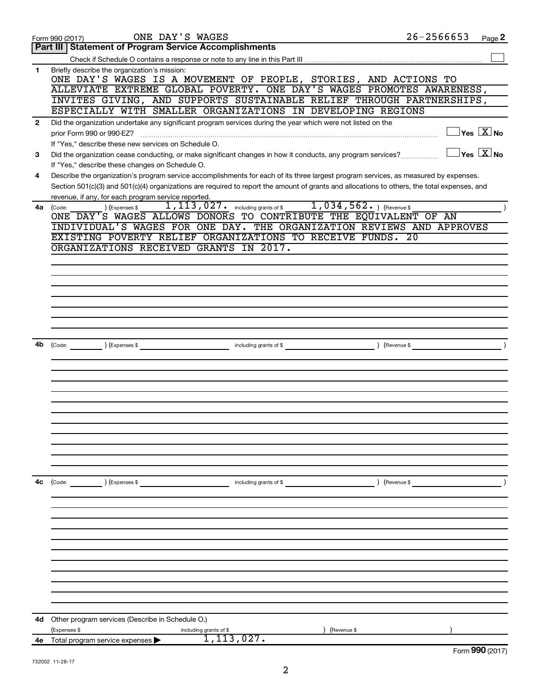|              | ONE DAY'S WAGES<br>Form 990 (2017)                                                                                                                                                      | $26 - 2566653$ | Page 2                                  |
|--------------|-----------------------------------------------------------------------------------------------------------------------------------------------------------------------------------------|----------------|-----------------------------------------|
|              | <b>Part III   Statement of Program Service Accomplishments</b>                                                                                                                          |                |                                         |
|              |                                                                                                                                                                                         |                |                                         |
| 1            | Briefly describe the organization's mission:<br>ONE DAY'S WAGES IS A MOVEMENT OF PEOPLE, STORIES, AND ACTIONS TO                                                                        |                |                                         |
|              | ALLEVIATE EXTREME GLOBAL POVERTY. ONE DAY'S WAGES PROMOTES AWARENESS,                                                                                                                   |                |                                         |
|              | INVITES GIVING, AND SUPPORTS SUSTAINABLE RELIEF THROUGH PARTNERSHIPS,                                                                                                                   |                |                                         |
|              | ESPECIALLY WITH SMALLER ORGANIZATIONS IN DEVELOPING REGIONS                                                                                                                             |                |                                         |
| $\mathbf{2}$ | Did the organization undertake any significant program services during the year which were not listed on the<br>prior Form 990 or 990-EZ?                                               |                | $\Box$ Yes $[\overline{\mathrm{X}}]$ No |
|              | If "Yes," describe these new services on Schedule O.                                                                                                                                    |                |                                         |
| 3            | Did the organization cease conducting, or make significant changes in how it conducts, any program services?                                                                            |                | $\Box$ Yes $[\overline{\mathrm{X}}]$ No |
| 4            | If "Yes," describe these changes on Schedule O.<br>Describe the organization's program service accomplishments for each of its three largest program services, as measured by expenses. |                |                                         |
|              | Section 501(c)(3) and 501(c)(4) organizations are required to report the amount of grants and allocations to others, the total expenses, and                                            |                |                                         |
|              | revenue, if any, for each program service reported.<br>1, 113, 027. including grants of \$1, 034, 562. ) (Revenue \$                                                                    |                |                                         |
| 4a           | ) (Expenses \$<br>(Code:<br>ONE DAY'S WAGES ALLOWS DONORS TO CONTRIBUTE THE EQUIVALENT OF AN                                                                                            |                |                                         |
|              | INDIVIDUAL'S WAGES FOR ONE DAY. THE ORGANIZATION REVIEWS AND APPROVES                                                                                                                   |                |                                         |
|              | EXISTING POVERTY RELIEF ORGANIZATIONS TO RECEIVE FUNDS. 20                                                                                                                              |                |                                         |
|              | ORGANIZATIONS RECEIVED GRANTS IN 2017.                                                                                                                                                  |                |                                         |
|              |                                                                                                                                                                                         |                |                                         |
|              |                                                                                                                                                                                         |                |                                         |
|              |                                                                                                                                                                                         |                |                                         |
|              |                                                                                                                                                                                         |                |                                         |
|              |                                                                                                                                                                                         |                |                                         |
|              |                                                                                                                                                                                         |                |                                         |
|              |                                                                                                                                                                                         |                |                                         |
| 4b           | including grants of \$<br>(Code: ) (Expenses \$                                                                                                                                         |                | $\overline{\phantom{a}}$                |
|              |                                                                                                                                                                                         |                |                                         |
|              |                                                                                                                                                                                         |                |                                         |
|              |                                                                                                                                                                                         |                |                                         |
|              |                                                                                                                                                                                         |                |                                         |
|              |                                                                                                                                                                                         |                |                                         |
|              |                                                                                                                                                                                         |                |                                         |
|              |                                                                                                                                                                                         |                |                                         |
|              |                                                                                                                                                                                         |                |                                         |
|              |                                                                                                                                                                                         |                |                                         |
|              |                                                                                                                                                                                         |                |                                         |
|              |                                                                                                                                                                                         |                |                                         |
|              |                                                                                                                                                                                         |                |                                         |
| 4c           | (Code: ) (Expenses \$<br>including grants of \$                                                                                                                                         | ) (Revenue \$  |                                         |
|              |                                                                                                                                                                                         |                |                                         |
|              |                                                                                                                                                                                         |                |                                         |
|              |                                                                                                                                                                                         |                |                                         |
|              |                                                                                                                                                                                         |                |                                         |
|              |                                                                                                                                                                                         |                |                                         |
|              |                                                                                                                                                                                         |                |                                         |
|              |                                                                                                                                                                                         |                |                                         |
|              |                                                                                                                                                                                         |                |                                         |
|              |                                                                                                                                                                                         |                |                                         |
|              |                                                                                                                                                                                         |                |                                         |
|              |                                                                                                                                                                                         |                |                                         |
| 4d           | Other program services (Describe in Schedule O.)                                                                                                                                        |                |                                         |
|              | (Expenses \$<br>(Revenue \$<br>including grants of \$                                                                                                                                   |                |                                         |
|              | 1,113,027.<br>4e Total program service expenses >                                                                                                                                       |                |                                         |
|              |                                                                                                                                                                                         |                | Form 990 (2017)                         |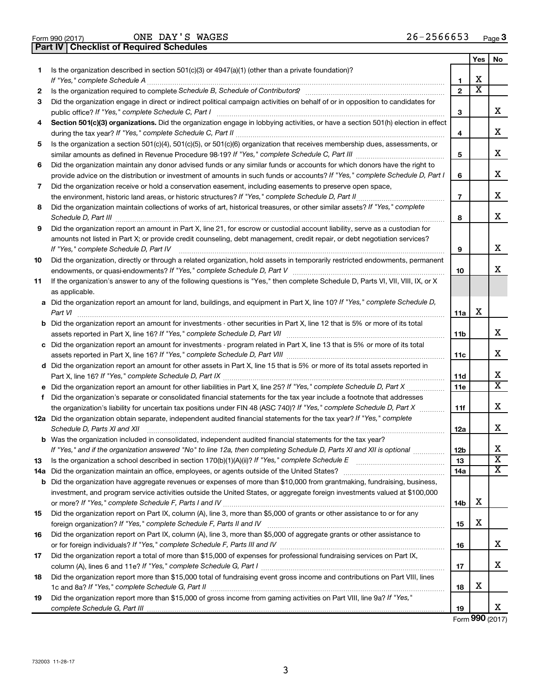| Form 990 (2017) |  |  |
|-----------------|--|--|

ONE DAY'S WAGES 26-2566653

**Part IV Checklist of Required Schedules**

|     |                                                                                                                                                                                                                                                        |                 | Yes | No                    |
|-----|--------------------------------------------------------------------------------------------------------------------------------------------------------------------------------------------------------------------------------------------------------|-----------------|-----|-----------------------|
| 1.  | Is the organization described in section $501(c)(3)$ or $4947(a)(1)$ (other than a private foundation)?                                                                                                                                                |                 |     |                       |
|     | If "Yes," complete Schedule A                                                                                                                                                                                                                          | 1               | x   |                       |
| 2   |                                                                                                                                                                                                                                                        | $\mathbf{2}$    | х   |                       |
| 3   | Did the organization engage in direct or indirect political campaign activities on behalf of or in opposition to candidates for                                                                                                                        |                 |     | X.                    |
|     | public office? If "Yes," complete Schedule C, Part I<br>Section 501(c)(3) organizations. Did the organization engage in lobbying activities, or have a section 501(h) election in effect                                                               | З               |     |                       |
| 4   | during the tax year? If "Yes," complete Schedule C, Part II                                                                                                                                                                                            | 4               |     | x                     |
| 5   | Is the organization a section 501(c)(4), 501(c)(5), or 501(c)(6) organization that receives membership dues, assessments, or                                                                                                                           |                 |     |                       |
|     |                                                                                                                                                                                                                                                        | 5               |     | X.                    |
| 6   | Did the organization maintain any donor advised funds or any similar funds or accounts for which donors have the right to                                                                                                                              |                 |     |                       |
|     | provide advice on the distribution or investment of amounts in such funds or accounts? If "Yes," complete Schedule D, Part I                                                                                                                           | 6               |     | x                     |
| 7   | Did the organization receive or hold a conservation easement, including easements to preserve open space,                                                                                                                                              |                 |     |                       |
|     | the environment, historic land areas, or historic structures? If "Yes," complete Schedule D, Part II                                                                                                                                                   | $\overline{7}$  |     | х                     |
| 8   | Did the organization maintain collections of works of art, historical treasures, or other similar assets? If "Yes," complete<br>Schedule D, Part III                                                                                                   | 8               |     | x                     |
| 9   | Did the organization report an amount in Part X, line 21, for escrow or custodial account liability, serve as a custodian for                                                                                                                          |                 |     |                       |
|     | amounts not listed in Part X; or provide credit counseling, debt management, credit repair, or debt negotiation services?                                                                                                                              |                 |     |                       |
|     | If "Yes," complete Schedule D, Part IV                                                                                                                                                                                                                 | 9               |     | x                     |
| 10  | Did the organization, directly or through a related organization, hold assets in temporarily restricted endowments, permanent                                                                                                                          |                 |     |                       |
|     |                                                                                                                                                                                                                                                        | 10              |     | X.                    |
| 11  | If the organization's answer to any of the following questions is "Yes," then complete Schedule D, Parts VI, VII, VIII, IX, or X                                                                                                                       |                 |     |                       |
|     | as applicable.                                                                                                                                                                                                                                         |                 |     |                       |
|     | a Did the organization report an amount for land, buildings, and equipment in Part X, line 10? If "Yes," complete Schedule D,<br>Part VI                                                                                                               | 11a             | х   |                       |
|     | <b>b</b> Did the organization report an amount for investments - other securities in Part X, line 12 that is 5% or more of its total                                                                                                                   |                 |     |                       |
|     |                                                                                                                                                                                                                                                        | 11b             |     | x                     |
|     | c Did the organization report an amount for investments - program related in Part X, line 13 that is 5% or more of its total                                                                                                                           |                 |     |                       |
|     |                                                                                                                                                                                                                                                        | 11c             |     | х                     |
|     | d Did the organization report an amount for other assets in Part X, line 15 that is 5% or more of its total assets reported in                                                                                                                         |                 |     |                       |
|     |                                                                                                                                                                                                                                                        | 11d             |     | x.                    |
|     | e Did the organization report an amount for other liabilities in Part X, line 25? If "Yes," complete Schedule D, Part X                                                                                                                                | 11e             |     | х                     |
| f   | Did the organization's separate or consolidated financial statements for the tax year include a footnote that addresses                                                                                                                                |                 |     |                       |
|     | the organization's liability for uncertain tax positions under FIN 48 (ASC 740)? If "Yes," complete Schedule D, Part X                                                                                                                                 | 11f             |     | x                     |
|     | 12a Did the organization obtain separate, independent audited financial statements for the tax year? If "Yes," complete<br>Schedule D, Parts XI and XII                                                                                                |                 |     | x                     |
|     |                                                                                                                                                                                                                                                        | 12a             |     |                       |
|     | <b>b</b> Was the organization included in consolidated, independent audited financial statements for the tax year?<br>If "Yes," and if the organization answered "No" to line 12a, then completing Schedule D, Parts XI and XII is optional <i>www</i> | 12 <sub>b</sub> |     | x                     |
| 13  |                                                                                                                                                                                                                                                        | 13              |     | $\overline{\text{x}}$ |
| 14a |                                                                                                                                                                                                                                                        | 14a             |     | х                     |
|     | <b>b</b> Did the organization have aggregate revenues or expenses of more than \$10,000 from grantmaking, fundraising, business,                                                                                                                       |                 |     |                       |
|     | investment, and program service activities outside the United States, or aggregate foreign investments valued at \$100,000                                                                                                                             |                 |     |                       |
|     |                                                                                                                                                                                                                                                        | 14b             | X   |                       |
| 15  | Did the organization report on Part IX, column (A), line 3, more than \$5,000 of grants or other assistance to or for any                                                                                                                              |                 |     |                       |
|     |                                                                                                                                                                                                                                                        | 15              | X   |                       |
| 16  | Did the organization report on Part IX, column (A), line 3, more than \$5,000 of aggregate grants or other assistance to                                                                                                                               |                 |     |                       |
|     |                                                                                                                                                                                                                                                        | 16              |     | X.                    |
| 17  | Did the organization report a total of more than \$15,000 of expenses for professional fundraising services on Part IX,                                                                                                                                |                 |     |                       |
|     |                                                                                                                                                                                                                                                        | 17              |     | x                     |
| 18  | Did the organization report more than \$15,000 total of fundraising event gross income and contributions on Part VIII, lines                                                                                                                           |                 |     |                       |
|     |                                                                                                                                                                                                                                                        | 18              | X   |                       |
| 19  | Did the organization report more than \$15,000 of gross income from gaming activities on Part VIII, line 9a? If "Yes,"                                                                                                                                 |                 |     |                       |
|     |                                                                                                                                                                                                                                                        | 19              |     | x                     |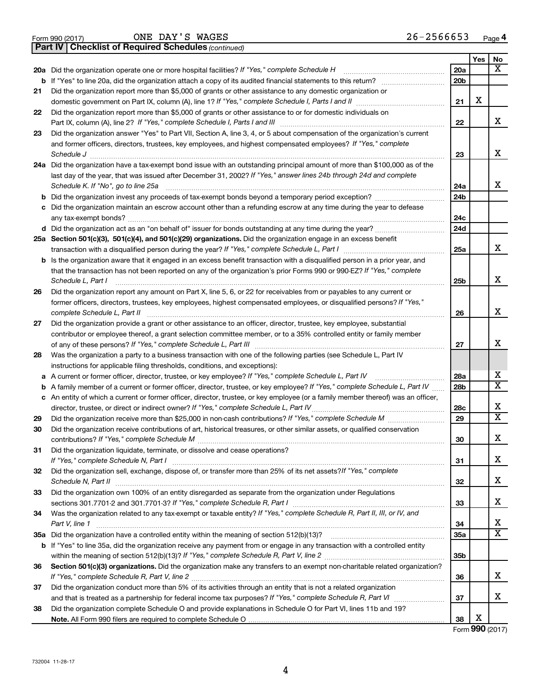|  | Form 990 (2017) |
|--|-----------------|
|  |                 |

ONE DAY'S WAGES 26-2566653

**Part IV Checklist of Required Schedules**

*(continued)*

|    |                                                                                                                                                                                                                                                                 |                        | Yes | No                      |
|----|-----------------------------------------------------------------------------------------------------------------------------------------------------------------------------------------------------------------------------------------------------------------|------------------------|-----|-------------------------|
|    | 20a Did the organization operate one or more hospital facilities? If "Yes," complete Schedule H                                                                                                                                                                 | 20a                    |     | $\overline{\mathbf{x}}$ |
|    | <b>b</b> If "Yes" to line 20a, did the organization attach a copy of its audited financial statements to this return?                                                                                                                                           | 20 <sub>b</sub>        |     |                         |
| 21 | Did the organization report more than \$5,000 of grants or other assistance to any domestic organization or                                                                                                                                                     |                        |     |                         |
|    | domestic government on Part IX, column (A), line 1? If "Yes," complete Schedule I, Parts I and II                                                                                                                                                               | 21                     | X   |                         |
| 22 | Did the organization report more than \$5,000 of grants or other assistance to or for domestic individuals on                                                                                                                                                   |                        |     |                         |
|    | Part IX, column (A), line 2? If "Yes," complete Schedule I, Parts I and III                                                                                                                                                                                     | 22                     |     | X                       |
| 23 | Did the organization answer "Yes" to Part VII, Section A, line 3, 4, or 5 about compensation of the organization's current                                                                                                                                      |                        |     |                         |
|    | and former officers, directors, trustees, key employees, and highest compensated employees? If "Yes," complete                                                                                                                                                  |                        |     | X                       |
|    |                                                                                                                                                                                                                                                                 | 23                     |     |                         |
|    | 24a Did the organization have a tax-exempt bond issue with an outstanding principal amount of more than \$100,000 as of the<br>last day of the year, that was issued after December 31, 2002? If "Yes," answer lines 24b through 24d and complete               |                        |     |                         |
|    | Schedule K. If "No", go to line 25a                                                                                                                                                                                                                             | 24a                    |     | x                       |
| b  | Did the organization invest any proceeds of tax-exempt bonds beyond a temporary period exception?                                                                                                                                                               | 24 <sub>b</sub>        |     |                         |
| с  | Did the organization maintain an escrow account other than a refunding escrow at any time during the year to defease                                                                                                                                            |                        |     |                         |
|    | any tax-exempt bonds?                                                                                                                                                                                                                                           | 24c                    |     |                         |
|    |                                                                                                                                                                                                                                                                 | 24d                    |     |                         |
|    | 25a Section 501(c)(3), 501(c)(4), and 501(c)(29) organizations. Did the organization engage in an excess benefit                                                                                                                                                |                        |     |                         |
|    |                                                                                                                                                                                                                                                                 | 25a                    |     | X                       |
| b  | Is the organization aware that it engaged in an excess benefit transaction with a disqualified person in a prior year, and                                                                                                                                      |                        |     |                         |
|    | that the transaction has not been reported on any of the organization's prior Forms 990 or 990-EZ? If "Yes," complete                                                                                                                                           |                        |     |                         |
|    | Schedule L, Part I                                                                                                                                                                                                                                              | 25b                    |     | X                       |
| 26 | Did the organization report any amount on Part X, line 5, 6, or 22 for receivables from or payables to any current or                                                                                                                                           |                        |     |                         |
|    | former officers, directors, trustees, key employees, highest compensated employees, or disqualified persons? If "Yes,"                                                                                                                                          |                        |     |                         |
|    | complete Schedule L, Part II                                                                                                                                                                                                                                    | 26                     |     | x                       |
| 27 | Did the organization provide a grant or other assistance to an officer, director, trustee, key employee, substantial                                                                                                                                            |                        |     |                         |
|    | contributor or employee thereof, a grant selection committee member, or to a 35% controlled entity or family member                                                                                                                                             |                        |     |                         |
|    |                                                                                                                                                                                                                                                                 | 27                     |     | х                       |
| 28 | Was the organization a party to a business transaction with one of the following parties (see Schedule L, Part IV                                                                                                                                               |                        |     |                         |
|    | instructions for applicable filing thresholds, conditions, and exceptions):                                                                                                                                                                                     |                        |     | х                       |
| а  | A current or former officer, director, trustee, or key employee? If "Yes," complete Schedule L, Part IV                                                                                                                                                         | 28a<br>28 <sub>b</sub> |     | $\overline{\mathbf{x}}$ |
| b  | A family member of a current or former officer, director, trustee, or key employee? If "Yes," complete Schedule L, Part IV<br>c An entity of which a current or former officer, director, trustee, or key employee (or a family member thereof) was an officer, |                        |     |                         |
|    | director, trustee, or direct or indirect owner? If "Yes," complete Schedule L, Part IV                                                                                                                                                                          | 28c                    |     | X                       |
| 29 |                                                                                                                                                                                                                                                                 | 29                     |     | $\overline{\mathbf{X}}$ |
| 30 | Did the organization receive contributions of art, historical treasures, or other similar assets, or qualified conservation                                                                                                                                     |                        |     |                         |
|    |                                                                                                                                                                                                                                                                 | 30                     |     | X                       |
| 31 | Did the organization liquidate, terminate, or dissolve and cease operations?                                                                                                                                                                                    |                        |     |                         |
|    | If "Yes," complete Schedule N, Part I                                                                                                                                                                                                                           | 31                     |     | X                       |
| 32 | Did the organization sell, exchange, dispose of, or transfer more than 25% of its net assets? If "Yes," complete                                                                                                                                                |                        |     |                         |
|    |                                                                                                                                                                                                                                                                 | 32                     |     | x                       |
| 33 | Did the organization own 100% of an entity disregarded as separate from the organization under Regulations                                                                                                                                                      |                        |     |                         |
|    |                                                                                                                                                                                                                                                                 | 33                     |     | x                       |
| 34 | Was the organization related to any tax-exempt or taxable entity? If "Yes," complete Schedule R, Part II, III, or IV, and                                                                                                                                       |                        |     |                         |
|    | Part V, line 1                                                                                                                                                                                                                                                  | 34                     |     | X                       |
|    |                                                                                                                                                                                                                                                                 | 35a                    |     | $\overline{\mathbf{X}}$ |
|    | b If "Yes" to line 35a, did the organization receive any payment from or engage in any transaction with a controlled entity                                                                                                                                     |                        |     |                         |
|    |                                                                                                                                                                                                                                                                 | 35b                    |     |                         |
| 36 | Section 501(c)(3) organizations. Did the organization make any transfers to an exempt non-charitable related organization?                                                                                                                                      | 36                     |     | x                       |
| 37 | Did the organization conduct more than 5% of its activities through an entity that is not a related organization                                                                                                                                                |                        |     |                         |
|    |                                                                                                                                                                                                                                                                 | 37                     |     | x                       |
| 38 | Did the organization complete Schedule O and provide explanations in Schedule O for Part VI, lines 11b and 19?                                                                                                                                                  |                        |     |                         |
|    |                                                                                                                                                                                                                                                                 | 38                     | х   |                         |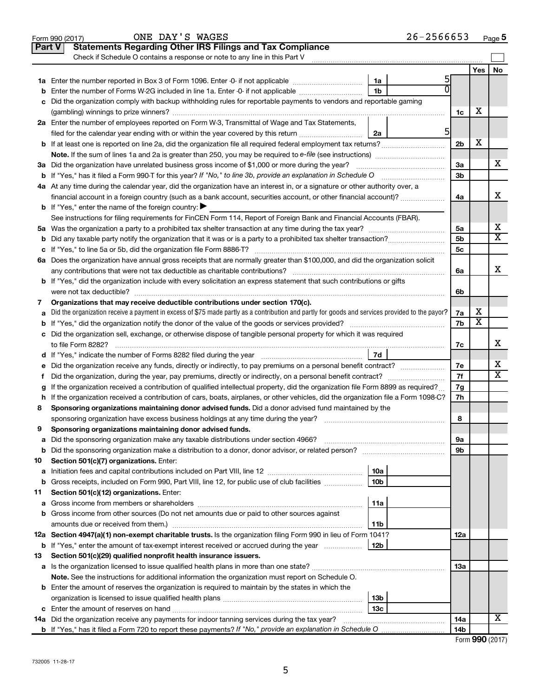|        | ONE DAY'S WAGES<br>Form 990 (2017)                                                                                                                                                                                            |                 | $26 - 2566653$ |                |                         | Page 5                  |
|--------|-------------------------------------------------------------------------------------------------------------------------------------------------------------------------------------------------------------------------------|-----------------|----------------|----------------|-------------------------|-------------------------|
| Part V | <b>Statements Regarding Other IRS Filings and Tax Compliance</b>                                                                                                                                                              |                 |                |                |                         |                         |
|        | Check if Schedule O contains a response or note to any line in this Part V                                                                                                                                                    |                 |                |                |                         |                         |
|        |                                                                                                                                                                                                                               |                 |                |                | Yes                     | No                      |
|        |                                                                                                                                                                                                                               | 1a              | 5              |                |                         |                         |
| b      | Enter the number of Forms W-2G included in line 1a. Enter -0- if not applicable                                                                                                                                               | 1b              |                |                |                         |                         |
| с      | Did the organization comply with backup withholding rules for reportable payments to vendors and reportable gaming                                                                                                            |                 |                |                |                         |                         |
|        |                                                                                                                                                                                                                               |                 |                | 1c             | х                       |                         |
|        | 2a Enter the number of employees reported on Form W-3, Transmittal of Wage and Tax Statements,                                                                                                                                |                 |                |                |                         |                         |
|        | filed for the calendar year ending with or within the year covered by this return <i>manumumumum</i>                                                                                                                          | 2a              | 5              |                |                         |                         |
|        |                                                                                                                                                                                                                               |                 |                | 2 <sub>b</sub> | X                       |                         |
|        |                                                                                                                                                                                                                               |                 |                |                |                         |                         |
|        | 3a Did the organization have unrelated business gross income of \$1,000 or more during the year?                                                                                                                              |                 |                | За             |                         | х                       |
|        | <b>b</b> If "Yes," has it filed a Form 990-T for this year? If "No," to line 3b, provide an explanation in Schedule O manumum                                                                                                 |                 |                | 3 <sub>b</sub> |                         |                         |
|        | 4a At any time during the calendar year, did the organization have an interest in, or a signature or other authority over, a                                                                                                  |                 |                |                |                         |                         |
|        | financial account in a foreign country (such as a bank account, securities account, or other financial account)?                                                                                                              |                 |                | 4a             |                         | X                       |
|        | <b>b</b> If "Yes," enter the name of the foreign country:                                                                                                                                                                     |                 |                |                |                         |                         |
|        | See instructions for filing requirements for FinCEN Form 114, Report of Foreign Bank and Financial Accounts (FBAR).                                                                                                           |                 |                |                |                         |                         |
|        |                                                                                                                                                                                                                               |                 |                | 5a             |                         | х                       |
| b      |                                                                                                                                                                                                                               |                 |                | 5 <sub>b</sub> |                         | $\overline{\textbf{x}}$ |
|        |                                                                                                                                                                                                                               |                 |                | 5 <sub>c</sub> |                         |                         |
|        | 6a Does the organization have annual gross receipts that are normally greater than \$100,000, and did the organization solicit                                                                                                |                 |                |                |                         |                         |
|        | any contributions that were not tax deductible as charitable contributions?                                                                                                                                                   |                 |                | 6a             |                         | Х                       |
|        | <b>b</b> If "Yes," did the organization include with every solicitation an express statement that such contributions or gifts                                                                                                 |                 |                |                |                         |                         |
|        | were not tax deductible?                                                                                                                                                                                                      |                 |                | 6b             |                         |                         |
| 7      | Organizations that may receive deductible contributions under section 170(c).                                                                                                                                                 |                 |                |                |                         |                         |
| a      | Did the organization receive a payment in excess of \$75 made partly as a contribution and partly for goods and services provided to the payor?                                                                               |                 |                | 7a             | х                       |                         |
|        |                                                                                                                                                                                                                               |                 |                | 7b             | $\overline{\texttt{x}}$ |                         |
|        | c Did the organization sell, exchange, or otherwise dispose of tangible personal property for which it was required                                                                                                           |                 |                |                |                         |                         |
|        | to file Form 8282?                                                                                                                                                                                                            |                 |                | 7c             |                         | х                       |
|        | d If "Yes," indicate the number of Forms 8282 filed during the year [11] [11] The Sear [11] The Sear [11] The Sear [11] The Sear [11] The Sear [11] The Sear [11] The Sear [11] The Sear [11] The Sear [11] The Sear [11] The | 7d              |                |                |                         |                         |
| е      | Did the organization receive any funds, directly or indirectly, to pay premiums on a personal benefit contract?                                                                                                               |                 |                | 7e             |                         | х                       |
| f.     | Did the organization, during the year, pay premiums, directly or indirectly, on a personal benefit contract?                                                                                                                  |                 |                | 7f             |                         | $\overline{\mathbf{X}}$ |
| g      | If the organization received a contribution of qualified intellectual property, did the organization file Form 8899 as required?                                                                                              |                 |                | 7g             |                         |                         |
|        | h If the organization received a contribution of cars, boats, airplanes, or other vehicles, did the organization file a Form 1098-C?                                                                                          |                 |                | 7h             |                         |                         |
| 8      | Sponsoring organizations maintaining donor advised funds. Did a donor advised fund maintained by the                                                                                                                          |                 |                |                |                         |                         |
|        | sponsoring organization have excess business holdings at any time during the year?                                                                                                                                            |                 |                | 8              |                         |                         |
| 9      | Sponsoring organizations maintaining donor advised funds.                                                                                                                                                                     |                 |                |                |                         |                         |
| а      | Did the sponsoring organization make any taxable distributions under section 4966?                                                                                                                                            |                 |                | 9а             |                         |                         |
| b      | Did the sponsoring organization make a distribution to a donor, donor advisor, or related person? [[[[[[[[[[[                                                                                                                 |                 |                | 9b             |                         |                         |
| 10     | Section 501(c)(7) organizations. Enter:                                                                                                                                                                                       |                 |                |                |                         |                         |
| a      |                                                                                                                                                                                                                               | 10a             |                |                |                         |                         |
| b      | Gross receipts, included on Form 990, Part VIII, line 12, for public use of club facilities                                                                                                                                   | 10b             |                |                |                         |                         |
| 11     | Section 501(c)(12) organizations. Enter:                                                                                                                                                                                      |                 |                |                |                         |                         |
| а      |                                                                                                                                                                                                                               | 11a             |                |                |                         |                         |
| b      | Gross income from other sources (Do not net amounts due or paid to other sources against                                                                                                                                      |                 |                |                |                         |                         |
|        |                                                                                                                                                                                                                               | 11b             |                |                |                         |                         |
|        | 12a Section 4947(a)(1) non-exempt charitable trusts. Is the organization filing Form 990 in lieu of Form 1041?                                                                                                                |                 |                | 12a            |                         |                         |
| b      | If "Yes," enter the amount of tax-exempt interest received or accrued during the year                                                                                                                                         | 12 <sub>b</sub> |                |                |                         |                         |
| 13     | Section 501(c)(29) qualified nonprofit health insurance issuers.                                                                                                                                                              |                 |                |                |                         |                         |
| а      |                                                                                                                                                                                                                               |                 |                | 13a            |                         |                         |
|        | Note. See the instructions for additional information the organization must report on Schedule O.                                                                                                                             |                 |                |                |                         |                         |
|        | <b>b</b> Enter the amount of reserves the organization is required to maintain by the states in which the                                                                                                                     |                 |                |                |                         |                         |
|        |                                                                                                                                                                                                                               | 13 <sub>b</sub> |                |                |                         |                         |
|        |                                                                                                                                                                                                                               | 13с             |                |                |                         |                         |
|        | 14a Did the organization receive any payments for indoor tanning services during the tax year?                                                                                                                                |                 |                | 14a            |                         | х                       |
|        |                                                                                                                                                                                                                               |                 |                | 14b            |                         |                         |

| Form 990 (2017) |  |
|-----------------|--|
|-----------------|--|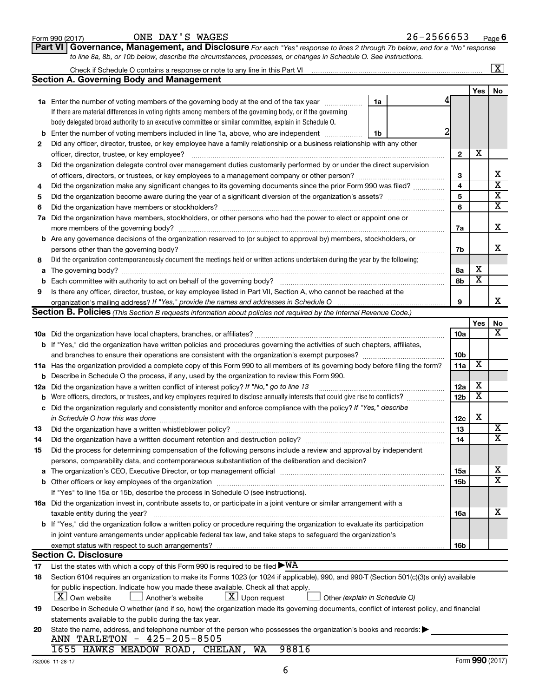|     |                                                                                                                                           |                 |                         | $\mathbf{X}$            |
|-----|-------------------------------------------------------------------------------------------------------------------------------------------|-----------------|-------------------------|-------------------------|
|     | <b>Section A. Governing Body and Management</b>                                                                                           |                 |                         |                         |
|     |                                                                                                                                           |                 | Yes                     | No                      |
|     | <b>1a</b> Enter the number of voting members of the governing body at the end of the tax year<br>1a                                       |                 |                         |                         |
|     | If there are material differences in voting rights among members of the governing body, or if the governing                               |                 |                         |                         |
|     | body delegated broad authority to an executive committee or similar committee, explain in Schedule O.                                     |                 |                         |                         |
| b   | Enter the number of voting members included in line 1a, above, who are independent<br>1b                                                  |                 |                         |                         |
| 2   | Did any officer, director, trustee, or key employee have a family relationship or a business relationship with any other                  |                 |                         |                         |
|     | officer, director, trustee, or key employee?                                                                                              | $\mathbf{2}$    | х                       |                         |
| З   | Did the organization delegate control over management duties customarily performed by or under the direct supervision                     |                 |                         |                         |
|     |                                                                                                                                           | 3               |                         | x                       |
| 4   | Did the organization make any significant changes to its governing documents since the prior Form 990 was filed?                          | 4               |                         | $\overline{\mathbf{X}}$ |
| 5   |                                                                                                                                           | 5               |                         | $\overline{\mathbf{X}}$ |
| 6   |                                                                                                                                           | 6               |                         | $\overline{\textbf{X}}$ |
|     | 7a Did the organization have members, stockholders, or other persons who had the power to elect or appoint one or                         |                 |                         |                         |
|     |                                                                                                                                           | 7a              |                         | х                       |
|     | <b>b</b> Are any governance decisions of the organization reserved to (or subject to approval by) members, stockholders, or               |                 |                         |                         |
|     |                                                                                                                                           | 7b              |                         | х                       |
| 8   | Did the organization contemporaneously document the meetings held or written actions undertaken during the year by the following:         |                 |                         |                         |
| a   |                                                                                                                                           | 8a              | х                       |                         |
| b   |                                                                                                                                           | 8b              | $\overline{\textbf{x}}$ |                         |
| 9   | Is there any officer, director, trustee, or key employee listed in Part VII, Section A, who cannot be reached at the                      |                 |                         |                         |
|     |                                                                                                                                           | 9               |                         | х                       |
|     | <b>Section B. Policies</b> (This Section B requests information about policies not required by the Internal Revenue Code.)                |                 |                         |                         |
|     |                                                                                                                                           |                 | Yes                     | No                      |
|     |                                                                                                                                           | 10a             |                         | $\overline{\textbf{X}}$ |
|     | <b>b</b> If "Yes," did the organization have written policies and procedures governing the activities of such chapters, affiliates,       |                 |                         |                         |
|     |                                                                                                                                           | 10 <sub>b</sub> |                         |                         |
|     | 11a Has the organization provided a complete copy of this Form 990 to all members of its governing body before filing the form?           | 11a             | $\overline{\mathbf{X}}$ |                         |
|     | <b>b</b> Describe in Schedule O the process, if any, used by the organization to review this Form 990.                                    |                 |                         |                         |
| 12a | Did the organization have a written conflict of interest policy? If "No," go to line 13                                                   | 12a             | х                       |                         |
| b   | Were officers, directors, or trustees, and key employees required to disclose annually interests that could give rise to conflicts?       | 12 <sub>b</sub> | $\overline{\textbf{x}}$ |                         |
| с   | Did the organization regularly and consistently monitor and enforce compliance with the policy? If "Yes," describe                        |                 |                         |                         |
|     | in Schedule O how this was done manufactured and a state of the state of the state of the state of the state o                            | 12c             | X                       |                         |
| 13  | Did the organization have a written whistleblower policy?                                                                                 | 13              |                         | X                       |
| 14  |                                                                                                                                           | 14              |                         | $\overline{\mathbf{X}}$ |
| 15  | Did the process for determining compensation of the following persons include a review and approval by independent                        |                 |                         |                         |
|     | persons, comparability data, and contemporaneous substantiation of the deliberation and decision?                                         |                 |                         |                         |
| а   |                                                                                                                                           | 15a             |                         | х                       |
|     |                                                                                                                                           | 15b             |                         | $\overline{\mathbf{X}}$ |
|     | If "Yes" to line 15a or 15b, describe the process in Schedule O (see instructions).                                                       |                 |                         |                         |
|     | 16a Did the organization invest in, contribute assets to, or participate in a joint venture or similar arrangement with a                 |                 |                         |                         |
|     | taxable entity during the year?                                                                                                           | 16a             |                         | х                       |
|     | b If "Yes," did the organization follow a written policy or procedure requiring the organization to evaluate its participation            |                 |                         |                         |
|     | in joint venture arrangements under applicable federal tax law, and take steps to safeguard the organization's                            |                 |                         |                         |
|     | exempt status with respect to such arrangements?                                                                                          | 16b             |                         |                         |
|     | <b>Section C. Disclosure</b>                                                                                                              |                 |                         |                         |
| 17  | List the states with which a copy of this Form 990 is required to be filed $\blacktriangleright\text{WA}$                                 |                 |                         |                         |
| 18  | Section 6104 requires an organization to make its Forms 1023 (or 1024 if applicable), 990, and 990-T (Section 501(c)(3)s only) available  |                 |                         |                         |
|     | for public inspection. Indicate how you made these available. Check all that apply.                                                       |                 |                         |                         |
|     | $ \mathbf{X} $ Upon request<br>  X   Own website<br>Another's website<br>Other (explain in Schedule O)                                    |                 |                         |                         |
| 19  | Describe in Schedule O whether (and if so, how) the organization made its governing documents, conflict of interest policy, and financial |                 |                         |                         |
|     | statements available to the public during the tax year.                                                                                   |                 |                         |                         |
| 20  | State the name, address, and telephone number of the person who possesses the organization's books and records:                           |                 |                         |                         |
|     | ANN TARLETON - 425-205-8505                                                                                                               |                 |                         |                         |
|     | 1655 HAWKS MEADOW ROAD, CHELAN, WA<br>98816                                                                                               |                 |                         |                         |

| 2566653<br><b>WAGES</b><br>DAY'<br>י י<br>ONE<br>26–<br>-<br>Form 990 (2017)<br>Page <b>o</b><br>ມ |
|----------------------------------------------------------------------------------------------------|
|----------------------------------------------------------------------------------------------------|

*to line 8a, 8b, or 10b below, describe the circumstances, processes, or changes in Schedule O. See instructions.*

| Form 990 (2017) | ONE DAY S WAGES |                                                                                                                             | 86-2566653 | Pag |
|-----------------|-----------------|-----------------------------------------------------------------------------------------------------------------------------|------------|-----|
|                 |                 | Part VI Governance, Management, and Disclosure For each "Yes" response to lines 2 through 7b below, and for a "No" response |            |     |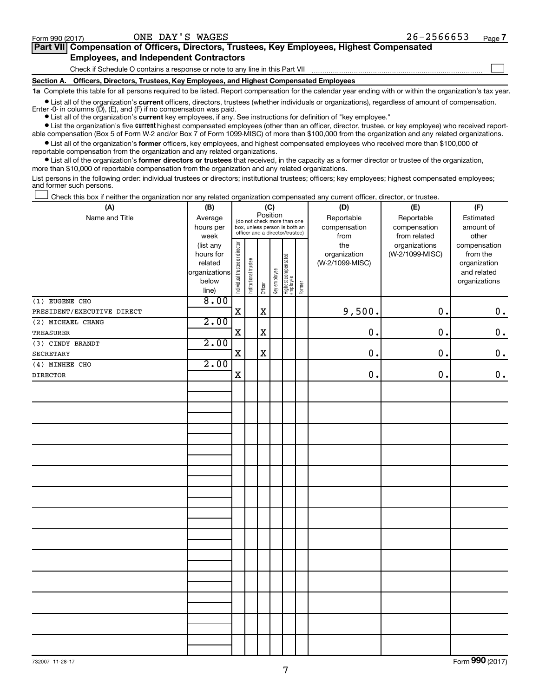$\Box$ 

| Part VII Compensation of Officers, Directors, Trustees, Key Employees, Highest Compensated |
|--------------------------------------------------------------------------------------------|
| <b>Employees, and Independent Contractors</b>                                              |

Check if Schedule O contains a response or note to any line in this Part VII

**Section A. Officers, Directors, Trustees, Key Employees, and Highest Compensated Employees**

**1a**  Complete this table for all persons required to be listed. Report compensation for the calendar year ending with or within the organization's tax year.

**•** List all of the organization's current officers, directors, trustees (whether individuals or organizations), regardless of amount of compensation. Enter  $-0$ - in columns  $(D)$ ,  $(E)$ , and  $(F)$  if no compensation was paid.

**•** List all of the organization's **current** key employees, if any. See instructions for definition of "key employee."

**•** List the organization's five current highest compensated employees (other than an officer, director, trustee, or key employee) who received reportable compensation (Box 5 of Form W-2 and/or Box 7 of Form 1099-MISC) of more than \$100,000 from the organization and any related organizations.

**•** List all of the organization's former officers, key employees, and highest compensated employees who received more than \$100,000 of reportable compensation from the organization and any related organizations.

**•** List all of the organization's former directors or trustees that received, in the capacity as a former director or trustee of the organization, more than \$10,000 of reportable compensation from the organization and any related organizations.

List persons in the following order: individual trustees or directors; institutional trustees; officers; key employees; highest compensated employees; and former such persons.

Check this box if neither the organization nor any related organization compensated any current officer, director, or trustee.  $\Box$ 

| (A)                        | (B)                  |                                         | (C)                                                              |             |              |                                 |           | (D)                             | (E)             | (F)                         |  |  |
|----------------------------|----------------------|-----------------------------------------|------------------------------------------------------------------|-------------|--------------|---------------------------------|-----------|---------------------------------|-----------------|-----------------------------|--|--|
| Name and Title             | Average              | Position<br>(do not check more than one |                                                                  | Reportable  | Reportable   | Estimated                       |           |                                 |                 |                             |  |  |
|                            | hours per            |                                         | box, unless person is both an<br>officer and a director/trustee) |             | compensation | compensation                    | amount of |                                 |                 |                             |  |  |
|                            | week                 |                                         |                                                                  |             |              |                                 |           | from                            | from related    | other                       |  |  |
|                            | (list any            |                                         |                                                                  |             |              |                                 |           | the                             | organizations   | compensation                |  |  |
|                            | hours for<br>related |                                         |                                                                  |             |              |                                 |           | organization<br>(W-2/1099-MISC) | (W-2/1099-MISC) | from the                    |  |  |
|                            | organizations        |                                         |                                                                  |             |              |                                 |           |                                 |                 | organization<br>and related |  |  |
|                            | below                |                                         |                                                                  |             |              |                                 |           |                                 |                 | organizations               |  |  |
|                            | line)                | Individual trustee or director          | Institutional trustee                                            | Officer     | Key employee | Highest compensated<br>employee | Former    |                                 |                 |                             |  |  |
| (1) EUGENE CHO             | 8.00                 |                                         |                                                                  |             |              |                                 |           |                                 |                 |                             |  |  |
| PRESIDENT/EXECUTIVE DIRECT |                      | $\mathbf X$                             |                                                                  | $\mathbf x$ |              |                                 |           | 9,500.                          | 0.              | $\mathbf 0$ .               |  |  |
| (2) MICHAEL CHANG          | 2.00                 |                                         |                                                                  |             |              |                                 |           |                                 |                 |                             |  |  |
| TREASURER                  |                      | $\mathbf X$                             |                                                                  | $\mathbf X$ |              |                                 |           | $0$ .                           | $\mathbf 0$ .   | $0$ .                       |  |  |
| (3) CINDY BRANDT           | 2.00                 |                                         |                                                                  |             |              |                                 |           |                                 |                 |                             |  |  |
| SECRETARY                  |                      | $\mathbf X$                             |                                                                  | $\mathbf X$ |              |                                 |           | 0.                              | 0.              | $\mathbf 0$ .               |  |  |
| (4) MINHEE CHO             | 2.00                 |                                         |                                                                  |             |              |                                 |           |                                 |                 |                             |  |  |
| <b>DIRECTOR</b>            |                      | $\rm X$                                 |                                                                  |             |              |                                 |           | $\mathbf 0$ .                   | 0.              | $\mathbf 0$ .               |  |  |
|                            |                      |                                         |                                                                  |             |              |                                 |           |                                 |                 |                             |  |  |
|                            |                      |                                         |                                                                  |             |              |                                 |           |                                 |                 |                             |  |  |
|                            |                      |                                         |                                                                  |             |              |                                 |           |                                 |                 |                             |  |  |
|                            |                      |                                         |                                                                  |             |              |                                 |           |                                 |                 |                             |  |  |
|                            |                      |                                         |                                                                  |             |              |                                 |           |                                 |                 |                             |  |  |
|                            |                      |                                         |                                                                  |             |              |                                 |           |                                 |                 |                             |  |  |
|                            |                      |                                         |                                                                  |             |              |                                 |           |                                 |                 |                             |  |  |
|                            |                      |                                         |                                                                  |             |              |                                 |           |                                 |                 |                             |  |  |
|                            |                      |                                         |                                                                  |             |              |                                 |           |                                 |                 |                             |  |  |
|                            |                      |                                         |                                                                  |             |              |                                 |           |                                 |                 |                             |  |  |
|                            |                      |                                         |                                                                  |             |              |                                 |           |                                 |                 |                             |  |  |
|                            |                      |                                         |                                                                  |             |              |                                 |           |                                 |                 |                             |  |  |
|                            |                      |                                         |                                                                  |             |              |                                 |           |                                 |                 |                             |  |  |
|                            |                      |                                         |                                                                  |             |              |                                 |           |                                 |                 |                             |  |  |
|                            |                      |                                         |                                                                  |             |              |                                 |           |                                 |                 |                             |  |  |
|                            |                      |                                         |                                                                  |             |              |                                 |           |                                 |                 |                             |  |  |
|                            |                      |                                         |                                                                  |             |              |                                 |           |                                 |                 |                             |  |  |
|                            |                      |                                         |                                                                  |             |              |                                 |           |                                 |                 |                             |  |  |
|                            |                      |                                         |                                                                  |             |              |                                 |           |                                 |                 |                             |  |  |
|                            |                      |                                         |                                                                  |             |              |                                 |           |                                 |                 |                             |  |  |
|                            |                      |                                         |                                                                  |             |              |                                 |           |                                 |                 |                             |  |  |
|                            |                      |                                         |                                                                  |             |              |                                 |           |                                 |                 |                             |  |  |
|                            |                      |                                         |                                                                  |             |              |                                 |           |                                 |                 |                             |  |  |
|                            |                      |                                         |                                                                  |             |              |                                 |           |                                 |                 |                             |  |  |
|                            |                      |                                         |                                                                  |             |              |                                 |           |                                 |                 |                             |  |  |
|                            |                      |                                         |                                                                  |             |              |                                 |           |                                 |                 |                             |  |  |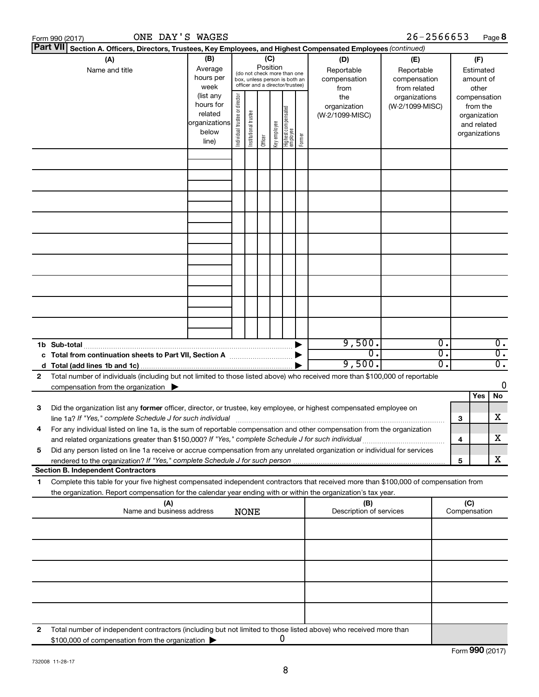|    | ONE DAY'S WAGES<br>Form 990 (2017)                                                                                                                                                                                                                     |                                                         |                                |                       |         |                                                                                                        |                                   |        |                                           | 26-2566653                                        |                  |                     | Page 8                                                                   |
|----|--------------------------------------------------------------------------------------------------------------------------------------------------------------------------------------------------------------------------------------------------------|---------------------------------------------------------|--------------------------------|-----------------------|---------|--------------------------------------------------------------------------------------------------------|-----------------------------------|--------|-------------------------------------------|---------------------------------------------------|------------------|---------------------|--------------------------------------------------------------------------|
|    | <b>Part VII</b><br>Section A. Officers, Directors, Trustees, Key Employees, and Highest Compensated Employees (continued)                                                                                                                              |                                                         |                                |                       |         |                                                                                                        |                                   |        |                                           |                                                   |                  |                     |                                                                          |
|    | (A)<br>Name and title                                                                                                                                                                                                                                  | (B)<br>Average<br>hours per<br>week<br>(list any        | Position                       |                       |         | (C)<br>(do not check more than one<br>box, unless person is both an<br>officer and a director/trustee) |                                   |        | (D)<br>Reportable<br>compensation<br>from | (E)<br>Reportable<br>compensation<br>from related |                  |                     | (F)<br>Estimated<br>amount of<br>other                                   |
|    |                                                                                                                                                                                                                                                        | hours for<br>related<br>organizations<br>below<br>line) | Individual trustee or director | Institutional trustee | Officer | Key employee                                                                                           | Highest compensated<br>  employee | Former | the<br>organization<br>(W-2/1099-MISC)    | organizations<br>(W-2/1099-MISC)                  |                  |                     | compensation<br>from the<br>organization<br>and related<br>organizations |
|    |                                                                                                                                                                                                                                                        |                                                         |                                |                       |         |                                                                                                        |                                   |        |                                           |                                                   |                  |                     |                                                                          |
|    |                                                                                                                                                                                                                                                        |                                                         |                                |                       |         |                                                                                                        |                                   |        |                                           |                                                   |                  |                     |                                                                          |
|    |                                                                                                                                                                                                                                                        |                                                         |                                |                       |         |                                                                                                        |                                   |        |                                           |                                                   |                  |                     |                                                                          |
|    |                                                                                                                                                                                                                                                        |                                                         |                                |                       |         |                                                                                                        |                                   |        |                                           |                                                   |                  |                     |                                                                          |
|    |                                                                                                                                                                                                                                                        |                                                         |                                |                       |         |                                                                                                        |                                   |        |                                           |                                                   |                  |                     |                                                                          |
|    |                                                                                                                                                                                                                                                        |                                                         |                                |                       |         |                                                                                                        |                                   |        |                                           |                                                   |                  |                     |                                                                          |
|    |                                                                                                                                                                                                                                                        |                                                         |                                |                       |         |                                                                                                        |                                   |        |                                           |                                                   |                  |                     |                                                                          |
|    |                                                                                                                                                                                                                                                        |                                                         |                                |                       |         |                                                                                                        |                                   |        |                                           |                                                   |                  |                     |                                                                          |
|    |                                                                                                                                                                                                                                                        |                                                         |                                |                       |         |                                                                                                        |                                   |        | 9,500.                                    |                                                   | $\overline{0}$ . |                     | $\overline{0}$ .                                                         |
|    |                                                                                                                                                                                                                                                        |                                                         |                                |                       |         |                                                                                                        |                                   |        | σ.                                        |                                                   | $\overline{0}$ . |                     | $\overline{0}$ .                                                         |
|    |                                                                                                                                                                                                                                                        |                                                         |                                |                       |         |                                                                                                        |                                   |        | 9,500.                                    |                                                   | Ο.               |                     | $\overline{0}$ .                                                         |
| 2  | Total number of individuals (including but not limited to those listed above) who received more than \$100,000 of reportable<br>compensation from the organization $\blacktriangleright$                                                               |                                                         |                                |                       |         |                                                                                                        |                                   |        |                                           |                                                   |                  |                     | 0                                                                        |
|    |                                                                                                                                                                                                                                                        |                                                         |                                |                       |         |                                                                                                        |                                   |        |                                           |                                                   |                  |                     | Yes<br>No                                                                |
| 3  | Did the organization list any former officer, director, or trustee, key employee, or highest compensated employee on<br>line 1a? If "Yes," complete Schedule J for such individual manufacture content to the Schedule J for such individual           |                                                         |                                |                       |         |                                                                                                        |                                   |        |                                           |                                                   |                  | З                   | x                                                                        |
|    | For any individual listed on line 1a, is the sum of reportable compensation and other compensation from the organization<br>and related organizations greater than \$150,000? If "Yes," complete Schedule J for such individual                        |                                                         |                                |                       |         |                                                                                                        |                                   |        |                                           |                                                   |                  | 4                   | х                                                                        |
| 5  | Did any person listed on line 1a receive or accrue compensation from any unrelated organization or individual for services                                                                                                                             |                                                         |                                |                       |         |                                                                                                        |                                   |        |                                           |                                                   |                  | 5                   | x                                                                        |
|    | <b>Section B. Independent Contractors</b>                                                                                                                                                                                                              |                                                         |                                |                       |         |                                                                                                        |                                   |        |                                           |                                                   |                  |                     |                                                                          |
| 1. | Complete this table for your five highest compensated independent contractors that received more than \$100,000 of compensation from<br>the organization. Report compensation for the calendar year ending with or within the organization's tax year. |                                                         |                                |                       |         |                                                                                                        |                                   |        |                                           |                                                   |                  |                     |                                                                          |
|    | (A)<br>Name and business address                                                                                                                                                                                                                       |                                                         |                                | <b>NONE</b>           |         |                                                                                                        |                                   |        | (B)<br>Description of services            |                                                   |                  | (C)<br>Compensation |                                                                          |
|    |                                                                                                                                                                                                                                                        |                                                         |                                |                       |         |                                                                                                        |                                   |        |                                           |                                                   |                  |                     |                                                                          |
|    |                                                                                                                                                                                                                                                        |                                                         |                                |                       |         |                                                                                                        |                                   |        |                                           |                                                   |                  |                     |                                                                          |
|    |                                                                                                                                                                                                                                                        |                                                         |                                |                       |         |                                                                                                        |                                   |        |                                           |                                                   |                  |                     |                                                                          |
|    |                                                                                                                                                                                                                                                        |                                                         |                                |                       |         |                                                                                                        |                                   |        |                                           |                                                   |                  |                     |                                                                          |
| 2  | Total number of independent contractors (including but not limited to those listed above) who received more than                                                                                                                                       |                                                         |                                |                       |         |                                                                                                        |                                   |        |                                           |                                                   |                  |                     |                                                                          |
|    | \$100,000 of compensation from the organization                                                                                                                                                                                                        |                                                         |                                |                       |         |                                                                                                        | 0                                 |        |                                           |                                                   |                  |                     |                                                                          |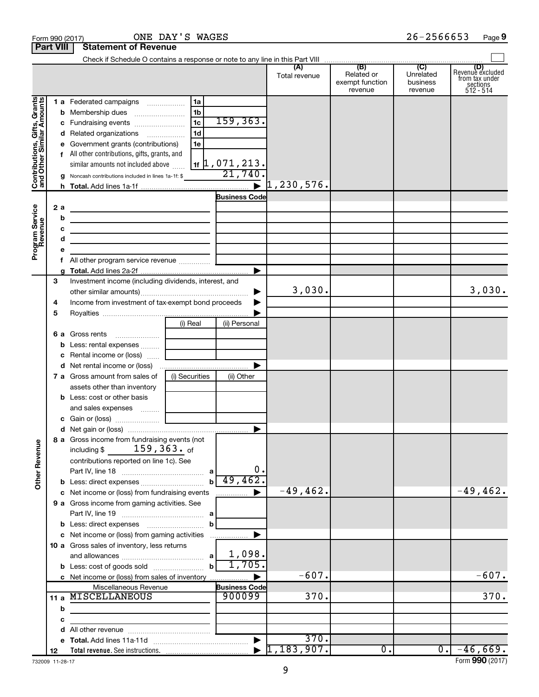|                                                                                         | <b>Part VIII</b>                                | <b>Statement of Revenue</b>                                                                                                                                                                                                                                                                                                                                                                                                                                                                                                                                                                                                                |                                                    |                                                                     |                             |                                                 |                                         |                                                             |
|-----------------------------------------------------------------------------------------|-------------------------------------------------|--------------------------------------------------------------------------------------------------------------------------------------------------------------------------------------------------------------------------------------------------------------------------------------------------------------------------------------------------------------------------------------------------------------------------------------------------------------------------------------------------------------------------------------------------------------------------------------------------------------------------------------------|----------------------------------------------------|---------------------------------------------------------------------|-----------------------------|-------------------------------------------------|-----------------------------------------|-------------------------------------------------------------|
|                                                                                         |                                                 |                                                                                                                                                                                                                                                                                                                                                                                                                                                                                                                                                                                                                                            |                                                    |                                                                     |                             |                                                 |                                         |                                                             |
|                                                                                         |                                                 |                                                                                                                                                                                                                                                                                                                                                                                                                                                                                                                                                                                                                                            |                                                    |                                                                     | (A)<br>Total revenue        | (B)<br>Related or<br>exempt function<br>revenue | (C)<br>Unrelated<br>business<br>revenue | Revenue excluded<br>from tax under<br>sections<br>512 - 514 |
| Contributions, Gifts, Grants<br>and Other Similar Amounts<br>Program Service<br>Revenue | b<br>с<br>d<br>е<br>g<br>2a<br>b<br>с<br>d<br>е | 1 a Federated campaigns<br>Fundraising events<br>Related organizations<br>Government grants (contributions)<br>f All other contributions, gifts, grants, and<br>similar amounts not included above<br>Noncash contributions included in lines 1a-1f: \$<br>the control of the control of the control of the control of the control of<br><u> 1989 - Johann Stein, marwolaethau a bhann an t-Albann an t-Albann an t-Albann an t-Albann an t-Albann an t-Alb</u><br>the control of the control of the control of the control of the control of the control of<br>the control of the control of the control of the control of the control of | 1a<br>1 <sub>b</sub><br>1c<br>1 <sub>d</sub><br>1e | 159, 363.<br>$_{1f}$ 1, 071, 213.<br>21,740<br><b>Business Code</b> | 1, 230, 576.                |                                                 |                                         |                                                             |
|                                                                                         | g<br>3<br>4<br>5                                | Investment income (including dividends, interest, and<br>Income from investment of tax-exempt bond proceeds                                                                                                                                                                                                                                                                                                                                                                                                                                                                                                                                |                                                    |                                                                     | 3,030.                      |                                                 |                                         | 3,030.                                                      |
|                                                                                         | 6а<br>b<br>c<br>d                               | Gross rents<br>Less: rental expenses<br>Rental income or (loss)<br>7 a Gross amount from sales of<br>assets other than inventory<br><b>b</b> Less: cost or other basis<br>and sales expenses                                                                                                                                                                                                                                                                                                                                                                                                                                               | (i) Real<br>(i) Securities                         | (ii) Personal<br>(ii) Other                                         |                             |                                                 |                                         |                                                             |
|                                                                                         |                                                 |                                                                                                                                                                                                                                                                                                                                                                                                                                                                                                                                                                                                                                            |                                                    |                                                                     |                             |                                                 |                                         |                                                             |
| <b>Other Revenue</b>                                                                    |                                                 | 8 a Gross income from fundraising events (not  <br>$159,363.$ of<br>including \$<br>contributions reported on line 1c). See<br>Part IV, line 18                                                                                                                                                                                                                                                                                                                                                                                                                                                                                            | b                                                  | 0.<br>49,462.                                                       |                             |                                                 |                                         |                                                             |
|                                                                                         |                                                 | c Net income or (loss) from fundraising events                                                                                                                                                                                                                                                                                                                                                                                                                                                                                                                                                                                             |                                                    |                                                                     | $-49, 462.$                 |                                                 |                                         | $-49, 462.$                                                 |
|                                                                                         |                                                 | 9 a Gross income from gaming activities. See<br>c Net income or (loss) from gaming activities                                                                                                                                                                                                                                                                                                                                                                                                                                                                                                                                              | b                                                  |                                                                     |                             |                                                 |                                         |                                                             |
|                                                                                         |                                                 | 10 a Gross sales of inventory, less returns<br>c Net income or (loss) from sales of inventory                                                                                                                                                                                                                                                                                                                                                                                                                                                                                                                                              |                                                    | 1,098.<br>1,705.                                                    | $-607.$                     |                                                 |                                         | $-607.$                                                     |
|                                                                                         |                                                 | Miscellaneous Revenue                                                                                                                                                                                                                                                                                                                                                                                                                                                                                                                                                                                                                      |                                                    | <b>Business Code</b>                                                |                             |                                                 |                                         |                                                             |
|                                                                                         | 11a<br>b                                        | MISCELLANEOUS                                                                                                                                                                                                                                                                                                                                                                                                                                                                                                                                                                                                                              |                                                    | 900099                                                              | 370.                        |                                                 |                                         | 370.                                                        |
|                                                                                         | с<br>d                                          |                                                                                                                                                                                                                                                                                                                                                                                                                                                                                                                                                                                                                                            |                                                    |                                                                     |                             |                                                 |                                         |                                                             |
|                                                                                         | е                                               |                                                                                                                                                                                                                                                                                                                                                                                                                                                                                                                                                                                                                                            |                                                    |                                                                     | 370.                        |                                                 |                                         |                                                             |
|                                                                                         | 12                                              |                                                                                                                                                                                                                                                                                                                                                                                                                                                                                                                                                                                                                                            |                                                    |                                                                     | $\triangleright$ 1,183,907. | 0.                                              | $0$ .                                   | $-46,669.$                                                  |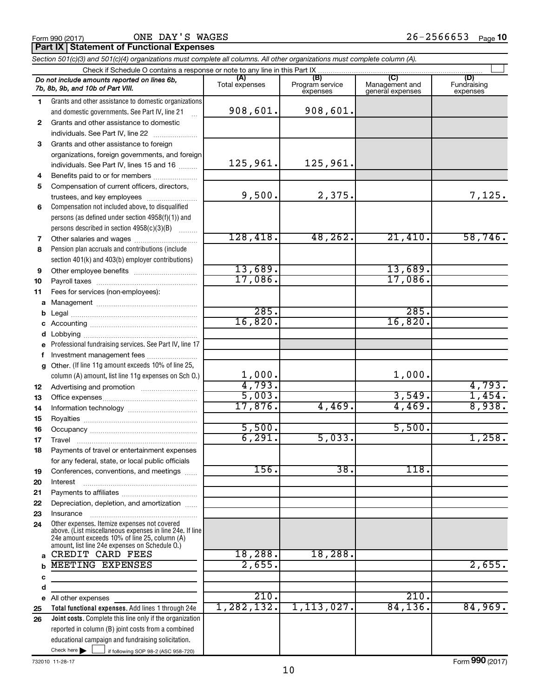|              | Section 501(c)(3) and 501(c)(4) organizations must complete all columns. All other organizations must complete column (A).                                                                                  |                                    |                                |          |         |
|--------------|-------------------------------------------------------------------------------------------------------------------------------------------------------------------------------------------------------------|------------------------------------|--------------------------------|----------|---------|
|              | Check if Schedule O contains a response or note to any line in this Part IX                                                                                                                                 | (A)                                | (B)                            |          |         |
|              | Do not include amounts reported on lines 6b,<br>7b, 8b, 9b, and 10b of Part VIII.                                                                                                                           | Management and<br>general expenses | (D)<br>Fundraising<br>expenses |          |         |
| 1            | Grants and other assistance to domestic organizations                                                                                                                                                       |                                    |                                |          |         |
|              | and domestic governments. See Part IV, line 21                                                                                                                                                              | 908,601.                           | 908,601.                       |          |         |
| $\mathbf{2}$ | Grants and other assistance to domestic                                                                                                                                                                     |                                    |                                |          |         |
|              | individuals. See Part IV, line 22                                                                                                                                                                           |                                    |                                |          |         |
| 3            | Grants and other assistance to foreign                                                                                                                                                                      |                                    |                                |          |         |
|              | organizations, foreign governments, and foreign                                                                                                                                                             |                                    |                                |          |         |
|              | individuals. See Part IV, lines 15 and 16                                                                                                                                                                   | 125,961.                           | 125,961.                       |          |         |
| 4            | Benefits paid to or for members                                                                                                                                                                             |                                    |                                |          |         |
| 5            | Compensation of current officers, directors,                                                                                                                                                                |                                    |                                |          |         |
|              | trustees, and key employees                                                                                                                                                                                 | 9,500.                             | 2,375.                         |          | 7,125.  |
| 6            | Compensation not included above, to disqualified                                                                                                                                                            |                                    |                                |          |         |
|              | persons (as defined under section 4958(f)(1)) and                                                                                                                                                           |                                    |                                |          |         |
|              | persons described in section 4958(c)(3)(B)                                                                                                                                                                  |                                    |                                |          |         |
| 7            |                                                                                                                                                                                                             | 128,418.                           | 48, 262.                       | 21,410.  | 58,746. |
| 8            | Pension plan accruals and contributions (include                                                                                                                                                            |                                    |                                |          |         |
|              | section 401(k) and 403(b) employer contributions)                                                                                                                                                           |                                    |                                |          |         |
| 9            |                                                                                                                                                                                                             | 13,689.                            |                                | 13,689.  |         |
| 10           |                                                                                                                                                                                                             | 17,086.                            |                                | 17,086.  |         |
| 11           | Fees for services (non-employees):                                                                                                                                                                          |                                    |                                |          |         |
| a            |                                                                                                                                                                                                             | 285.                               |                                |          |         |
| b            |                                                                                                                                                                                                             |                                    |                                | 285.     |         |
| с            |                                                                                                                                                                                                             | 16,820.                            |                                | 16,820.  |         |
| d            |                                                                                                                                                                                                             |                                    |                                |          |         |
| е            | Professional fundraising services. See Part IV, line 17                                                                                                                                                     |                                    |                                |          |         |
| f            | Investment management fees                                                                                                                                                                                  |                                    |                                |          |         |
| g            | Other. (If line 11g amount exceeds 10% of line 25,                                                                                                                                                          | 1,000.                             |                                | 1,000.   |         |
|              | column (A) amount, list line 11g expenses on Sch O.)                                                                                                                                                        | 4,793.                             |                                |          | 4,793.  |
| 12           |                                                                                                                                                                                                             | 5,003.                             |                                | 3,549.   | 1,454.  |
| 13           |                                                                                                                                                                                                             | 17,876.                            | 4,469.                         | 4,469.   | 8,938.  |
| 14           |                                                                                                                                                                                                             |                                    |                                |          |         |
| 15           |                                                                                                                                                                                                             | 5,500.                             |                                | 5,500.   |         |
| 16           |                                                                                                                                                                                                             | 6, 291.                            | 5,033.                         |          | 1,258.  |
| 17           | Payments of travel or entertainment expenses                                                                                                                                                                |                                    |                                |          |         |
| 18           |                                                                                                                                                                                                             |                                    |                                |          |         |
| 19           | for any federal, state, or local public officials<br>Conferences, conventions, and meetings                                                                                                                 | 156.                               | 38.                            | 118.     |         |
| 20           | Interest                                                                                                                                                                                                    |                                    |                                |          |         |
| 21           |                                                                                                                                                                                                             |                                    |                                |          |         |
| 22           | Depreciation, depletion, and amortization                                                                                                                                                                   |                                    |                                |          |         |
| 23           | Insurance                                                                                                                                                                                                   |                                    |                                |          |         |
| 24           | Other expenses. Itemize expenses not covered<br>above. (List miscellaneous expenses in line 24e. If line<br>24e amount exceeds 10% of line 25, column (A)<br>amount, list line 24e expenses on Schedule O.) |                                    |                                |          |         |
| a            | CREDIT CARD FEES                                                                                                                                                                                            | 18,288.                            | 18,288.                        |          |         |
| b            | <b>MEETING EXPENSES</b>                                                                                                                                                                                     | 2,655.                             |                                |          | 2,655.  |
| c            |                                                                                                                                                                                                             |                                    |                                |          |         |
| d            |                                                                                                                                                                                                             |                                    |                                |          |         |
| е            | All other expenses                                                                                                                                                                                          | 210.                               |                                | 210.     |         |
| 25           | Total functional expenses. Add lines 1 through 24e                                                                                                                                                          | 1, 282, 132.                       | 1, 113, 027.                   | 84, 136. | 84,969. |
| 26           | Joint costs. Complete this line only if the organization                                                                                                                                                    |                                    |                                |          |         |
|              | reported in column (B) joint costs from a combined                                                                                                                                                          |                                    |                                |          |         |
|              | educational campaign and fundraising solicitation.                                                                                                                                                          |                                    |                                |          |         |

732010 11-28-17

Check here

Check here  $\begin{array}{c} \begin{array}{|c} \hline \end{array} \end{array}$  if following SOP 98-2 (ASC 958-720)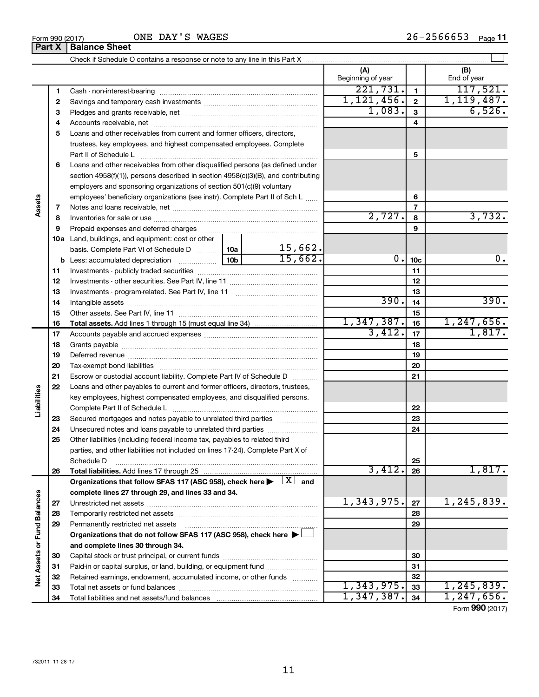|                             |          |                                                                                                                                                                                                                                |         | (A)<br>Beginning of year |                 | (B)<br>End of year |
|-----------------------------|----------|--------------------------------------------------------------------------------------------------------------------------------------------------------------------------------------------------------------------------------|---------|--------------------------|-----------------|--------------------|
|                             | 1        |                                                                                                                                                                                                                                |         | 221,731.                 | $\mathbf{1}$    | 117,521.           |
|                             | 2        |                                                                                                                                                                                                                                |         | 1, 121, 456.             | $\overline{2}$  | 1,119,487.         |
|                             | з        |                                                                                                                                                                                                                                |         | 1,083.                   | $\mathbf{3}$    | 6,526.             |
|                             | 4        |                                                                                                                                                                                                                                |         | 4                        |                 |                    |
|                             | 5        | Loans and other receivables from current and former officers, directors,                                                                                                                                                       |         |                          |                 |                    |
|                             |          | trustees, key employees, and highest compensated employees. Complete                                                                                                                                                           |         |                          |                 |                    |
|                             |          |                                                                                                                                                                                                                                |         | 5                        |                 |                    |
|                             | 6        | Loans and other receivables from other disqualified persons (as defined under                                                                                                                                                  |         |                          |                 |                    |
|                             |          | section 4958(f)(1)), persons described in section 4958(c)(3)(B), and contributing                                                                                                                                              |         |                          |                 |                    |
|                             |          | employers and sponsoring organizations of section 501(c)(9) voluntary                                                                                                                                                          |         |                          |                 |                    |
| Assets                      |          | employees' beneficiary organizations (see instr). Complete Part II of Sch L                                                                                                                                                    |         |                          | 6               |                    |
|                             | 7        |                                                                                                                                                                                                                                |         |                          | 7               |                    |
|                             | 8        |                                                                                                                                                                                                                                |         | 2,727.                   | 8               | 3,732.             |
|                             | 9        | Prepaid expenses and deferred charges [11] [11] prepaid expenses and deferred charges [11] [11] minimum and the Prepaid expenses and deferred charges [11] minimum and the Prepaid experiment of Prepaid experiment and the Pr |         |                          | 9               |                    |
|                             |          | <b>10a</b> Land, buildings, and equipment: cost or other                                                                                                                                                                       |         |                          |                 |                    |
|                             |          | basis. Complete Part VI of Schedule D  10a                                                                                                                                                                                     | 15,662. |                          |                 |                    |
|                             |          |                                                                                                                                                                                                                                | 15,662. | 0.                       | 10 <sub>c</sub> | 0.                 |
|                             | 11       |                                                                                                                                                                                                                                |         |                          | 11              |                    |
|                             | 12       |                                                                                                                                                                                                                                |         |                          | 12              |                    |
|                             | 13       |                                                                                                                                                                                                                                |         |                          | 13              |                    |
|                             | 14       |                                                                                                                                                                                                                                | 390.    | 14                       | 390.            |                    |
|                             | 15       |                                                                                                                                                                                                                                |         | 1,347,387.               | 15              | 1, 247, 656.       |
|                             | 16       |                                                                                                                                                                                                                                |         | 3,412.                   | 16              | 1,817.             |
|                             | 17       |                                                                                                                                                                                                                                |         | 17                       |                 |                    |
|                             | 18       |                                                                                                                                                                                                                                |         | 18                       |                 |                    |
|                             | 19       |                                                                                                                                                                                                                                |         |                          | 19              |                    |
|                             | 20<br>21 | Escrow or custodial account liability. Complete Part IV of Schedule D                                                                                                                                                          |         |                          | 20<br>21        |                    |
|                             | 22       | Loans and other payables to current and former officers, directors, trustees,                                                                                                                                                  |         |                          |                 |                    |
| Liabilities                 |          | key employees, highest compensated employees, and disqualified persons.                                                                                                                                                        |         |                          |                 |                    |
|                             |          |                                                                                                                                                                                                                                |         |                          | 22              |                    |
|                             | 23       | Secured mortgages and notes payable to unrelated third parties                                                                                                                                                                 |         |                          | 23              |                    |
|                             | 24       | Unsecured notes and loans payable to unrelated third parties                                                                                                                                                                   |         |                          | 24              |                    |
|                             | 25       | Other liabilities (including federal income tax, payables to related third                                                                                                                                                     |         |                          |                 |                    |
|                             |          | parties, and other liabilities not included on lines 17-24). Complete Part X of                                                                                                                                                |         |                          |                 |                    |
|                             |          | Schedule D                                                                                                                                                                                                                     |         |                          | 25              |                    |
|                             | 26       | Total liabilities. Add lines 17 through 25                                                                                                                                                                                     |         | 3,412.                   | 26              | 1,817.             |
|                             |          | Organizations that follow SFAS 117 (ASC 958), check here $\blacktriangleright \begin{array}{c} \perp X \end{array}$ and                                                                                                        |         |                          |                 |                    |
|                             |          | complete lines 27 through 29, and lines 33 and 34.                                                                                                                                                                             |         |                          |                 |                    |
|                             | 27       |                                                                                                                                                                                                                                |         | 1,343,975.               | 27              | 1,245,839.         |
|                             | 28       | Temporarily restricted net assets                                                                                                                                                                                              |         |                          | 28              |                    |
|                             | 29       | Permanently restricted net assets                                                                                                                                                                                              |         |                          | 29              |                    |
|                             |          | Organizations that do not follow SFAS 117 (ASC 958), check here ▶ □                                                                                                                                                            |         |                          |                 |                    |
|                             |          | and complete lines 30 through 34.                                                                                                                                                                                              |         |                          |                 |                    |
|                             | 30       |                                                                                                                                                                                                                                |         |                          | 30              |                    |
| Net Assets or Fund Balances | 31       | Paid-in or capital surplus, or land, building, or equipment fund                                                                                                                                                               |         |                          | 31              |                    |
|                             | 32       | Retained earnings, endowment, accumulated income, or other funds                                                                                                                                                               |         |                          | 32              |                    |
|                             | 33       |                                                                                                                                                                                                                                |         | 1,343,975.               | 33              | 1,245,839.         |
|                             | 34       |                                                                                                                                                                                                                                |         | 1,347,387.               | 34              | 1, 247, 656.       |

**Part X Balance Sheet**

Form (2017) **990**

 $\overline{a}$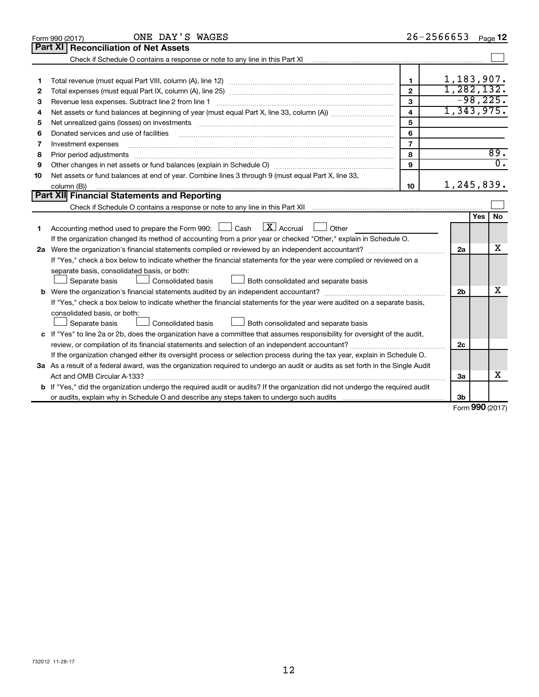|    | ONE DAY'S WAGES<br>Form 990 (2017)                                                                                                   |                         | 26-2566653     | Page 12               |
|----|--------------------------------------------------------------------------------------------------------------------------------------|-------------------------|----------------|-----------------------|
|    | Part XI<br><b>Reconciliation of Net Assets</b>                                                                                       |                         |                |                       |
|    |                                                                                                                                      |                         |                |                       |
|    |                                                                                                                                      |                         |                |                       |
| 1  |                                                                                                                                      | 1                       |                | 1,183,907.            |
| 2  |                                                                                                                                      | $\mathbf{2}$            |                | 1, 282, 132.          |
| З  | Revenue less expenses. Subtract line 2 from line 1                                                                                   | 3                       |                | $-98,225.$            |
| 4  |                                                                                                                                      | $\overline{\mathbf{4}}$ |                | 1,343,975.            |
| 5  |                                                                                                                                      | 5                       |                |                       |
| 6  | Donated services and use of facilities                                                                                               | 6                       |                |                       |
| 7  | Investment expenses                                                                                                                  | $\overline{7}$          |                |                       |
| 8  | Prior period adjustments                                                                                                             | 8                       |                | 89.                   |
| 9  |                                                                                                                                      | 9                       |                | $\overline{0}$ .      |
| 10 | Net assets or fund balances at end of year. Combine lines 3 through 9 (must equal Part X, line 33,                                   |                         |                |                       |
|    | column (B))                                                                                                                          | 10                      |                | 1,245,839.            |
|    | Part XII Financial Statements and Reporting                                                                                          |                         |                |                       |
|    | Check if Schedule O contains a response or note to any line in this Part XII manufactured contains a response                        |                         |                |                       |
|    |                                                                                                                                      |                         |                | Yes<br>No             |
| 1  | $\lfloor x \rfloor$ Accrual<br>Accounting method used to prepare the Form 990: [130] Cash<br>$\Box$ Other                            |                         |                |                       |
|    | If the organization changed its method of accounting from a prior year or checked "Other," explain in Schedule O.                    |                         |                |                       |
|    |                                                                                                                                      |                         | 2a             | x                     |
|    | If "Yes," check a box below to indicate whether the financial statements for the year were compiled or reviewed on a                 |                         |                |                       |
|    | separate basis, consolidated basis, or both:                                                                                         |                         |                |                       |
|    | Both consolidated and separate basis<br>Separate basis<br>Consolidated basis                                                         |                         |                |                       |
|    |                                                                                                                                      |                         | 2 <sub>b</sub> | x                     |
|    | If "Yes," check a box below to indicate whether the financial statements for the year were audited on a separate basis,              |                         |                |                       |
|    | consolidated basis, or both:                                                                                                         |                         |                |                       |
|    | Consolidated basis<br>Separate basis<br>Both consolidated and separate basis                                                         |                         |                |                       |
|    | c If "Yes" to line 2a or 2b, does the organization have a committee that assumes responsibility for oversight of the audit,          |                         |                |                       |
|    | review, or compilation of its financial statements and selection of an independent accountant?                                       |                         | 2c             |                       |
|    | If the organization changed either its oversight process or selection process during the tax year, explain in Schedule O.            |                         |                |                       |
|    | 3a As a result of a federal award, was the organization required to undergo an audit or audits as set forth in the Single Audit      |                         |                |                       |
|    | Act and OMB Circular A-133?                                                                                                          |                         | За             | x                     |
|    | <b>b</b> If "Yes," did the organization undergo the required audit or audits? If the organization did not undergo the required audit |                         |                |                       |
|    |                                                                                                                                      |                         | 3b             | $0.00 \times 10^{-1}$ |
|    |                                                                                                                                      |                         |                |                       |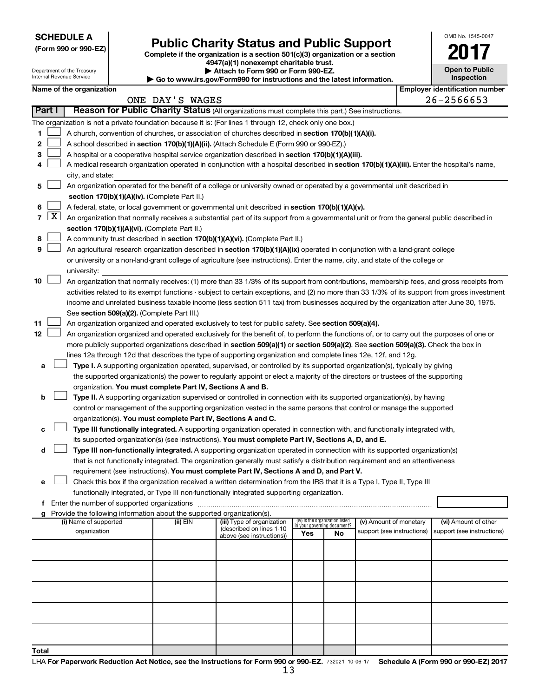| <b>SCHEDULE A</b> |  |
|-------------------|--|
|-------------------|--|

Department of the Treasury

|  |  | (Form 990 or 990-EZ) |  |
|--|--|----------------------|--|
|  |  |                      |  |

# Form 990 or 990-EZ)<br>
Complete if the organization is a section 501(c)(3) organization or a section<br> **Public Charity Status and Public Support**

**4947(a)(1) nonexempt charitable trust.**

**| Attach to Form 990 or Form 990-EZ.** 

| <b>Open to Public</b><br>Inspection |
|-------------------------------------|
|                                     |

OMB No. 1545-0047

| Internal Revenue Service<br>Inspection<br>Go to www.irs.gov/Form990 for instructions and the latest information. |                     |                                                                                                                           |  |                                                                        |                                                                                                                                               |                                 |    |                                                      |  |                                                     |
|------------------------------------------------------------------------------------------------------------------|---------------------|---------------------------------------------------------------------------------------------------------------------------|--|------------------------------------------------------------------------|-----------------------------------------------------------------------------------------------------------------------------------------------|---------------------------------|----|------------------------------------------------------|--|-----------------------------------------------------|
|                                                                                                                  |                     | Name of the organization                                                                                                  |  | ONE DAY'S WAGES                                                        |                                                                                                                                               |                                 |    |                                                      |  | <b>Employer identification number</b><br>26-2566653 |
| Part I                                                                                                           |                     |                                                                                                                           |  |                                                                        | Reason for Public Charity Status (All organizations must complete this part.) See instructions.                                               |                                 |    |                                                      |  |                                                     |
|                                                                                                                  |                     |                                                                                                                           |  |                                                                        | The organization is not a private foundation because it is: (For lines 1 through 12, check only one box.)                                     |                                 |    |                                                      |  |                                                     |
| 1                                                                                                                |                     |                                                                                                                           |  |                                                                        | A church, convention of churches, or association of churches described in section 170(b)(1)(A)(i).                                            |                                 |    |                                                      |  |                                                     |
| 2                                                                                                                |                     |                                                                                                                           |  |                                                                        | A school described in section 170(b)(1)(A)(ii). (Attach Schedule E (Form 990 or 990-EZ).)                                                     |                                 |    |                                                      |  |                                                     |
| з                                                                                                                |                     |                                                                                                                           |  |                                                                        | A hospital or a cooperative hospital service organization described in section 170(b)(1)(A)(iii).                                             |                                 |    |                                                      |  |                                                     |
|                                                                                                                  |                     |                                                                                                                           |  |                                                                        | A medical research organization operated in conjunction with a hospital described in section 170(b)(1)(A)(iii). Enter the hospital's name,    |                                 |    |                                                      |  |                                                     |
|                                                                                                                  |                     | city, and state:                                                                                                          |  |                                                                        |                                                                                                                                               |                                 |    |                                                      |  |                                                     |
| 5                                                                                                                |                     | An organization operated for the benefit of a college or university owned or operated by a governmental unit described in |  |                                                                        |                                                                                                                                               |                                 |    |                                                      |  |                                                     |
|                                                                                                                  |                     |                                                                                                                           |  | section 170(b)(1)(A)(iv). (Complete Part II.)                          |                                                                                                                                               |                                 |    |                                                      |  |                                                     |
| 6                                                                                                                |                     |                                                                                                                           |  |                                                                        | A federal, state, or local government or governmental unit described in section 170(b)(1)(A)(v).                                              |                                 |    |                                                      |  |                                                     |
| $\overline{7}$                                                                                                   | $\lfloor x \rfloor$ |                                                                                                                           |  |                                                                        | An organization that normally receives a substantial part of its support from a governmental unit or from the general public described in     |                                 |    |                                                      |  |                                                     |
|                                                                                                                  |                     |                                                                                                                           |  | section 170(b)(1)(A)(vi). (Complete Part II.)                          |                                                                                                                                               |                                 |    |                                                      |  |                                                     |
| 8                                                                                                                |                     |                                                                                                                           |  |                                                                        | A community trust described in section 170(b)(1)(A)(vi). (Complete Part II.)                                                                  |                                 |    |                                                      |  |                                                     |
| 9                                                                                                                |                     |                                                                                                                           |  |                                                                        | An agricultural research organization described in section 170(b)(1)(A)(ix) operated in conjunction with a land-grant college                 |                                 |    |                                                      |  |                                                     |
|                                                                                                                  |                     |                                                                                                                           |  |                                                                        | or university or a non-land-grant college of agriculture (see instructions). Enter the name, city, and state of the college or                |                                 |    |                                                      |  |                                                     |
|                                                                                                                  |                     | university:                                                                                                               |  |                                                                        |                                                                                                                                               |                                 |    |                                                      |  |                                                     |
| 10                                                                                                               |                     |                                                                                                                           |  |                                                                        | An organization that normally receives: (1) more than 33 1/3% of its support from contributions, membership fees, and gross receipts from     |                                 |    |                                                      |  |                                                     |
|                                                                                                                  |                     |                                                                                                                           |  |                                                                        | activities related to its exempt functions - subject to certain exceptions, and (2) no more than 33 1/3% of its support from gross investment |                                 |    |                                                      |  |                                                     |
|                                                                                                                  |                     |                                                                                                                           |  |                                                                        | income and unrelated business taxable income (less section 511 tax) from businesses acquired by the organization after June 30, 1975.         |                                 |    |                                                      |  |                                                     |
|                                                                                                                  |                     |                                                                                                                           |  | See section 509(a)(2). (Complete Part III.)                            |                                                                                                                                               |                                 |    |                                                      |  |                                                     |
| 11                                                                                                               |                     |                                                                                                                           |  |                                                                        | An organization organized and operated exclusively to test for public safety. See section 509(a)(4).                                          |                                 |    |                                                      |  |                                                     |
| 12                                                                                                               |                     |                                                                                                                           |  |                                                                        | An organization organized and operated exclusively for the benefit of, to perform the functions of, or to carry out the purposes of one or    |                                 |    |                                                      |  |                                                     |
|                                                                                                                  |                     |                                                                                                                           |  |                                                                        | more publicly supported organizations described in section 509(a)(1) or section 509(a)(2). See section 509(a)(3). Check the box in            |                                 |    |                                                      |  |                                                     |
|                                                                                                                  |                     |                                                                                                                           |  |                                                                        | lines 12a through 12d that describes the type of supporting organization and complete lines 12e, 12f, and 12g.                                |                                 |    |                                                      |  |                                                     |
| а                                                                                                                |                     |                                                                                                                           |  |                                                                        | Type I. A supporting organization operated, supervised, or controlled by its supported organization(s), typically by giving                   |                                 |    |                                                      |  |                                                     |
|                                                                                                                  |                     |                                                                                                                           |  |                                                                        | the supported organization(s) the power to regularly appoint or elect a majority of the directors or trustees of the supporting               |                                 |    |                                                      |  |                                                     |
|                                                                                                                  |                     |                                                                                                                           |  | organization. You must complete Part IV, Sections A and B.             |                                                                                                                                               |                                 |    |                                                      |  |                                                     |
| b                                                                                                                |                     |                                                                                                                           |  |                                                                        | Type II. A supporting organization supervised or controlled in connection with its supported organization(s), by having                       |                                 |    |                                                      |  |                                                     |
|                                                                                                                  |                     |                                                                                                                           |  |                                                                        | control or management of the supporting organization vested in the same persons that control or manage the supported                          |                                 |    |                                                      |  |                                                     |
|                                                                                                                  |                     |                                                                                                                           |  | organization(s). You must complete Part IV, Sections A and C.          |                                                                                                                                               |                                 |    |                                                      |  |                                                     |
| с                                                                                                                |                     |                                                                                                                           |  |                                                                        | Type III functionally integrated. A supporting organization operated in connection with, and functionally integrated with,                    |                                 |    |                                                      |  |                                                     |
|                                                                                                                  |                     |                                                                                                                           |  |                                                                        | its supported organization(s) (see instructions). You must complete Part IV, Sections A, D, and E.                                            |                                 |    |                                                      |  |                                                     |
| d                                                                                                                |                     |                                                                                                                           |  |                                                                        | Type III non-functionally integrated. A supporting organization operated in connection with its supported organization(s)                     |                                 |    |                                                      |  |                                                     |
|                                                                                                                  |                     |                                                                                                                           |  |                                                                        | that is not functionally integrated. The organization generally must satisfy a distribution requirement and an attentiveness                  |                                 |    |                                                      |  |                                                     |
|                                                                                                                  |                     |                                                                                                                           |  |                                                                        | requirement (see instructions). You must complete Part IV, Sections A and D, and Part V.                                                      |                                 |    |                                                      |  |                                                     |
| е                                                                                                                |                     |                                                                                                                           |  |                                                                        | Check this box if the organization received a written determination from the IRS that it is a Type I, Type II, Type III                       |                                 |    |                                                      |  |                                                     |
|                                                                                                                  |                     |                                                                                                                           |  |                                                                        | functionally integrated, or Type III non-functionally integrated supporting organization.                                                     |                                 |    |                                                      |  |                                                     |
|                                                                                                                  |                     | Enter the number of supported organizations                                                                               |  |                                                                        |                                                                                                                                               |                                 |    |                                                      |  |                                                     |
|                                                                                                                  |                     |                                                                                                                           |  | Provide the following information about the supported organization(s). |                                                                                                                                               | (iv) Is the organization listed |    |                                                      |  |                                                     |
|                                                                                                                  |                     | (i) Name of supported<br>organization                                                                                     |  | (ii) EIN                                                               | (iii) Type of organization<br>(described on lines 1-10                                                                                        | in your governing document?     |    | (v) Amount of monetary<br>support (see instructions) |  | (vi) Amount of other<br>support (see instructions)  |
|                                                                                                                  |                     |                                                                                                                           |  |                                                                        | above (see instructions))                                                                                                                     | Yes                             | No |                                                      |  |                                                     |
|                                                                                                                  |                     |                                                                                                                           |  |                                                                        |                                                                                                                                               |                                 |    |                                                      |  |                                                     |
|                                                                                                                  |                     |                                                                                                                           |  |                                                                        |                                                                                                                                               |                                 |    |                                                      |  |                                                     |
|                                                                                                                  |                     |                                                                                                                           |  |                                                                        |                                                                                                                                               |                                 |    |                                                      |  |                                                     |
|                                                                                                                  |                     |                                                                                                                           |  |                                                                        |                                                                                                                                               |                                 |    |                                                      |  |                                                     |
|                                                                                                                  |                     |                                                                                                                           |  |                                                                        |                                                                                                                                               |                                 |    |                                                      |  |                                                     |
|                                                                                                                  |                     |                                                                                                                           |  |                                                                        |                                                                                                                                               |                                 |    |                                                      |  |                                                     |
|                                                                                                                  |                     |                                                                                                                           |  |                                                                        |                                                                                                                                               |                                 |    |                                                      |  |                                                     |
|                                                                                                                  |                     |                                                                                                                           |  |                                                                        |                                                                                                                                               |                                 |    |                                                      |  |                                                     |
|                                                                                                                  |                     |                                                                                                                           |  |                                                                        |                                                                                                                                               |                                 |    |                                                      |  |                                                     |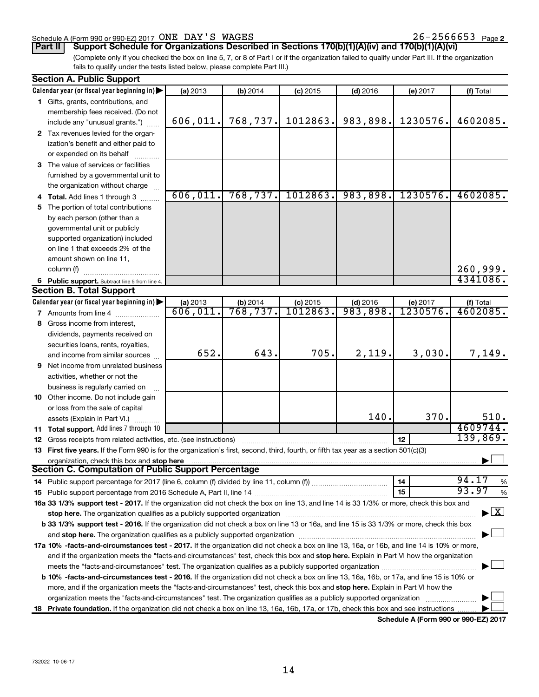#### Schedule A (Form 990 or 990-EZ) 2017  $\overline{ONE}$   $\overline{DAY}$   $\overline{S}$   $\overline{WAGES}$  26 - 2566653  $\overline{Page}$

26-2566653 Page 2

**Part II Support Schedule for Organizations Described in Sections 170(b)(1)(A)(iv) and 170(b)(1)(A)(vi)**

(Complete only if you checked the box on line 5, 7, or 8 of Part I or if the organization failed to qualify under Part III. If the organization fails to qualify under the tests listed below, please complete Part III.)

| <b>Section A. Public Support</b> |                                                                                                                                                |                      |                      |                               |                        |                      |                                          |
|----------------------------------|------------------------------------------------------------------------------------------------------------------------------------------------|----------------------|----------------------|-------------------------------|------------------------|----------------------|------------------------------------------|
|                                  | Calendar year (or fiscal year beginning in)                                                                                                    | (a) 2013             | (b) 2014             | $(c)$ 2015                    | $(d)$ 2016             | (e) 2017             | (f) Total                                |
|                                  | 1 Gifts, grants, contributions, and                                                                                                            |                      |                      |                               |                        |                      |                                          |
|                                  | membership fees received. (Do not                                                                                                              |                      |                      |                               |                        |                      |                                          |
|                                  | include any "unusual grants.")                                                                                                                 | 606,011.             | 768, 737.            | 1012863.                      | 983,898.               | 1230576.             | 4602085.                                 |
|                                  | 2 Tax revenues levied for the organ-                                                                                                           |                      |                      |                               |                        |                      |                                          |
|                                  | ization's benefit and either paid to                                                                                                           |                      |                      |                               |                        |                      |                                          |
|                                  | or expended on its behalf                                                                                                                      |                      |                      |                               |                        |                      |                                          |
|                                  | 3 The value of services or facilities                                                                                                          |                      |                      |                               |                        |                      |                                          |
|                                  | furnished by a governmental unit to                                                                                                            |                      |                      |                               |                        |                      |                                          |
|                                  | the organization without charge                                                                                                                |                      |                      |                               |                        |                      |                                          |
|                                  | 4 Total. Add lines 1 through 3                                                                                                                 | 606,011.             | 768, 737.            | 1012863.                      | 983,898.               | 1230576.             | 4602085.                                 |
| 5.                               | The portion of total contributions                                                                                                             |                      |                      |                               |                        |                      |                                          |
|                                  | by each person (other than a                                                                                                                   |                      |                      |                               |                        |                      |                                          |
|                                  | governmental unit or publicly                                                                                                                  |                      |                      |                               |                        |                      |                                          |
|                                  | supported organization) included                                                                                                               |                      |                      |                               |                        |                      |                                          |
|                                  | on line 1 that exceeds 2% of the                                                                                                               |                      |                      |                               |                        |                      |                                          |
|                                  | amount shown on line 11,                                                                                                                       |                      |                      |                               |                        |                      |                                          |
|                                  | column (f)                                                                                                                                     |                      |                      |                               |                        |                      | 260,999.                                 |
|                                  |                                                                                                                                                |                      |                      |                               |                        |                      | 4341086.                                 |
|                                  | 6 Public support. Subtract line 5 from line 4.<br><b>Section B. Total Support</b>                                                              |                      |                      |                               |                        |                      |                                          |
|                                  |                                                                                                                                                |                      |                      |                               |                        |                      |                                          |
|                                  | Calendar year (or fiscal year beginning in)                                                                                                    | (a) 2013<br>606,011. | (b) 2014<br>768,737. | $(c)$ 2015<br><u>1012863.</u> | $(d)$ 2016<br>983,898. | (e) 2017<br>1230576. | (f) Total<br>4602085.                    |
|                                  | <b>7</b> Amounts from line 4                                                                                                                   |                      |                      |                               |                        |                      |                                          |
|                                  | 8 Gross income from interest,                                                                                                                  |                      |                      |                               |                        |                      |                                          |
|                                  | dividends, payments received on                                                                                                                |                      |                      |                               |                        |                      |                                          |
|                                  | securities loans, rents, royalties,                                                                                                            |                      |                      |                               |                        |                      |                                          |
|                                  | and income from similar sources                                                                                                                | 652.                 | 643.                 | 705.                          | 2,119.                 | 3,030.               | 7,149.                                   |
|                                  | <b>9</b> Net income from unrelated business                                                                                                    |                      |                      |                               |                        |                      |                                          |
|                                  | activities, whether or not the                                                                                                                 |                      |                      |                               |                        |                      |                                          |
|                                  | business is regularly carried on                                                                                                               |                      |                      |                               |                        |                      |                                          |
|                                  | 10 Other income. Do not include gain                                                                                                           |                      |                      |                               |                        |                      |                                          |
|                                  | or loss from the sale of capital                                                                                                               |                      |                      |                               |                        |                      |                                          |
|                                  | assets (Explain in Part VI.)                                                                                                                   |                      |                      |                               | 140.                   | 370.                 | 510.                                     |
|                                  | 11 Total support. Add lines 7 through 10                                                                                                       |                      |                      |                               |                        |                      | 4609744.                                 |
|                                  | <b>12</b> Gross receipts from related activities, etc. (see instructions)                                                                      |                      |                      |                               |                        | 12                   | 139,869.                                 |
|                                  | 13 First five years. If the Form 990 is for the organization's first, second, third, fourth, or fifth tax year as a section 501(c)(3)          |                      |                      |                               |                        |                      |                                          |
|                                  | organization, check this box and stop here                                                                                                     |                      |                      |                               |                        |                      |                                          |
|                                  | Section C. Computation of Public Support Percentage                                                                                            |                      |                      |                               |                        |                      |                                          |
|                                  |                                                                                                                                                |                      |                      |                               |                        | 14                   | 94.17<br>%                               |
|                                  |                                                                                                                                                |                      |                      |                               |                        | 15                   | 93.97<br>$\%$                            |
|                                  | 16a 33 1/3% support test - 2017. If the organization did not check the box on line 13, and line 14 is 33 1/3% or more, check this box and      |                      |                      |                               |                        |                      |                                          |
|                                  | stop here. The organization qualifies as a publicly supported organization                                                                     |                      |                      |                               |                        |                      | $\blacktriangleright$ $\boxed{\text{X}}$ |
|                                  | b 33 1/3% support test - 2016. If the organization did not check a box on line 13 or 16a, and line 15 is 33 1/3% or more, check this box       |                      |                      |                               |                        |                      |                                          |
|                                  |                                                                                                                                                |                      |                      |                               |                        |                      |                                          |
|                                  | 17a 10% -facts-and-circumstances test - 2017. If the organization did not check a box on line 13, 16a, or 16b, and line 14 is 10% or more,     |                      |                      |                               |                        |                      |                                          |
|                                  | and if the organization meets the "facts-and-circumstances" test, check this box and stop here. Explain in Part VI how the organization        |                      |                      |                               |                        |                      |                                          |
|                                  |                                                                                                                                                |                      |                      |                               |                        |                      |                                          |
|                                  | <b>b 10%</b> -facts-and-circumstances test - 2016. If the organization did not check a box on line 13, 16a, 16b, or 17a, and line 15 is 10% or |                      |                      |                               |                        |                      |                                          |
|                                  | more, and if the organization meets the "facts-and-circumstances" test, check this box and stop here. Explain in Part VI how the               |                      |                      |                               |                        |                      |                                          |
|                                  | organization meets the "facts-and-circumstances" test. The organization qualifies as a publicly supported organization                         |                      |                      |                               |                        |                      |                                          |
|                                  |                                                                                                                                                |                      |                      |                               |                        |                      |                                          |
|                                  | 18 Private foundation. If the organization did not check a box on line 13, 16a, 16b, 17a, or 17b, check this box and see instructions.         |                      |                      |                               |                        |                      |                                          |

**Schedule A (Form 990 or 990-EZ) 2017**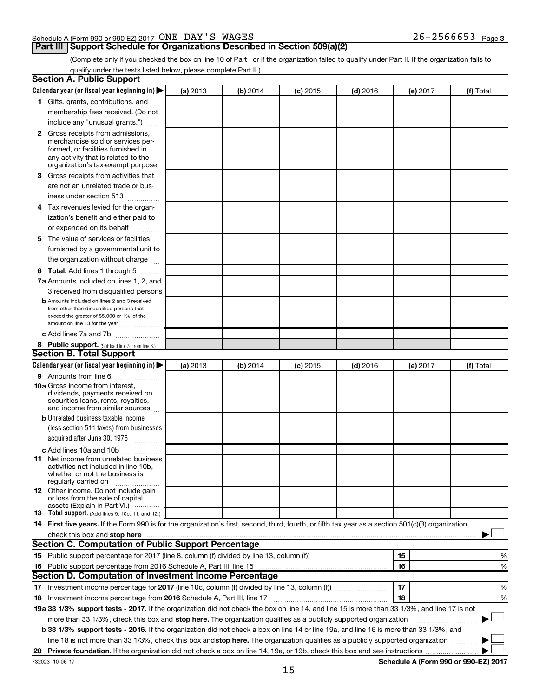### Schedule A (Form 990 or 990-EZ) 2017  $\overline{ONE}$   $\overline{DAY}$   $\overline{S}$   $\overline{WAGES}$  26 - 2566653  $\overline{Page}$

## **Part III Support Schedule for Organizations Described in Section 509(a)(2)**

26-2566653 Page 3

(Complete only if you checked the box on line 10 of Part I or if the organization failed to qualify under Part II. If the organization fails to qualify under the tests listed below, please complete Part II.)

| <b>Section A. Public Support</b>                                                                                                                                                                |          |          |            |            |          |                                      |
|-------------------------------------------------------------------------------------------------------------------------------------------------------------------------------------------------|----------|----------|------------|------------|----------|--------------------------------------|
| Calendar year (or fiscal year beginning in)                                                                                                                                                     | (a) 2013 | (b) 2014 | $(c)$ 2015 | $(d)$ 2016 | (e) 2017 | (f) Total                            |
| 1 Gifts, grants, contributions, and                                                                                                                                                             |          |          |            |            |          |                                      |
| membership fees received. (Do not                                                                                                                                                               |          |          |            |            |          |                                      |
| include any "unusual grants.")                                                                                                                                                                  |          |          |            |            |          |                                      |
| <b>2</b> Gross receipts from admissions,<br>merchandise sold or services per-<br>formed, or facilities furnished in<br>any activity that is related to the<br>organization's tax-exempt purpose |          |          |            |            |          |                                      |
| 3 Gross receipts from activities that                                                                                                                                                           |          |          |            |            |          |                                      |
| are not an unrelated trade or bus-<br>iness under section 513                                                                                                                                   |          |          |            |            |          |                                      |
| 4 Tax revenues levied for the organ-                                                                                                                                                            |          |          |            |            |          |                                      |
| ization's benefit and either paid to                                                                                                                                                            |          |          |            |            |          |                                      |
| or expended on its behalf                                                                                                                                                                       |          |          |            |            |          |                                      |
| 5 The value of services or facilities                                                                                                                                                           |          |          |            |            |          |                                      |
| furnished by a governmental unit to                                                                                                                                                             |          |          |            |            |          |                                      |
| the organization without charge                                                                                                                                                                 |          |          |            |            |          |                                      |
| 6 Total. Add lines 1 through 5                                                                                                                                                                  |          |          |            |            |          |                                      |
| 7a Amounts included on lines 1, 2, and                                                                                                                                                          |          |          |            |            |          |                                      |
| 3 received from disqualified persons                                                                                                                                                            |          |          |            |            |          |                                      |
| <b>b</b> Amounts included on lines 2 and 3 received<br>from other than disqualified persons that<br>exceed the greater of \$5,000 or 1% of the<br>amount on line 13 for the year                |          |          |            |            |          |                                      |
| c Add lines 7a and 7b                                                                                                                                                                           |          |          |            |            |          |                                      |
| 8 Public support. (Subtract line 7c from line 6.)                                                                                                                                               |          |          |            |            |          |                                      |
| <b>Section B. Total Support</b>                                                                                                                                                                 |          |          |            |            |          |                                      |
| Calendar year (or fiscal year beginning in)                                                                                                                                                     | (a) 2013 | (b) 2014 | $(c)$ 2015 | $(d)$ 2016 | (e) 2017 | (f) Total                            |
| 9 Amounts from line 6                                                                                                                                                                           |          |          |            |            |          |                                      |
| <b>10a</b> Gross income from interest,<br>dividends, payments received on<br>securities loans, rents, royalties,<br>and income from similar sources                                             |          |          |            |            |          |                                      |
| <b>b</b> Unrelated business taxable income                                                                                                                                                      |          |          |            |            |          |                                      |
| (less section 511 taxes) from businesses<br>acquired after June 30, 1975                                                                                                                        |          |          |            |            |          |                                      |
| c Add lines 10a and 10b                                                                                                                                                                         |          |          |            |            |          |                                      |
| <b>11</b> Net income from unrelated business<br>activities not included in line 10b.<br>whether or not the business is<br>regularly carried on                                                  |          |          |            |            |          |                                      |
| <b>12</b> Other income. Do not include gain<br>or loss from the sale of capital<br>assets (Explain in Part VI.)                                                                                 |          |          |            |            |          |                                      |
| <b>13</b> Total support. (Add lines 9, 10c, 11, and 12.)                                                                                                                                        |          |          |            |            |          |                                      |
| 14 First five years. If the Form 990 is for the organization's first, second, third, fourth, or fifth tax year as a section 501(c)(3) organization,                                             |          |          |            |            |          |                                      |
| check this box and stop here <b>contained and the contained and stop here</b> check this box and stop here <b>contained and stop here</b>                                                       |          |          |            |            |          |                                      |
| Section C. Computation of Public Support Percentage                                                                                                                                             |          |          |            |            |          |                                      |
|                                                                                                                                                                                                 |          |          |            |            | 15       | ℅                                    |
| 16 Public support percentage from 2016 Schedule A, Part III, line 15                                                                                                                            |          |          |            |            | 16       | %                                    |
| Section D. Computation of Investment Income Percentage                                                                                                                                          |          |          |            |            |          |                                      |
|                                                                                                                                                                                                 |          |          |            |            | 17       | %                                    |
| 18 Investment income percentage from 2016 Schedule A, Part III, line 17                                                                                                                         |          |          |            |            | 18       | %                                    |
| 19a 33 1/3% support tests - 2017. If the organization did not check the box on line 14, and line 15 is more than 33 1/3%, and line 17 is not                                                    |          |          |            |            |          |                                      |
| more than 33 1/3%, check this box and stop here. The organization qualifies as a publicly supported organization                                                                                |          |          |            |            |          |                                      |
| b 33 1/3% support tests - 2016. If the organization did not check a box on line 14 or line 19a, and line 16 is more than 33 1/3%, and                                                           |          |          |            |            |          |                                      |
| line 18 is not more than 33 1/3%, check this box and stop here. The organization qualifies as a publicly supported organization                                                                 |          |          |            |            |          |                                      |
|                                                                                                                                                                                                 |          |          |            |            |          |                                      |
| 732023 10-06-17                                                                                                                                                                                 |          |          |            |            |          | Schedule A (Form 990 or 990-EZ) 2017 |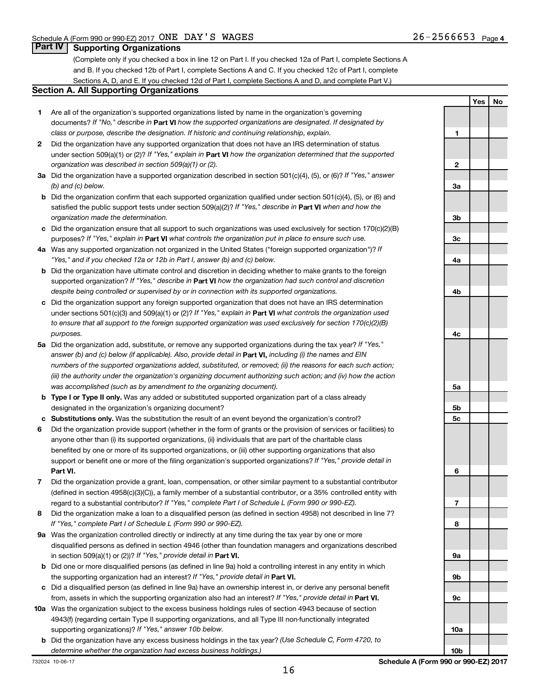**Yes No**

### **Part IV Supporting Organizations**

(Complete only if you checked a box in line 12 on Part I. If you checked 12a of Part I, complete Sections A and B. If you checked 12b of Part I, complete Sections A and C. If you checked 12c of Part I, complete Sections A, D, and E. If you checked 12d of Part I, complete Sections A and D, and complete Part V.)

#### **Section A. All Supporting Organizations**

- **1** Are all of the organization's supported organizations listed by name in the organization's governing documents? If "No," describe in Part VI how the supported organizations are designated. If designated by *class or purpose, describe the designation. If historic and continuing relationship, explain.*
- **2** Did the organization have any supported organization that does not have an IRS determination of status under section 509(a)(1) or (2)? If "Yes," explain in Part **VI** how the organization determined that the supported *organization was described in section 509(a)(1) or (2).*
- **3a** Did the organization have a supported organization described in section 501(c)(4), (5), or (6)? If "Yes," answer *(b) and (c) below.*
- **b** Did the organization confirm that each supported organization qualified under section 501(c)(4), (5), or (6) and satisfied the public support tests under section 509(a)(2)? If "Yes," describe in Part VI when and how the *organization made the determination.*
- **c** Did the organization ensure that all support to such organizations was used exclusively for section 170(c)(2)(B) purposes? If "Yes," explain in Part VI what controls the organization put in place to ensure such use.
- **4 a** *If* Was any supported organization not organized in the United States ("foreign supported organization")? *"Yes," and if you checked 12a or 12b in Part I, answer (b) and (c) below.*
- **b** Did the organization have ultimate control and discretion in deciding whether to make grants to the foreign supported organization? If "Yes," describe in Part VI how the organization had such control and discretion *despite being controlled or supervised by or in connection with its supported organizations.*
- **c** Did the organization support any foreign supported organization that does not have an IRS determination under sections 501(c)(3) and 509(a)(1) or (2)? If "Yes," explain in Part VI what controls the organization used *to ensure that all support to the foreign supported organization was used exclusively for section 170(c)(2)(B) purposes.*
- **5a** Did the organization add, substitute, or remove any supported organizations during the tax year? If "Yes," answer (b) and (c) below (if applicable). Also, provide detail in **Part VI,** including (i) the names and EIN *numbers of the supported organizations added, substituted, or removed; (ii) the reasons for each such action; (iii) the authority under the organization's organizing document authorizing such action; and (iv) how the action was accomplished (such as by amendment to the organizing document).*
- **b Type I or Type II only.** Was any added or substituted supported organization part of a class already designated in the organization's organizing document?
- **c Substitutions only.**  Was the substitution the result of an event beyond the organization's control?
- **6** Did the organization provide support (whether in the form of grants or the provision of services or facilities) to **Part VI.** support or benefit one or more of the filing organization's supported organizations? If "Yes," provide detail in anyone other than (i) its supported organizations, (ii) individuals that are part of the charitable class benefited by one or more of its supported organizations, or (iii) other supporting organizations that also
- **7** Did the organization provide a grant, loan, compensation, or other similar payment to a substantial contributor regard to a substantial contributor? If "Yes," complete Part I of Schedule L (Form 990 or 990-EZ). (defined in section 4958(c)(3)(C)), a family member of a substantial contributor, or a 35% controlled entity with
- **8** Did the organization make a loan to a disqualified person (as defined in section 4958) not described in line 7? *If "Yes," complete Part I of Schedule L (Form 990 or 990-EZ).*
- **9 a** Was the organization controlled directly or indirectly at any time during the tax year by one or more in section 509(a)(1) or (2))? If "Yes," provide detail in **Part VI.** disqualified persons as defined in section 4946 (other than foundation managers and organizations described
- **b** Did one or more disqualified persons (as defined in line 9a) hold a controlling interest in any entity in which the supporting organization had an interest? If "Yes," provide detail in Part VI.
- **c** Did a disqualified person (as defined in line 9a) have an ownership interest in, or derive any personal benefit from, assets in which the supporting organization also had an interest? If "Yes," provide detail in Part VI.
- **10 a** Was the organization subject to the excess business holdings rules of section 4943 because of section supporting organizations)? If "Yes," answer 10b below. 4943(f) (regarding certain Type II supporting organizations, and all Type III non-functionally integrated
- **b** Did the organization have any excess business holdings in the tax year? (Use Schedule C, Form 4720, to *determine whether the organization had excess business holdings.)*

**1 2 3a 3b 3c 4a 4b 4c 5a 5b 5c 6 7 8 9a 9b 9c 10a**

**10b**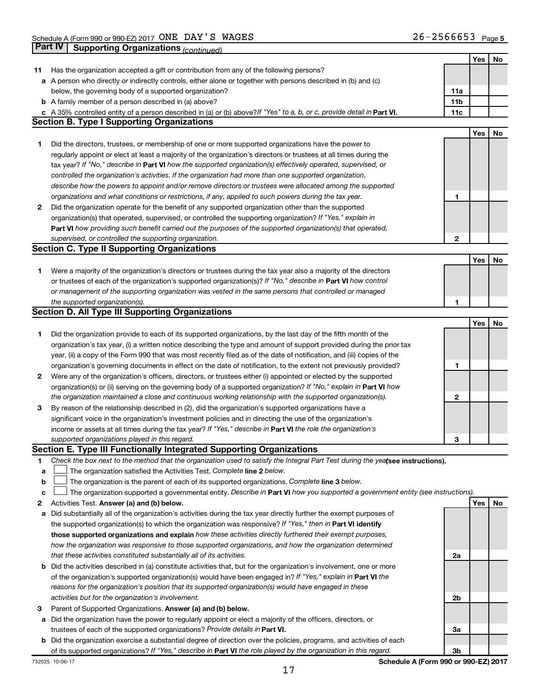|        |                                                                                                                                 |              | Yes | No |
|--------|---------------------------------------------------------------------------------------------------------------------------------|--------------|-----|----|
| 11     | Has the organization accepted a gift or contribution from any of the following persons?                                         |              |     |    |
|        | a A person who directly or indirectly controls, either alone or together with persons described in (b) and (c)                  |              |     |    |
|        | below, the governing body of a supported organization?                                                                          | 11a          |     |    |
|        | <b>b</b> A family member of a person described in (a) above?                                                                    | 11b          |     |    |
|        | A 35% controlled entity of a person described in (a) or (b) above? If "Yes" to a, b, or c, provide detail in Part VI.           | 11c          |     |    |
|        | <b>Section B. Type I Supporting Organizations</b>                                                                               |              |     |    |
|        |                                                                                                                                 |              | Yes | No |
| 1      | Did the directors, trustees, or membership of one or more supported organizations have the power to                             |              |     |    |
|        | regularly appoint or elect at least a majority of the organization's directors or trustees at all times during the              |              |     |    |
|        | tax year? If "No," describe in Part VI how the supported organization(s) effectively operated, supervised, or                   |              |     |    |
|        | controlled the organization's activities. If the organization had more than one supported organization,                         |              |     |    |
|        | describe how the powers to appoint and/or remove directors or trustees were allocated among the supported                       |              |     |    |
|        |                                                                                                                                 |              |     |    |
|        | organizations and what conditions or restrictions, if any, applied to such powers during the tax year.                          | 1            |     |    |
| 2      | Did the organization operate for the benefit of any supported organization other than the supported                             |              |     |    |
|        | organization(s) that operated, supervised, or controlled the supporting organization? If "Yes," explain in                      |              |     |    |
|        | Part VI how providing such benefit carried out the purposes of the supported organization(s) that operated,                     |              |     |    |
|        | supervised, or controlled the supporting organization.                                                                          | $\mathbf{2}$ |     |    |
|        | <b>Section C. Type II Supporting Organizations</b>                                                                              |              |     |    |
|        |                                                                                                                                 |              | Yes | No |
| 1      | Were a majority of the organization's directors or trustees during the tax year also a majority of the directors                |              |     |    |
|        | or trustees of each of the organization's supported organization(s)? If "No," describe in Part VI how control                   |              |     |    |
|        | or management of the supporting organization was vested in the same persons that controlled or managed                          |              |     |    |
|        | the supported organization(s).                                                                                                  | 1            |     |    |
|        | <b>Section D. All Type III Supporting Organizations</b>                                                                         |              |     |    |
|        |                                                                                                                                 |              | Yes | No |
| 1      | Did the organization provide to each of its supported organizations, by the last day of the fifth month of the                  |              |     |    |
|        | organization's tax year, (i) a written notice describing the type and amount of support provided during the prior tax           |              |     |    |
|        | year, (ii) a copy of the Form 990 that was most recently filed as of the date of notification, and (iii) copies of the          |              |     |    |
|        | organization's governing documents in effect on the date of notification, to the extent not previously provided?                | 1            |     |    |
| 2      | Were any of the organization's officers, directors, or trustees either (i) appointed or elected by the supported                |              |     |    |
|        | organization(s) or (ii) serving on the governing body of a supported organization? If "No," explain in Part VI how              |              |     |    |
|        | the organization maintained a close and continuous working relationship with the supported organization(s).                     | 2            |     |    |
| 3      | By reason of the relationship described in (2), did the organization's supported organizations have a                           |              |     |    |
|        | significant voice in the organization's investment policies and in directing the use of the organization's                      |              |     |    |
|        | income or assets at all times during the tax year? If "Yes," describe in Part VI the role the organization's                    |              |     |    |
|        | supported organizations played in this regard.                                                                                  | З            |     |    |
|        | Section E. Type III Functionally Integrated Supporting Organizations                                                            |              |     |    |
| 1      | Check the box next to the method that the organization used to satisfy the Integral Part Test during the yealsee instructions). |              |     |    |
|        | The organization satisfied the Activities Test. Complete line 2 below.                                                          |              |     |    |
| а<br>b | The organization is the parent of each of its supported organizations. Complete line 3 below.                                   |              |     |    |
|        |                                                                                                                                 |              |     |    |
| с      | The organization supported a governmental entity. Describe in Part VI how you supported a government entity (see instructions). |              |     |    |
| 2      | Activities Test. Answer (a) and (b) below.                                                                                      |              | Yes | No |
| а      | Did substantially all of the organization's activities during the tax year directly further the exempt purposes of              |              |     |    |
|        | the supported organization(s) to which the organization was responsive? If "Yes," then in Part VI identify                      |              |     |    |
|        | those supported organizations and explain how these activities directly furthered their exempt purposes,                        |              |     |    |
|        | how the organization was responsive to those supported organizations, and how the organization determined                       |              |     |    |
|        | that these activities constituted substantially all of its activities.                                                          | 2a           |     |    |
| b      | Did the activities described in (a) constitute activities that, but for the organization's involvement, one or more             |              |     |    |
|        | of the organization's supported organization(s) would have been engaged in? If "Yes," explain in Part VI the                    |              |     |    |
|        | reasons for the organization's position that its supported organization(s) would have engaged in these                          |              |     |    |
|        | activities but for the organization's involvement.                                                                              | 2b           |     |    |
| 3      | Parent of Supported Organizations. Answer (a) and (b) below.                                                                    |              |     |    |
| а      | Did the organization have the power to regularly appoint or elect a majority of the officers, directors, or                     |              |     |    |
|        | trustees of each of the supported organizations? Provide details in Part VI.                                                    | За           |     |    |
| b      | Did the organization exercise a substantial degree of direction over the policies, programs, and activities of each             |              |     |    |
|        | of its supported organizations? If "Yes," describe in Part VI the role played by the organization in this regard.               | 3b           |     |    |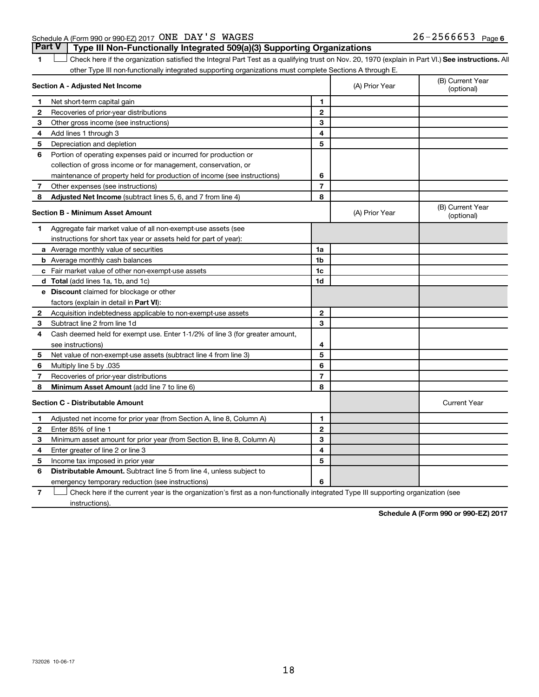### Schedule A (Form 990 or 990-EZ) 2017  $\overline{ONE}$   $\overline{DAY}$   $\overline{S}$   $\overline{WAGES}$  26 - 2566653  $\overline{Page}$

**Part V Type III Non-Functionally Integrated 509(a)(3) Supporting Organizations** 

1 **Letter See instructions.** All Check here if the organization satisfied the Integral Part Test as a qualifying trust on Nov. 20, 1970 (explain in Part VI.) See instructions. All other Type III non-functionally integrated supporting organizations must complete Sections A through E.

| Section A - Adjusted Net Income |                                                                              |                | (A) Prior Year | (B) Current Year<br>(optional) |
|---------------------------------|------------------------------------------------------------------------------|----------------|----------------|--------------------------------|
| 1                               | Net short-term capital gain                                                  | 1              |                |                                |
| 2                               | Recoveries of prior-year distributions                                       | $\mathbf{2}$   |                |                                |
| З                               | Other gross income (see instructions)                                        | 3              |                |                                |
| 4                               | Add lines 1 through 3                                                        | 4              |                |                                |
| 5                               | Depreciation and depletion                                                   | 5              |                |                                |
| 6                               | Portion of operating expenses paid or incurred for production or             |                |                |                                |
|                                 | collection of gross income or for management, conservation, or               |                |                |                                |
|                                 | maintenance of property held for production of income (see instructions)     | 6              |                |                                |
| 7                               | Other expenses (see instructions)                                            | $\overline{7}$ |                |                                |
| 8                               | Adjusted Net Income (subtract lines 5, 6, and 7 from line 4)                 | 8              |                |                                |
|                                 | <b>Section B - Minimum Asset Amount</b>                                      |                | (A) Prior Year | (B) Current Year<br>(optional) |
| 1                               | Aggregate fair market value of all non-exempt-use assets (see                |                |                |                                |
|                                 | instructions for short tax year or assets held for part of year):            |                |                |                                |
|                                 | a Average monthly value of securities                                        | 1a             |                |                                |
|                                 | <b>b</b> Average monthly cash balances                                       | 1b             |                |                                |
|                                 | <b>c</b> Fair market value of other non-exempt-use assets                    | 1c             |                |                                |
|                                 | d Total (add lines 1a, 1b, and 1c)                                           | 1d             |                |                                |
|                                 | e Discount claimed for blockage or other                                     |                |                |                                |
|                                 | factors (explain in detail in Part VI):                                      |                |                |                                |
| $\mathbf{2}$                    | Acquisition indebtedness applicable to non-exempt-use assets                 | $\mathbf{2}$   |                |                                |
| 3                               | Subtract line 2 from line 1d                                                 | 3              |                |                                |
| 4                               | Cash deemed held for exempt use. Enter 1-1/2% of line 3 (for greater amount, |                |                |                                |
|                                 | see instructions)                                                            | 4              |                |                                |
| 5                               | Net value of non-exempt-use assets (subtract line 4 from line 3)             | 5              |                |                                |
| 6                               | Multiply line 5 by .035                                                      | 6              |                |                                |
| 7                               | Recoveries of prior-year distributions                                       | $\overline{7}$ |                |                                |
| 8                               | <b>Minimum Asset Amount (add line 7 to line 6)</b>                           | 8              |                |                                |
|                                 | <b>Section C - Distributable Amount</b>                                      |                |                | <b>Current Year</b>            |
| 1                               | Adjusted net income for prior year (from Section A, line 8, Column A)        | 1              |                |                                |
| $\mathbf{2}$                    | Enter 85% of line 1                                                          | $\mathbf{2}$   |                |                                |
| 3                               | Minimum asset amount for prior year (from Section B, line 8, Column A)       | 3              |                |                                |
| 4                               | Enter greater of line 2 or line 3                                            | 4              |                |                                |
| 5                               | Income tax imposed in prior year                                             | 5              |                |                                |
| 6                               | Distributable Amount. Subtract line 5 from line 4, unless subject to         |                |                |                                |
|                                 | emergency temporary reduction (see instructions)                             | 6              |                |                                |
|                                 |                                                                              |                |                |                                |

**7** Check here if the current year is the organization's first as a non-functionally integrated Type III supporting organization (see † instructions).

**Schedule A (Form 990 or 990-EZ) 2017**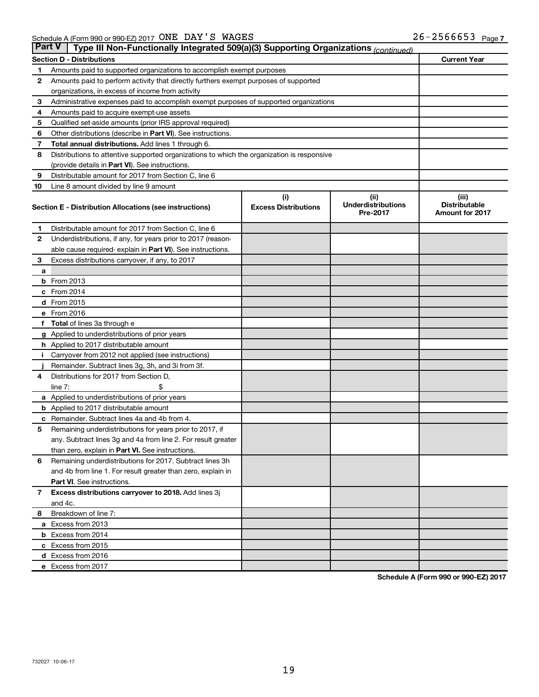| <b>Part V</b> | Type III Non-Functionally Integrated 509(a)(3) Supporting Organizations (continued)        |                             |                                       |                                                |  |  |  |
|---------------|--------------------------------------------------------------------------------------------|-----------------------------|---------------------------------------|------------------------------------------------|--|--|--|
|               | <b>Section D - Distributions</b>                                                           |                             |                                       | <b>Current Year</b>                            |  |  |  |
| 1             | Amounts paid to supported organizations to accomplish exempt purposes                      |                             |                                       |                                                |  |  |  |
| 2             | Amounts paid to perform activity that directly furthers exempt purposes of supported       |                             |                                       |                                                |  |  |  |
|               | organizations, in excess of income from activity                                           |                             |                                       |                                                |  |  |  |
| 3             | Administrative expenses paid to accomplish exempt purposes of supported organizations      |                             |                                       |                                                |  |  |  |
| 4             | Amounts paid to acquire exempt-use assets                                                  |                             |                                       |                                                |  |  |  |
| 5             | Qualified set-aside amounts (prior IRS approval required)                                  |                             |                                       |                                                |  |  |  |
| 6             | Other distributions (describe in Part VI). See instructions.                               |                             |                                       |                                                |  |  |  |
| 7             | Total annual distributions. Add lines 1 through 6.                                         |                             |                                       |                                                |  |  |  |
| 8             | Distributions to attentive supported organizations to which the organization is responsive |                             |                                       |                                                |  |  |  |
|               | (provide details in Part VI). See instructions.                                            |                             |                                       |                                                |  |  |  |
| 9             | Distributable amount for 2017 from Section C, line 6                                       |                             |                                       |                                                |  |  |  |
| 10            | Line 8 amount divided by line 9 amount                                                     |                             |                                       |                                                |  |  |  |
|               |                                                                                            | (i)                         | (ii)                                  | (iii)                                          |  |  |  |
|               | Section E - Distribution Allocations (see instructions)                                    | <b>Excess Distributions</b> | <b>Underdistributions</b><br>Pre-2017 | <b>Distributable</b><br><b>Amount for 2017</b> |  |  |  |
| 1             | Distributable amount for 2017 from Section C, line 6                                       |                             |                                       |                                                |  |  |  |
| 2             | Underdistributions, if any, for years prior to 2017 (reason-                               |                             |                                       |                                                |  |  |  |
|               | able cause required- explain in Part VI). See instructions.                                |                             |                                       |                                                |  |  |  |
| 3             | Excess distributions carryover, if any, to 2017                                            |                             |                                       |                                                |  |  |  |
| a             |                                                                                            |                             |                                       |                                                |  |  |  |
|               | $b$ From 2013                                                                              |                             |                                       |                                                |  |  |  |
|               | c From 2014                                                                                |                             |                                       |                                                |  |  |  |
|               | d From 2015                                                                                |                             |                                       |                                                |  |  |  |
|               | e From 2016                                                                                |                             |                                       |                                                |  |  |  |
| f             | <b>Total</b> of lines 3a through e                                                         |                             |                                       |                                                |  |  |  |
|               | <b>g</b> Applied to underdistributions of prior years                                      |                             |                                       |                                                |  |  |  |
|               | <b>h</b> Applied to 2017 distributable amount                                              |                             |                                       |                                                |  |  |  |
|               | Carryover from 2012 not applied (see instructions)                                         |                             |                                       |                                                |  |  |  |
|               | Remainder. Subtract lines 3g, 3h, and 3i from 3f.                                          |                             |                                       |                                                |  |  |  |
| 4             | Distributions for 2017 from Section D,                                                     |                             |                                       |                                                |  |  |  |
|               | line $7:$                                                                                  |                             |                                       |                                                |  |  |  |
|               | a Applied to underdistributions of prior years                                             |                             |                                       |                                                |  |  |  |
|               | <b>b</b> Applied to 2017 distributable amount                                              |                             |                                       |                                                |  |  |  |
| с             | Remainder. Subtract lines 4a and 4b from 4.                                                |                             |                                       |                                                |  |  |  |
| 5             | Remaining underdistributions for years prior to 2017, if                                   |                             |                                       |                                                |  |  |  |
|               | any. Subtract lines 3g and 4a from line 2. For result greater                              |                             |                                       |                                                |  |  |  |
|               | than zero, explain in Part VI. See instructions.                                           |                             |                                       |                                                |  |  |  |
| 6             | Remaining underdistributions for 2017. Subtract lines 3h                                   |                             |                                       |                                                |  |  |  |
|               | and 4b from line 1. For result greater than zero, explain in                               |                             |                                       |                                                |  |  |  |
|               | <b>Part VI.</b> See instructions.                                                          |                             |                                       |                                                |  |  |  |
| $\mathbf{7}$  | Excess distributions carryover to 2018. Add lines 3j                                       |                             |                                       |                                                |  |  |  |
|               | and 4c.                                                                                    |                             |                                       |                                                |  |  |  |
| 8             | Breakdown of line 7:                                                                       |                             |                                       |                                                |  |  |  |
|               | a Excess from 2013                                                                         |                             |                                       |                                                |  |  |  |
|               | <b>b</b> Excess from 2014                                                                  |                             |                                       |                                                |  |  |  |
|               | c Excess from 2015                                                                         |                             |                                       |                                                |  |  |  |
|               | d Excess from 2016                                                                         |                             |                                       |                                                |  |  |  |
|               | e Excess from 2017                                                                         |                             |                                       |                                                |  |  |  |

**Schedule A (Form 990 or 990-EZ) 2017**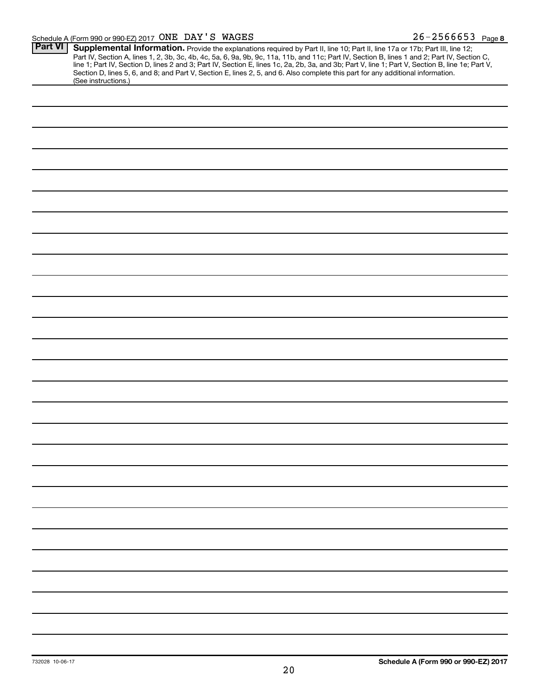### Schedule A (Form 990 or 990-EZ) 2017  $\overline{ONE}$   $\overline{DAY}$   $\overline{S}$   $\overline{WAGES}$  26  $\overline{S}$  2566653  $\overline{Page}$

| <b>Part VI</b> | Supplemental Information. Provide the explanations required by Part II, line 10; Part II, line 17a or 17b; Part III, line 12;                    |  |  |  |  |
|----------------|--------------------------------------------------------------------------------------------------------------------------------------------------|--|--|--|--|
|                | Part IV, Section A, lines 1, 2, 3b, 3c, 4b, 4c, 5a, 6, 9a, 9b, 9c, 11a, 11b, and 11c; Part IV, Section B, lines 1 and 2; Part IV, Section C,     |  |  |  |  |
|                | line 1; Part IV, Section D, lines 2 and 3; Part IV, Section E, lines 1c, 2a, 2b, 3a, and 3b; Part V, line 1; Part V, Section B, line 1e; Part V, |  |  |  |  |
|                | Section D, lines 5, 6, and 8; and Part V, Section E, lines 2, 5, and 6. Also complete this part for any additional information.                  |  |  |  |  |
|                | (See instructions.)                                                                                                                              |  |  |  |  |
|                |                                                                                                                                                  |  |  |  |  |
|                |                                                                                                                                                  |  |  |  |  |
|                |                                                                                                                                                  |  |  |  |  |
|                |                                                                                                                                                  |  |  |  |  |
|                |                                                                                                                                                  |  |  |  |  |
|                |                                                                                                                                                  |  |  |  |  |
|                |                                                                                                                                                  |  |  |  |  |
|                |                                                                                                                                                  |  |  |  |  |
|                |                                                                                                                                                  |  |  |  |  |
|                |                                                                                                                                                  |  |  |  |  |
|                |                                                                                                                                                  |  |  |  |  |
|                |                                                                                                                                                  |  |  |  |  |
|                |                                                                                                                                                  |  |  |  |  |
|                |                                                                                                                                                  |  |  |  |  |
|                |                                                                                                                                                  |  |  |  |  |
|                |                                                                                                                                                  |  |  |  |  |
|                |                                                                                                                                                  |  |  |  |  |
|                |                                                                                                                                                  |  |  |  |  |
|                |                                                                                                                                                  |  |  |  |  |
|                |                                                                                                                                                  |  |  |  |  |
|                |                                                                                                                                                  |  |  |  |  |
|                |                                                                                                                                                  |  |  |  |  |
|                |                                                                                                                                                  |  |  |  |  |
|                |                                                                                                                                                  |  |  |  |  |
|                |                                                                                                                                                  |  |  |  |  |
|                |                                                                                                                                                  |  |  |  |  |
|                |                                                                                                                                                  |  |  |  |  |
|                |                                                                                                                                                  |  |  |  |  |
|                |                                                                                                                                                  |  |  |  |  |
|                |                                                                                                                                                  |  |  |  |  |
|                |                                                                                                                                                  |  |  |  |  |
|                |                                                                                                                                                  |  |  |  |  |
|                |                                                                                                                                                  |  |  |  |  |
|                |                                                                                                                                                  |  |  |  |  |
|                |                                                                                                                                                  |  |  |  |  |
|                |                                                                                                                                                  |  |  |  |  |
|                |                                                                                                                                                  |  |  |  |  |
|                |                                                                                                                                                  |  |  |  |  |
|                |                                                                                                                                                  |  |  |  |  |
|                |                                                                                                                                                  |  |  |  |  |
|                |                                                                                                                                                  |  |  |  |  |
|                |                                                                                                                                                  |  |  |  |  |
|                |                                                                                                                                                  |  |  |  |  |
|                |                                                                                                                                                  |  |  |  |  |
|                |                                                                                                                                                  |  |  |  |  |
|                |                                                                                                                                                  |  |  |  |  |
|                |                                                                                                                                                  |  |  |  |  |
|                |                                                                                                                                                  |  |  |  |  |
|                |                                                                                                                                                  |  |  |  |  |
|                |                                                                                                                                                  |  |  |  |  |
|                |                                                                                                                                                  |  |  |  |  |
|                |                                                                                                                                                  |  |  |  |  |
|                |                                                                                                                                                  |  |  |  |  |
|                |                                                                                                                                                  |  |  |  |  |
|                |                                                                                                                                                  |  |  |  |  |
|                |                                                                                                                                                  |  |  |  |  |
|                |                                                                                                                                                  |  |  |  |  |
|                |                                                                                                                                                  |  |  |  |  |
|                |                                                                                                                                                  |  |  |  |  |
|                |                                                                                                                                                  |  |  |  |  |
|                |                                                                                                                                                  |  |  |  |  |
|                |                                                                                                                                                  |  |  |  |  |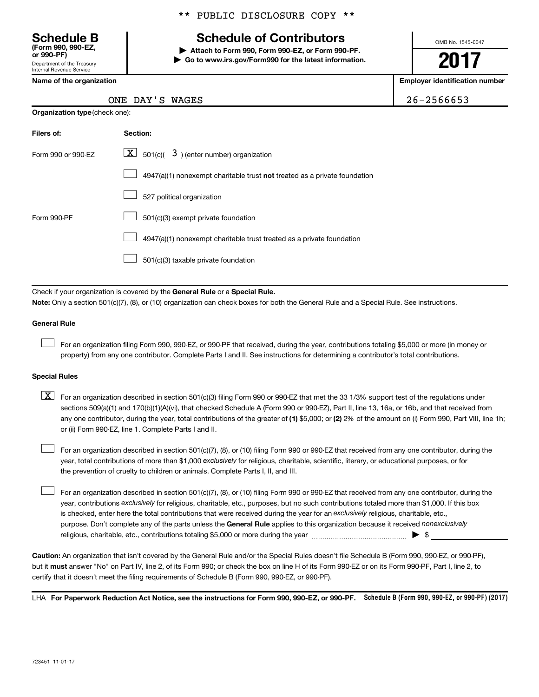Department of the Treasury Internal Revenue Service **(Form 990, 990-EZ,**

\*\* PUBLIC DISCLOSURE COPY \*\*

# **Schedule B Schedule of Contributors**

**or 990-PF) | Attach to Form 990, Form 990-EZ, or Form 990-PF. | Go to www.irs.gov/Form990 for the latest information.** OMB No. 1545-0047

**2017**

**Name of the organization Employer identification number**

|  | $26 - 2566653$ |  |  |  |  |
|--|----------------|--|--|--|--|
|  |                |  |  |  |  |

| ONE DAY'S WAGES | 26-2566653 |
|-----------------|------------|
|-----------------|------------|

| <b>Organization type (check one):</b> |                                                                           |  |  |  |  |
|---------------------------------------|---------------------------------------------------------------------------|--|--|--|--|
| Filers of:                            | Section:                                                                  |  |  |  |  |
| Form 990 or 990-EZ                    | $ \mathbf{X} $ 501(c)( 3) (enter number) organization                     |  |  |  |  |
|                                       | 4947(a)(1) nonexempt charitable trust not treated as a private foundation |  |  |  |  |
|                                       | 527 political organization                                                |  |  |  |  |
| Form 990-PF                           | 501(c)(3) exempt private foundation                                       |  |  |  |  |
|                                       | 4947(a)(1) nonexempt charitable trust treated as a private foundation     |  |  |  |  |
|                                       | 501(c)(3) taxable private foundation                                      |  |  |  |  |

Check if your organization is covered by the General Rule or a Special Rule.

**Note:**  Only a section 501(c)(7), (8), or (10) organization can check boxes for both the General Rule and a Special Rule. See instructions.

#### **General Rule**

 $\Box$ 

For an organization filing Form 990, 990-EZ, or 990-PF that received, during the year, contributions totaling \$5,000 or more (in money or property) from any one contributor. Complete Parts I and II. See instructions for determining a contributor's total contributions.

#### **Special Rules**

any one contributor, during the year, total contributions of the greater of (1) \$5,000; or (2) 2% of the amount on (i) Form 990, Part VIII, line 1h;  $\boxed{\text{X}}$  For an organization described in section 501(c)(3) filing Form 990 or 990-EZ that met the 33 1/3% support test of the regulations under sections 509(a)(1) and 170(b)(1)(A)(vi), that checked Schedule A (Form 990 or 990-EZ), Part II, line 13, 16a, or 16b, and that received from or (ii) Form 990-EZ, line 1. Complete Parts I and II.

year, total contributions of more than \$1,000 *exclusively* for religious, charitable, scientific, literary, or educational purposes, or for For an organization described in section 501(c)(7), (8), or (10) filing Form 990 or 990-EZ that received from any one contributor, during the the prevention of cruelty to children or animals. Complete Parts I, II, and III.  $\Box$ 

purpose. Don't complete any of the parts unless the General Rule applies to this organization because it received nonexclusively year, contributions exclusively for religious, charitable, etc., purposes, but no such contributions totaled more than \$1,000. If this box is checked, enter here the total contributions that were received during the year for an exclusively religious, charitable, etc., For an organization described in section 501(c)(7), (8), or (10) filing Form 990 or 990-EZ that received from any one contributor, during the religious, charitable, etc., contributions totaling \$5,000 or more during the year  $\ldots$  $\ldots$  $\ldots$  $\ldots$  $\ldots$  $\ldots$  $\Box$ 

**Caution:**  An organization that isn't covered by the General Rule and/or the Special Rules doesn't file Schedule B (Form 990, 990-EZ, or 990-PF),  **must** but it answer "No" on Part IV, line 2, of its Form 990; or check the box on line H of its Form 990-EZ or on its Form 990-PF, Part I, line 2, to certify that it doesn't meet the filing requirements of Schedule B (Form 990, 990-EZ, or 990-PF).

LHA For Paperwork Reduction Act Notice, see the instructions for Form 990, 990-EZ, or 990-PF. Schedule B (Form 990, 990-EZ, or 990-PF) (2017)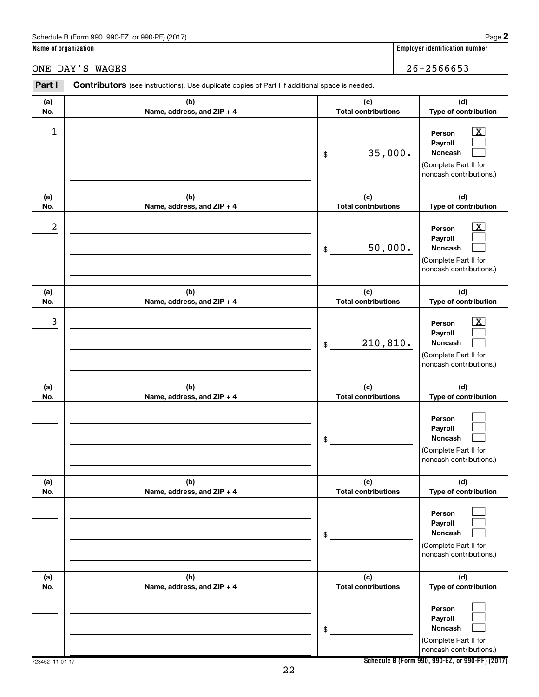### Schedule B (Form 990, 990-EZ, or 990-PF) (2017)

**Name of organization Employer identification number**

ONE DAY'S WAGES 26-2566653

| Part I           | Contributors (see instructions). Use duplicate copies of Part I if additional space is needed. |                                   |                                                                                                             |  |  |  |
|------------------|------------------------------------------------------------------------------------------------|-----------------------------------|-------------------------------------------------------------------------------------------------------------|--|--|--|
| (a)<br>No.       | (b)<br>Name, address, and ZIP + 4                                                              | (c)<br><b>Total contributions</b> | (d)<br>Type of contribution                                                                                 |  |  |  |
| 1                |                                                                                                | 35,000.<br>\$                     | $\overline{\mathbf{X}}$<br>Person<br>Payroll<br>Noncash<br>(Complete Part II for<br>noncash contributions.) |  |  |  |
| (a)<br>No.       | (b)<br>Name, address, and ZIP + 4                                                              | (c)<br><b>Total contributions</b> | (d)<br>Type of contribution                                                                                 |  |  |  |
| $\boldsymbol{2}$ |                                                                                                | 50,000.<br>\$                     | $\overline{\text{X}}$<br>Person<br>Payroll<br>Noncash<br>(Complete Part II for<br>noncash contributions.)   |  |  |  |
| (a)<br>No.       | (b)<br>Name, address, and ZIP + 4                                                              | (c)<br><b>Total contributions</b> | (d)<br>Type of contribution                                                                                 |  |  |  |
| 3                |                                                                                                | 210,810.<br>\$                    | $\overline{\text{X}}$<br>Person<br>Payroll<br>Noncash<br>(Complete Part II for<br>noncash contributions.)   |  |  |  |
| (a)<br>No.       | (b)<br>Name, address, and ZIP + 4                                                              | (c)<br><b>Total contributions</b> | (d)<br>Type of contribution                                                                                 |  |  |  |
|                  |                                                                                                | \$                                | Person<br>Payroll<br>Noncash<br>(Complete Part II for<br>noncash contributions.)                            |  |  |  |
| (a)<br>No.       | (b)<br>Name, address, and ZIP + 4                                                              | (c)<br><b>Total contributions</b> | (d)<br>Type of contribution                                                                                 |  |  |  |
|                  |                                                                                                | \$                                | Person<br>Payroll<br>Noncash<br>(Complete Part II for<br>noncash contributions.)                            |  |  |  |
| (a)<br>No.       | (b)<br>Name, address, and ZIP + 4                                                              | (c)<br><b>Total contributions</b> | (d)<br>Type of contribution                                                                                 |  |  |  |
|                  |                                                                                                | \$                                | Person<br>Payroll<br>Noncash<br>(Complete Part II for<br>noncash contributions.)                            |  |  |  |

**Schedule B (Form 990, 990-EZ, or 990-PF) (2017)**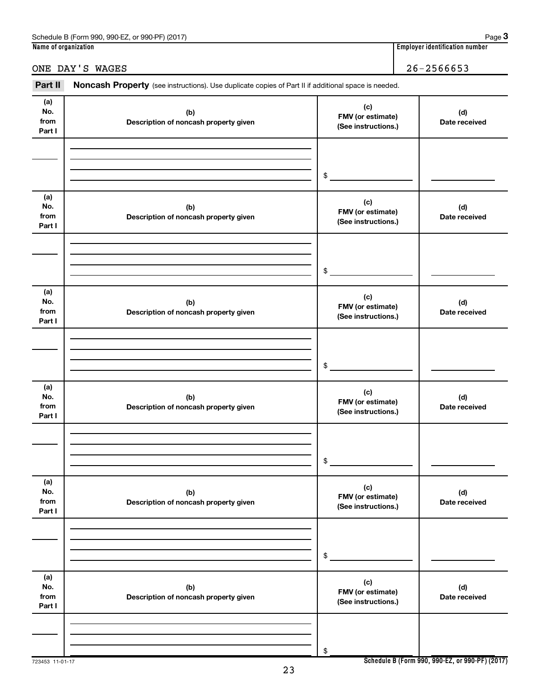| (2017)<br>$.990-F7$<br>Schedule<br>or 990-PF<br>990<br>: (Form<br>. . | Page                                   |
|-----------------------------------------------------------------------|----------------------------------------|
| Name<br>of organization :                                             | <br>identification number .<br>Emplove |

## ONE DAY'S WAGES 26-2566653

Part II Noncash Property (see instructions). Use duplicate copies of Part II if additional space is needed.

| (a)<br>No.<br>from<br>Part I | (b)<br>Description of noncash property given | (c)<br>FMV (or estimate)<br>(See instructions.) | (d)<br>Date received |
|------------------------------|----------------------------------------------|-------------------------------------------------|----------------------|
|                              |                                              | \$                                              |                      |
| (a)<br>No.<br>from<br>Part I | (b)<br>Description of noncash property given | (c)<br>FMV (or estimate)<br>(See instructions.) | (d)<br>Date received |
|                              |                                              | \$                                              |                      |
| (a)<br>No.<br>from<br>Part I | (b)<br>Description of noncash property given | (c)<br>FMV (or estimate)<br>(See instructions.) | (d)<br>Date received |
|                              |                                              | \$                                              |                      |
| (a)<br>No.<br>from<br>Part I | (b)<br>Description of noncash property given | (c)<br>FMV (or estimate)<br>(See instructions.) | (d)<br>Date received |
|                              |                                              | \$                                              |                      |
| (a)<br>No.<br>from<br>Part I | (b)<br>Description of noncash property given | (c)<br>FMV (or estimate)<br>(See instructions.) | (d)<br>Date received |
|                              |                                              | \$                                              |                      |
| (a)<br>No.<br>from<br>Part I | (b)<br>Description of noncash property given | (c)<br>FMV (or estimate)<br>(See instructions.) | (d)<br>Date received |
|                              |                                              | \$                                              |                      |

723453 11-01-17

**Schedule B (Form 990, 990-EZ, or 990-PF) (2017)**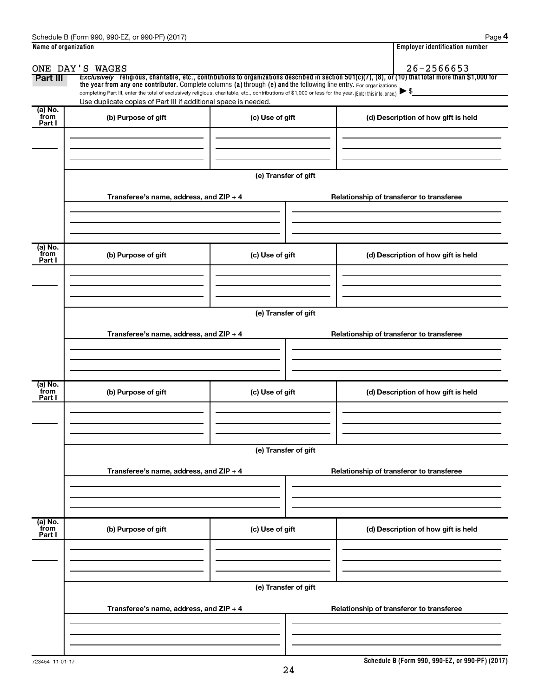| Name of organization      |                                                                                                                                                          |                      | <b>Employer identification number</b>                                                                                                                 |  |  |  |  |  |
|---------------------------|----------------------------------------------------------------------------------------------------------------------------------------------------------|----------------------|-------------------------------------------------------------------------------------------------------------------------------------------------------|--|--|--|--|--|
|                           | ONE DAY'S WAGES                                                                                                                                          |                      | $26 - 2566653$                                                                                                                                        |  |  |  |  |  |
| Part III                  | the year from any one contributor. Complete columns (a) through (e) and the following line entry. For organizations                                      |                      | Exclusively religious, charitable, etc., contributions to organizations described in section 501(c)(7), (8), or (10) that total more than \$1,000 for |  |  |  |  |  |
|                           | completing Part III, enter the total of exclusively religious, charitable, etc., contributions of \$1,000 or less for the year. (Enter this info. once.) |                      |                                                                                                                                                       |  |  |  |  |  |
|                           | Use duplicate copies of Part III if additional space is needed.                                                                                          |                      |                                                                                                                                                       |  |  |  |  |  |
| (a) No.<br>from<br>Part I | (b) Purpose of gift                                                                                                                                      | (c) Use of gift      | (d) Description of how gift is held                                                                                                                   |  |  |  |  |  |
|                           |                                                                                                                                                          |                      |                                                                                                                                                       |  |  |  |  |  |
|                           |                                                                                                                                                          |                      |                                                                                                                                                       |  |  |  |  |  |
|                           |                                                                                                                                                          |                      |                                                                                                                                                       |  |  |  |  |  |
|                           |                                                                                                                                                          | (e) Transfer of gift |                                                                                                                                                       |  |  |  |  |  |
|                           |                                                                                                                                                          |                      |                                                                                                                                                       |  |  |  |  |  |
|                           | Transferee's name, address, and ZIP + 4                                                                                                                  |                      | Relationship of transferor to transferee                                                                                                              |  |  |  |  |  |
|                           |                                                                                                                                                          |                      |                                                                                                                                                       |  |  |  |  |  |
|                           |                                                                                                                                                          |                      |                                                                                                                                                       |  |  |  |  |  |
|                           |                                                                                                                                                          |                      |                                                                                                                                                       |  |  |  |  |  |
| (a) No.<br>from           | (b) Purpose of gift                                                                                                                                      | (c) Use of gift      | (d) Description of how gift is held                                                                                                                   |  |  |  |  |  |
| Part I                    |                                                                                                                                                          |                      |                                                                                                                                                       |  |  |  |  |  |
|                           |                                                                                                                                                          |                      |                                                                                                                                                       |  |  |  |  |  |
|                           |                                                                                                                                                          |                      |                                                                                                                                                       |  |  |  |  |  |
|                           |                                                                                                                                                          |                      |                                                                                                                                                       |  |  |  |  |  |
|                           | (e) Transfer of gift                                                                                                                                     |                      |                                                                                                                                                       |  |  |  |  |  |
|                           | Transferee's name, address, and ZIP + 4<br>Relationship of transferor to transferee                                                                      |                      |                                                                                                                                                       |  |  |  |  |  |
|                           |                                                                                                                                                          |                      |                                                                                                                                                       |  |  |  |  |  |
|                           |                                                                                                                                                          |                      |                                                                                                                                                       |  |  |  |  |  |
|                           |                                                                                                                                                          |                      |                                                                                                                                                       |  |  |  |  |  |
| (a) No.                   |                                                                                                                                                          |                      |                                                                                                                                                       |  |  |  |  |  |
| from<br>Part I            | (b) Purpose of gift                                                                                                                                      | (c) Use of gift      | (d) Description of how gift is held                                                                                                                   |  |  |  |  |  |
|                           |                                                                                                                                                          |                      |                                                                                                                                                       |  |  |  |  |  |
|                           |                                                                                                                                                          |                      |                                                                                                                                                       |  |  |  |  |  |
|                           |                                                                                                                                                          |                      |                                                                                                                                                       |  |  |  |  |  |
|                           |                                                                                                                                                          | (e) Transfer of gift |                                                                                                                                                       |  |  |  |  |  |
|                           | Transferee's name, address, and ZIP + 4                                                                                                                  |                      |                                                                                                                                                       |  |  |  |  |  |
|                           |                                                                                                                                                          |                      | Relationship of transferor to transferee                                                                                                              |  |  |  |  |  |
|                           |                                                                                                                                                          |                      |                                                                                                                                                       |  |  |  |  |  |
|                           |                                                                                                                                                          |                      |                                                                                                                                                       |  |  |  |  |  |
| (a) No.<br>from           |                                                                                                                                                          |                      |                                                                                                                                                       |  |  |  |  |  |
| Part I                    | (b) Purpose of gift                                                                                                                                      | (c) Use of gift      | (d) Description of how gift is held                                                                                                                   |  |  |  |  |  |
|                           |                                                                                                                                                          |                      |                                                                                                                                                       |  |  |  |  |  |
|                           |                                                                                                                                                          |                      |                                                                                                                                                       |  |  |  |  |  |
|                           |                                                                                                                                                          |                      |                                                                                                                                                       |  |  |  |  |  |
|                           |                                                                                                                                                          | (e) Transfer of gift |                                                                                                                                                       |  |  |  |  |  |
|                           | Transferee's name, address, and ZIP + 4                                                                                                                  |                      | Relationship of transferor to transferee                                                                                                              |  |  |  |  |  |
|                           |                                                                                                                                                          |                      |                                                                                                                                                       |  |  |  |  |  |
|                           |                                                                                                                                                          |                      |                                                                                                                                                       |  |  |  |  |  |
|                           |                                                                                                                                                          |                      |                                                                                                                                                       |  |  |  |  |  |
|                           |                                                                                                                                                          |                      |                                                                                                                                                       |  |  |  |  |  |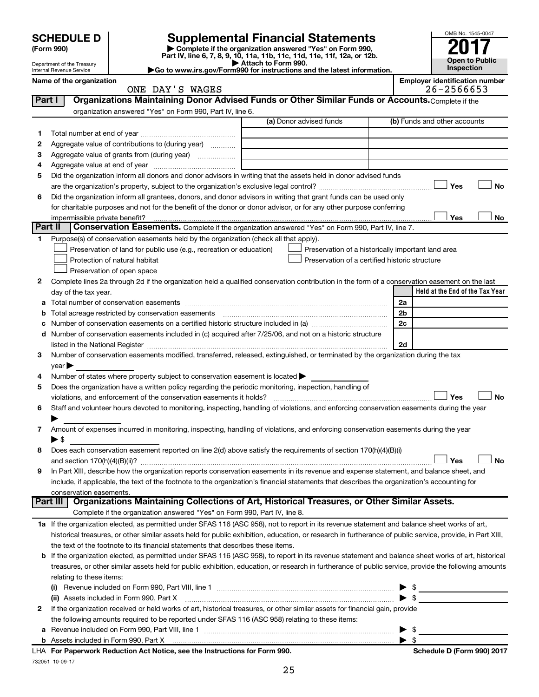| <b>SCHEDULE D</b> |  |
|-------------------|--|
|-------------------|--|

# **SCHEDULE D Supplemental Financial Statements**<br> **Form 990 2017**<br> **Part IV** line 6.7.8.9.10, 11a, 11b, 11d, 11d, 11d, 11d, 11d, 12a, 0r, 12b

**(Form 990) | Complete if the organization answered "Yes" on Form 990, Part IV, line 6, 7, 8, 9, 10, 11a, 11b, 11c, 11d, 11e, 11f, 12a, or 12b.**

**| Attach to Form 990. |Go to www.irs.gov/Form990 for instructions and the latest information.**



Department of the Treasury Internal Revenue Service **Name of the organization <b>Employer is a set of the organization Employer in the set of the organization**  $\blacksquare$ 

| ployer identification number |            |  |  |  |  |
|------------------------------|------------|--|--|--|--|
|                              | os orssero |  |  |  |  |

|         | ONE DAY'S WAGES                                                                                                                                            |                                                    | 26-2566653                      |
|---------|------------------------------------------------------------------------------------------------------------------------------------------------------------|----------------------------------------------------|---------------------------------|
| Part I  | Organizations Maintaining Donor Advised Funds or Other Similar Funds or Accounts. Complete if the                                                          |                                                    |                                 |
|         | organization answered "Yes" on Form 990, Part IV, line 6.                                                                                                  |                                                    |                                 |
|         |                                                                                                                                                            | (a) Donor advised funds                            | (b) Funds and other accounts    |
| 1       |                                                                                                                                                            |                                                    |                                 |
| 2       | Aggregate value of contributions to (during year)                                                                                                          |                                                    |                                 |
| з       | Aggregate value of grants from (during year)                                                                                                               |                                                    |                                 |
| 4       |                                                                                                                                                            |                                                    |                                 |
| 5       | Did the organization inform all donors and donor advisors in writing that the assets held in donor advised funds                                           |                                                    |                                 |
|         |                                                                                                                                                            |                                                    | Yes<br>No                       |
| 6       | Did the organization inform all grantees, donors, and donor advisors in writing that grant funds can be used only                                          |                                                    |                                 |
|         | for charitable purposes and not for the benefit of the donor or donor advisor, or for any other purpose conferring                                         |                                                    |                                 |
|         | impermissible private benefit?                                                                                                                             |                                                    | Yes<br>No                       |
| Part II | Conservation Easements. Complete if the organization answered "Yes" on Form 990, Part IV, line 7.                                                          |                                                    |                                 |
| 1       | Purpose(s) of conservation easements held by the organization (check all that apply).                                                                      |                                                    |                                 |
|         | Preservation of land for public use (e.g., recreation or education)                                                                                        | Preservation of a historically important land area |                                 |
|         | Protection of natural habitat                                                                                                                              | Preservation of a certified historic structure     |                                 |
|         | Preservation of open space                                                                                                                                 |                                                    |                                 |
| 2       | Complete lines 2a through 2d if the organization held a qualified conservation contribution in the form of a conservation easement on the last             |                                                    |                                 |
|         | day of the tax year.                                                                                                                                       |                                                    | Held at the End of the Tax Year |
|         |                                                                                                                                                            |                                                    | 2a                              |
|         | Total acreage restricted by conservation easements                                                                                                         |                                                    | 2b                              |
|         |                                                                                                                                                            |                                                    | 2c                              |
| d       | Number of conservation easements included in (c) acquired after 7/25/06, and not on a historic structure                                                   |                                                    |                                 |
|         | listed in the National Register [111] [12] The Marian Marian Marian Marian Marian Marian Marian Marian Marian M                                            |                                                    | 2d                              |
| з       | Number of conservation easements modified, transferred, released, extinguished, or terminated by the organization during the tax                           |                                                    |                                 |
|         | $year \triangleright$                                                                                                                                      |                                                    |                                 |
| 4       | Number of states where property subject to conservation easement is located >                                                                              |                                                    |                                 |
| 5       | Does the organization have a written policy regarding the periodic monitoring, inspection, handling of                                                     |                                                    |                                 |
|         | violations, and enforcement of the conservation easements it holds?                                                                                        |                                                    | Yes<br>No                       |
| 6       | Staff and volunteer hours devoted to monitoring, inspecting, handling of violations, and enforcing conservation easements during the year                  |                                                    |                                 |
|         |                                                                                                                                                            |                                                    |                                 |
| 7       | Amount of expenses incurred in monitoring, inspecting, handling of violations, and enforcing conservation easements during the year                        |                                                    |                                 |
|         | ► \$                                                                                                                                                       |                                                    |                                 |
| 8       | Does each conservation easement reported on line 2(d) above satisfy the requirements of section 170(h)(4)(B)(i)                                            |                                                    |                                 |
|         |                                                                                                                                                            |                                                    | No<br>Yes                       |
| 9       | In Part XIII, describe how the organization reports conservation easements in its revenue and expense statement, and balance sheet, and                    |                                                    |                                 |
|         | include, if applicable, the text of the footnote to the organization's financial statements that describes the organization's accounting for               |                                                    |                                 |
|         | conservation easements.                                                                                                                                    |                                                    |                                 |
|         | Organizations Maintaining Collections of Art, Historical Treasures, or Other Similar Assets.<br><b>Part III</b>                                            |                                                    |                                 |
|         | Complete if the organization answered "Yes" on Form 990, Part IV, line 8.                                                                                  |                                                    |                                 |
|         | 1a If the organization elected, as permitted under SFAS 116 (ASC 958), not to report in its revenue statement and balance sheet works of art,              |                                                    |                                 |
|         | historical treasures, or other similar assets held for public exhibition, education, or research in furtherance of public service, provide, in Part XIII,  |                                                    |                                 |
|         | the text of the footnote to its financial statements that describes these items.                                                                           |                                                    |                                 |
|         | <b>b</b> If the organization elected, as permitted under SFAS 116 (ASC 958), to report in its revenue statement and balance sheet works of art, historical |                                                    |                                 |
|         | treasures, or other similar assets held for public exhibition, education, or research in furtherance of public service, provide the following amounts      |                                                    |                                 |
|         | relating to these items:                                                                                                                                   |                                                    |                                 |
|         |                                                                                                                                                            |                                                    | \$                              |
|         | (ii) Assets included in Form 990, Part X                                                                                                                   |                                                    | $\blacktriangleright$ s         |
| 2       | If the organization received or held works of art, historical treasures, or other similar assets for financial gain, provide                               |                                                    |                                 |
|         | the following amounts required to be reported under SFAS 116 (ASC 958) relating to these items:                                                            |                                                    |                                 |
|         |                                                                                                                                                            |                                                    | \$<br>▶                         |

732051 10-09-17 **For Paperwork Reduction Act Notice, see the Instructions for Form 990. Schedule D (Form 990) 2017** LHA

**b** Assets included in Form 990, Part X

| \$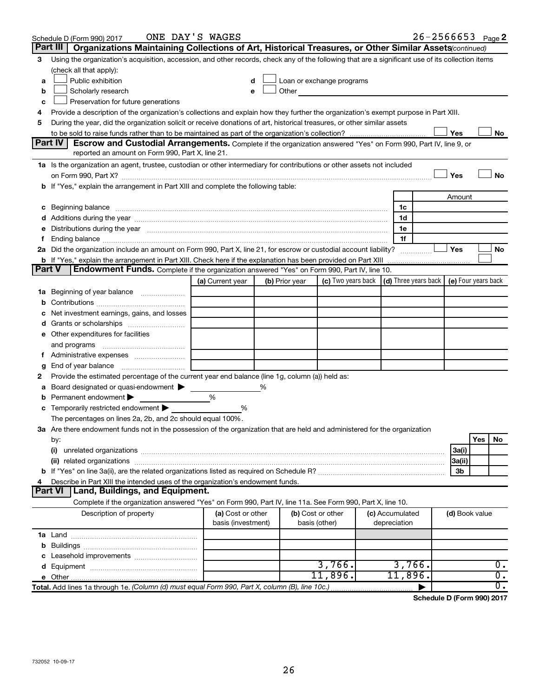|               | Schedule D (Form 990) 2017                                                                                                                                                                                                     | ONE DAY'S WAGES    |   |                |                                                                                                                                                                                                                                      |                 | $26 - 2566653$ Page 2 |                |     |                  |
|---------------|--------------------------------------------------------------------------------------------------------------------------------------------------------------------------------------------------------------------------------|--------------------|---|----------------|--------------------------------------------------------------------------------------------------------------------------------------------------------------------------------------------------------------------------------------|-----------------|-----------------------|----------------|-----|------------------|
|               | Part III<br>Organizations Maintaining Collections of Art, Historical Treasures, or Other Similar Assets (continued)                                                                                                            |                    |   |                |                                                                                                                                                                                                                                      |                 |                       |                |     |                  |
| 3             | Using the organization's acquisition, accession, and other records, check any of the following that are a significant use of its collection items                                                                              |                    |   |                |                                                                                                                                                                                                                                      |                 |                       |                |     |                  |
|               | (check all that apply):                                                                                                                                                                                                        |                    |   |                |                                                                                                                                                                                                                                      |                 |                       |                |     |                  |
| a             | Public exhibition                                                                                                                                                                                                              | d                  |   |                | Loan or exchange programs                                                                                                                                                                                                            |                 |                       |                |     |                  |
| b             | Scholarly research                                                                                                                                                                                                             | e                  |   |                | Other <u>and the set of the set of the set of the set of the set of the set of the set of the set of the set of the set of the set of the set of the set of the set of the set of the set of the set of the set of the set of th</u> |                 |                       |                |     |                  |
| c             | Preservation for future generations                                                                                                                                                                                            |                    |   |                |                                                                                                                                                                                                                                      |                 |                       |                |     |                  |
| 4             | Provide a description of the organization's collections and explain how they further the organization's exempt purpose in Part XIII.                                                                                           |                    |   |                |                                                                                                                                                                                                                                      |                 |                       |                |     |                  |
| 5             | During the year, did the organization solicit or receive donations of art, historical treasures, or other similar assets                                                                                                       |                    |   |                |                                                                                                                                                                                                                                      |                 |                       |                |     |                  |
|               |                                                                                                                                                                                                                                |                    |   |                |                                                                                                                                                                                                                                      |                 |                       | Yes            |     | No               |
|               | <b>Part IV</b><br>Escrow and Custodial Arrangements. Complete if the organization answered "Yes" on Form 990, Part IV, line 9, or                                                                                              |                    |   |                |                                                                                                                                                                                                                                      |                 |                       |                |     |                  |
|               | reported an amount on Form 990, Part X, line 21.                                                                                                                                                                               |                    |   |                |                                                                                                                                                                                                                                      |                 |                       |                |     |                  |
|               | 1a Is the organization an agent, trustee, custodian or other intermediary for contributions or other assets not included                                                                                                       |                    |   |                |                                                                                                                                                                                                                                      |                 |                       |                |     |                  |
|               |                                                                                                                                                                                                                                |                    |   |                |                                                                                                                                                                                                                                      |                 |                       | Yes            |     | <b>No</b>        |
|               | If "Yes," explain the arrangement in Part XIII and complete the following table:                                                                                                                                               |                    |   |                |                                                                                                                                                                                                                                      |                 |                       |                |     |                  |
|               |                                                                                                                                                                                                                                |                    |   |                |                                                                                                                                                                                                                                      |                 |                       | Amount         |     |                  |
| с             | Beginning balance measurements and contain the contract of the contract of the contract of the contract of the                                                                                                                 |                    |   |                |                                                                                                                                                                                                                                      | 1c              |                       |                |     |                  |
|               |                                                                                                                                                                                                                                |                    |   |                |                                                                                                                                                                                                                                      | 1d              |                       |                |     |                  |
|               | Distributions during the year manufactured and an account of the year manufactured and the year manufactured and the year manufactured and the year manufactured and the year manufactured and the year manufactured and the y |                    |   |                |                                                                                                                                                                                                                                      | 1e              |                       |                |     |                  |
|               | Ending balance manufacture contains and the contract of the contract of the contract of the contract of the contract of the contract of the contract of the contract of the contract of the contract of the contract of the co |                    |   |                |                                                                                                                                                                                                                                      | 1f              |                       |                |     |                  |
|               | 2a Did the organization include an amount on Form 990, Part X, line 21, for escrow or custodial account liability?                                                                                                             |                    |   |                |                                                                                                                                                                                                                                      |                 |                       | Yes            |     | No               |
|               | <b>b</b> If "Yes," explain the arrangement in Part XIII. Check here if the explanation has been provided on Part XIII                                                                                                          |                    |   |                |                                                                                                                                                                                                                                      |                 |                       |                |     |                  |
| <b>Part V</b> | <b>Endowment Funds.</b> Complete if the organization answered "Yes" on Form 990, Part IV, line 10.                                                                                                                             |                    |   |                |                                                                                                                                                                                                                                      |                 |                       |                |     |                  |
|               |                                                                                                                                                                                                                                | (a) Current year   |   | (b) Prior year | (c) Two years back $\vert$ (d) Three years back $\vert$ (e) Four years back                                                                                                                                                          |                 |                       |                |     |                  |
| 1a            | Beginning of year balance                                                                                                                                                                                                      |                    |   |                |                                                                                                                                                                                                                                      |                 |                       |                |     |                  |
| b             |                                                                                                                                                                                                                                |                    |   |                |                                                                                                                                                                                                                                      |                 |                       |                |     |                  |
|               | Net investment earnings, gains, and losses                                                                                                                                                                                     |                    |   |                |                                                                                                                                                                                                                                      |                 |                       |                |     |                  |
| a             |                                                                                                                                                                                                                                |                    |   |                |                                                                                                                                                                                                                                      |                 |                       |                |     |                  |
|               | e Other expenditures for facilities                                                                                                                                                                                            |                    |   |                |                                                                                                                                                                                                                                      |                 |                       |                |     |                  |
|               | and programs                                                                                                                                                                                                                   |                    |   |                |                                                                                                                                                                                                                                      |                 |                       |                |     |                  |
|               | f Administrative expenses                                                                                                                                                                                                      |                    |   |                |                                                                                                                                                                                                                                      |                 |                       |                |     |                  |
| g             | End of year balance                                                                                                                                                                                                            |                    |   |                |                                                                                                                                                                                                                                      |                 |                       |                |     |                  |
| 2             | Provide the estimated percentage of the current year end balance (line 1g, column (a)) held as:                                                                                                                                |                    |   |                |                                                                                                                                                                                                                                      |                 |                       |                |     |                  |
|               | Board designated or quasi-endowment                                                                                                                                                                                            |                    | % |                |                                                                                                                                                                                                                                      |                 |                       |                |     |                  |
|               | Permanent endowment                                                                                                                                                                                                            | %                  |   |                |                                                                                                                                                                                                                                      |                 |                       |                |     |                  |
| с             | Temporarily restricted endowment<br>The percentages on lines 2a, 2b, and 2c should equal 100%.                                                                                                                                 | %                  |   |                |                                                                                                                                                                                                                                      |                 |                       |                |     |                  |
|               | 3a Are there endowment funds not in the possession of the organization that are held and administered for the organization                                                                                                     |                    |   |                |                                                                                                                                                                                                                                      |                 |                       |                |     |                  |
|               |                                                                                                                                                                                                                                |                    |   |                |                                                                                                                                                                                                                                      |                 |                       |                | Yes | No               |
|               | by:<br>(i)                                                                                                                                                                                                                     |                    |   |                |                                                                                                                                                                                                                                      |                 |                       | 3a(i)          |     |                  |
|               |                                                                                                                                                                                                                                |                    |   |                |                                                                                                                                                                                                                                      |                 |                       | 3a(ii)         |     |                  |
|               |                                                                                                                                                                                                                                |                    |   |                |                                                                                                                                                                                                                                      |                 |                       | 3b             |     |                  |
|               | Describe in Part XIII the intended uses of the organization's endowment funds.                                                                                                                                                 |                    |   |                |                                                                                                                                                                                                                                      |                 |                       |                |     |                  |
|               | Land, Buildings, and Equipment.<br>Part VI                                                                                                                                                                                     |                    |   |                |                                                                                                                                                                                                                                      |                 |                       |                |     |                  |
|               | Complete if the organization answered "Yes" on Form 990, Part IV, line 11a. See Form 990, Part X, line 10.                                                                                                                     |                    |   |                |                                                                                                                                                                                                                                      |                 |                       |                |     |                  |
|               | Description of property                                                                                                                                                                                                        | (a) Cost or other  |   |                | (b) Cost or other                                                                                                                                                                                                                    | (c) Accumulated |                       | (d) Book value |     |                  |
|               |                                                                                                                                                                                                                                | basis (investment) |   |                | basis (other)                                                                                                                                                                                                                        | depreciation    |                       |                |     |                  |
|               |                                                                                                                                                                                                                                |                    |   |                |                                                                                                                                                                                                                                      |                 |                       |                |     |                  |
| b             |                                                                                                                                                                                                                                |                    |   |                |                                                                                                                                                                                                                                      |                 |                       |                |     |                  |
|               |                                                                                                                                                                                                                                |                    |   |                |                                                                                                                                                                                                                                      |                 |                       |                |     |                  |
|               |                                                                                                                                                                                                                                |                    |   |                | 3,766.                                                                                                                                                                                                                               | 3,766.          |                       |                |     | 0.               |
|               | <b>e</b> Other                                                                                                                                                                                                                 |                    |   |                | 11,896.                                                                                                                                                                                                                              | 11,896.         |                       |                |     | $\overline{0}$ . |
|               | Total. Add lines 1a through 1e. (Column (d) must equal Form 990, Part X, column (B), line 10c.)                                                                                                                                |                    |   |                |                                                                                                                                                                                                                                      |                 |                       |                |     | σ.               |

**Schedule D (Form 990) 2017**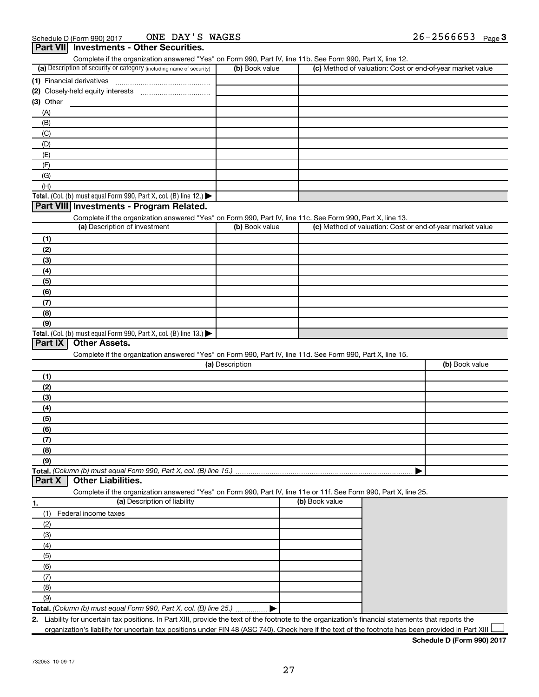| Complete if the organization answered "Yes" on Form 990, Part IV, line 11b. See Form 990, Part X, line 12.        |                 |                |                                                           |
|-------------------------------------------------------------------------------------------------------------------|-----------------|----------------|-----------------------------------------------------------|
| (a) Description of security or category (including name of security)                                              | (b) Book value  |                | (c) Method of valuation: Cost or end-of-year market value |
| (1) Financial derivatives                                                                                         |                 |                |                                                           |
|                                                                                                                   |                 |                |                                                           |
| (3) Other                                                                                                         |                 |                |                                                           |
| (A)                                                                                                               |                 |                |                                                           |
| (B)                                                                                                               |                 |                |                                                           |
| (C)                                                                                                               |                 |                |                                                           |
| (D)                                                                                                               |                 |                |                                                           |
| (E)                                                                                                               |                 |                |                                                           |
| (F)                                                                                                               |                 |                |                                                           |
| (G)                                                                                                               |                 |                |                                                           |
| (H)                                                                                                               |                 |                |                                                           |
| Total. (Col. (b) must equal Form 990, Part X, col. (B) line 12.)                                                  |                 |                |                                                           |
| Part VIII Investments - Program Related.                                                                          |                 |                |                                                           |
| Complete if the organization answered "Yes" on Form 990, Part IV, line 11c. See Form 990, Part X, line 13.        |                 |                |                                                           |
| (a) Description of investment                                                                                     | (b) Book value  |                | (c) Method of valuation: Cost or end-of-year market value |
| (1)                                                                                                               |                 |                |                                                           |
| (2)                                                                                                               |                 |                |                                                           |
|                                                                                                                   |                 |                |                                                           |
| (3)                                                                                                               |                 |                |                                                           |
| (4)                                                                                                               |                 |                |                                                           |
| (5)                                                                                                               |                 |                |                                                           |
| (6)                                                                                                               |                 |                |                                                           |
| (7)                                                                                                               |                 |                |                                                           |
| (8)                                                                                                               |                 |                |                                                           |
| (9)                                                                                                               |                 |                |                                                           |
| Total. (Col. (b) must equal Form 990, Part X, col. (B) line $13.$ )<br>Part IX<br><b>Other Assets.</b>            |                 |                |                                                           |
|                                                                                                                   |                 |                |                                                           |
| Complete if the organization answered "Yes" on Form 990, Part IV, line 11d. See Form 990, Part X, line 15.        | (a) Description |                | (b) Book value                                            |
|                                                                                                                   |                 |                |                                                           |
| (1)                                                                                                               |                 |                |                                                           |
| (2)                                                                                                               |                 |                |                                                           |
| (3)                                                                                                               |                 |                |                                                           |
| (4)                                                                                                               |                 |                |                                                           |
| (5)                                                                                                               |                 |                |                                                           |
| (6)                                                                                                               |                 |                |                                                           |
| (7)                                                                                                               |                 |                |                                                           |
| (8)                                                                                                               |                 |                |                                                           |
| (9)                                                                                                               |                 |                |                                                           |
|                                                                                                                   |                 |                |                                                           |
| Part X<br><b>Other Liabilities.</b>                                                                               |                 |                |                                                           |
| Complete if the organization answered "Yes" on Form 990, Part IV, line 11e or 11f. See Form 990, Part X, line 25. |                 |                |                                                           |
| (a) Description of liability<br>1.                                                                                |                 | (b) Book value |                                                           |
| Federal income taxes<br>(1)                                                                                       |                 |                |                                                           |
|                                                                                                                   |                 |                |                                                           |
| (2)                                                                                                               |                 |                |                                                           |
| (3)                                                                                                               |                 |                |                                                           |
| (4)                                                                                                               |                 |                |                                                           |
| (5)                                                                                                               |                 |                |                                                           |
| (6)                                                                                                               |                 |                |                                                           |
| (7)                                                                                                               |                 |                |                                                           |
|                                                                                                                   |                 |                |                                                           |
| (8)                                                                                                               |                 |                |                                                           |
| (9)<br>Total. (Column (b) must equal Form 990, Part X, col. (B) line 25.) ▶                                       |                 |                |                                                           |

organization's liability for uncertain tax positions under FIN 48 (ASC 740). Check here if the text of the footnote has been provided in Part XIII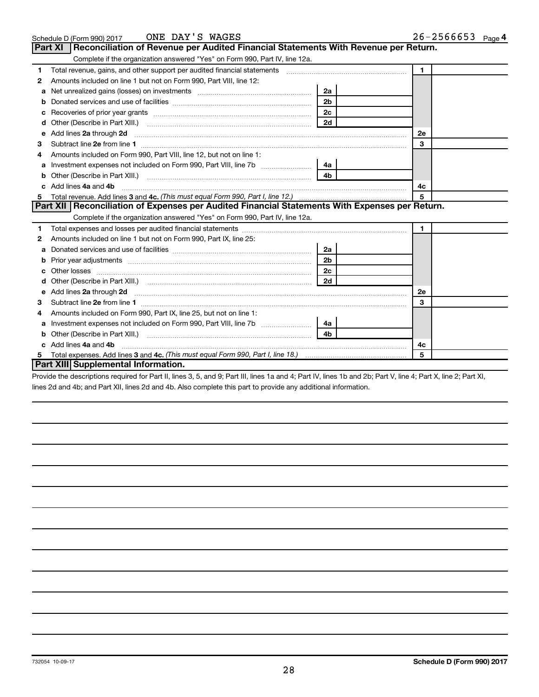|   | ONE DAY'S WAGES<br>Schedule D (Form 990) 2017                                                                                                                                                                                       |                | $26 - 2566653$ Page 4 |
|---|-------------------------------------------------------------------------------------------------------------------------------------------------------------------------------------------------------------------------------------|----------------|-----------------------|
|   | <b>Part XI</b><br>Reconciliation of Revenue per Audited Financial Statements With Revenue per Return.                                                                                                                               |                |                       |
|   | Complete if the organization answered "Yes" on Form 990, Part IV, line 12a.                                                                                                                                                         |                |                       |
| 1 | Total revenue, gains, and other support per audited financial statements [[[[[[[[[[[[[[[[[[[[[[[[]]]]]]]]]]]]                                                                                                                       |                | $\blacksquare$        |
| 2 | Amounts included on line 1 but not on Form 990, Part VIII, line 12:                                                                                                                                                                 |                |                       |
| a |                                                                                                                                                                                                                                     | 2a             |                       |
| b |                                                                                                                                                                                                                                     | 2 <sub>b</sub> |                       |
| c |                                                                                                                                                                                                                                     | 2 <sub>c</sub> |                       |
| d |                                                                                                                                                                                                                                     | 2d             |                       |
| e | Add lines 2a through 2d                                                                                                                                                                                                             |                | 2e                    |
| з |                                                                                                                                                                                                                                     |                | 3                     |
|   | Amounts included on Form 990, Part VIII, line 12, but not on line 1:                                                                                                                                                                |                |                       |
| a |                                                                                                                                                                                                                                     | 4a             |                       |
| b | Other (Describe in Part XIII.)                                                                                                                                                                                                      | 4 <sub>b</sub> |                       |
|   | Add lines 4a and 4b                                                                                                                                                                                                                 | 4c             |                       |
| 5 |                                                                                                                                                                                                                                     |                | 5                     |
|   | Part XII Reconciliation of Expenses per Audited Financial Statements With Expenses per Return.                                                                                                                                      |                |                       |
|   | Complete if the organization answered "Yes" on Form 990, Part IV, line 12a.                                                                                                                                                         |                |                       |
| 1 |                                                                                                                                                                                                                                     |                | $\mathbf 1$           |
| 2 | Amounts included on line 1 but not on Form 990, Part IX, line 25:                                                                                                                                                                   |                |                       |
| a |                                                                                                                                                                                                                                     | 2a             |                       |
| b |                                                                                                                                                                                                                                     | 2 <sub>b</sub> |                       |
|   |                                                                                                                                                                                                                                     | 2c             |                       |
|   |                                                                                                                                                                                                                                     | 2d             |                       |
| е | Add lines 2a through 2d <b>[10]</b> University of the state of the state of the state of the state of the state of the state of the state of the state of the state of the state of the state of the state of the state of the stat |                | <b>2e</b>             |
| З |                                                                                                                                                                                                                                     |                | 3                     |
| 4 | Amounts included on Form 990, Part IX, line 25, but not on line 1:                                                                                                                                                                  |                |                       |
| a |                                                                                                                                                                                                                                     | 4a             |                       |
| b |                                                                                                                                                                                                                                     | 4 <sub>b</sub> |                       |
|   | Add lines 4a and 4b                                                                                                                                                                                                                 |                | 4c                    |
| 5 |                                                                                                                                                                                                                                     |                | 5                     |
|   | <b>Part XIII Supplemental Information.</b>                                                                                                                                                                                          |                |                       |

Provide the descriptions required for Part II, lines 3, 5, and 9; Part III, lines 1a and 4; Part IV, lines 1b and 2b; Part V, line 4; Part X, line 2; Part XI, lines 2d and 4b; and Part XII, lines 2d and 4b. Also complete this part to provide any additional information.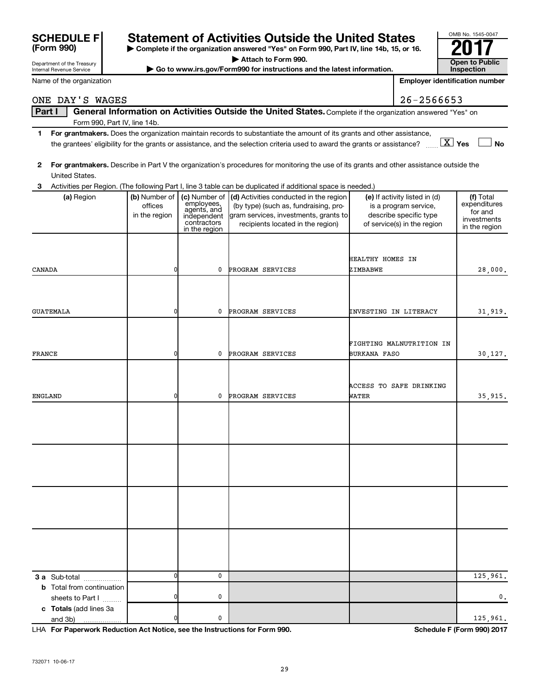# Statement of Activities Outside the United States<br> **Depropenting the organization answered "Yes" on Form 990, Part IV, line 14b, 15, or 16.**

**| Complete if the organization answered "Yes" on Form 990, Part IV, line 14b, 15, or 16. | Attach to Form 990.**

 $\triangleright$  Go to www.irs.gov/Form990 for instructions and the latest information.

ONE DAY'S WAGES 26-2566653

|        | Part I           |                                  |                                          |                            | General Information on Activities Outside the United States. Complete if the organization answered "Yes" on                             |                                                        |                           |
|--------|------------------|----------------------------------|------------------------------------------|----------------------------|-----------------------------------------------------------------------------------------------------------------------------------------|--------------------------------------------------------|---------------------------|
|        |                  | Form 990, Part IV, line 14b.     |                                          |                            |                                                                                                                                         |                                                        |                           |
| 1.     |                  |                                  |                                          |                            | For grantmakers. Does the organization maintain records to substantiate the amount of its grants and other assistance,                  |                                                        |                           |
|        |                  |                                  |                                          |                            | the grantees' eligibility for the grants or assistance, and the selection criteria used to award the grants or assistance?              | $\boxed{\text{X}}$ Yes                                 | No                        |
|        |                  |                                  |                                          |                            |                                                                                                                                         |                                                        |                           |
| 2      |                  |                                  |                                          |                            | For grantmakers. Describe in Part V the organization's procedures for monitoring the use of its grants and other assistance outside the |                                                        |                           |
|        |                  | United States.                   |                                          |                            |                                                                                                                                         |                                                        |                           |
| З      |                  |                                  |                                          |                            | Activities per Region. (The following Part I, line 3 table can be duplicated if additional space is needed.)                            |                                                        |                           |
|        |                  | (a) Region                       | (b) Number of   (c) Number of<br>offices | employees,                 | (d) Activities conducted in the region<br>(by type) (such as, fundraising, pro-                                                         | (e) If activity listed in (d)<br>is a program service, | (f) Total<br>expenditures |
|        |                  |                                  | in the region                            | agents, and<br>independent | gram services, investments, grants to                                                                                                   | describe specific type                                 | for and                   |
|        |                  |                                  |                                          | contractors                | recipients located in the region)                                                                                                       | of service(s) in the region                            | investments               |
|        |                  |                                  |                                          | in the region              |                                                                                                                                         |                                                        | in the region             |
|        |                  |                                  |                                          |                            |                                                                                                                                         |                                                        |                           |
|        |                  |                                  |                                          |                            |                                                                                                                                         |                                                        |                           |
|        |                  |                                  |                                          |                            |                                                                                                                                         | HEALTHY HOMES IN                                       |                           |
| CANADA |                  |                                  | 0                                        | 0                          | PROGRAM SERVICES                                                                                                                        | ZIMBABWE                                               | 28,000.                   |
|        |                  |                                  |                                          |                            |                                                                                                                                         |                                                        |                           |
|        |                  |                                  |                                          |                            |                                                                                                                                         |                                                        |                           |
|        | <b>GUATEMALA</b> |                                  | 0                                        | 0                          | PROGRAM SERVICES                                                                                                                        |                                                        |                           |
|        |                  |                                  |                                          |                            |                                                                                                                                         | INVESTING IN LITERACY                                  | 31,919.                   |
|        |                  |                                  |                                          |                            |                                                                                                                                         |                                                        |                           |
|        |                  |                                  |                                          |                            |                                                                                                                                         | FIGHTING MALNUTRITION IN                               |                           |
|        |                  |                                  | 0                                        |                            |                                                                                                                                         |                                                        |                           |
| FRANCE |                  |                                  |                                          | 0                          | PROGRAM SERVICES                                                                                                                        | <b>BURKANA FASO</b>                                    | 30,127.                   |
|        |                  |                                  |                                          |                            |                                                                                                                                         |                                                        |                           |
|        |                  |                                  |                                          |                            |                                                                                                                                         |                                                        |                           |
|        |                  |                                  | 0                                        | 0                          | PROGRAM SERVICES                                                                                                                        | ACCESS TO SAFE DRINKING<br>WATER                       |                           |
|        | ENGLAND          |                                  |                                          |                            |                                                                                                                                         |                                                        | 35,915.                   |
|        |                  |                                  |                                          |                            |                                                                                                                                         |                                                        |                           |
|        |                  |                                  |                                          |                            |                                                                                                                                         |                                                        |                           |
|        |                  |                                  |                                          |                            |                                                                                                                                         |                                                        |                           |
|        |                  |                                  |                                          |                            |                                                                                                                                         |                                                        |                           |
|        |                  |                                  |                                          |                            |                                                                                                                                         |                                                        |                           |
|        |                  |                                  |                                          |                            |                                                                                                                                         |                                                        |                           |
|        |                  |                                  |                                          |                            |                                                                                                                                         |                                                        |                           |
|        |                  |                                  |                                          |                            |                                                                                                                                         |                                                        |                           |
|        |                  |                                  |                                          |                            |                                                                                                                                         |                                                        |                           |
|        |                  |                                  |                                          |                            |                                                                                                                                         |                                                        |                           |
|        |                  |                                  |                                          |                            |                                                                                                                                         |                                                        |                           |
|        |                  |                                  |                                          |                            |                                                                                                                                         |                                                        |                           |
|        |                  |                                  |                                          |                            |                                                                                                                                         |                                                        |                           |
|        |                  |                                  |                                          |                            |                                                                                                                                         |                                                        |                           |
|        |                  |                                  |                                          |                            |                                                                                                                                         |                                                        |                           |
|        |                  | 3 a Sub-total                    | 0l                                       | $\mathbf 0$                |                                                                                                                                         |                                                        | 125,961.                  |
|        |                  | <b>b</b> Total from continuation |                                          |                            |                                                                                                                                         |                                                        |                           |
|        |                  | sheets to Part I                 | 0                                        | 0                          |                                                                                                                                         |                                                        | 0.                        |
|        |                  | c Totals (add lines 3a           |                                          |                            |                                                                                                                                         |                                                        |                           |
|        | and 3b)          |                                  | 0                                        | 0                          |                                                                                                                                         |                                                        | 125,961.                  |
|        |                  |                                  |                                          |                            |                                                                                                                                         |                                                        |                           |

**For Paperwork Reduction Act Notice, see the Instructions for Form 990. Schedule F (Form 990) 2017** LHA

| Department of the Treasury<br><b>Internal Revenue Service</b> |
|---------------------------------------------------------------|
|                                                               |

**SCHEDULE F**<br>(Form 990)

|  |  | Name of the organization |
|--|--|--------------------------|
|  |  |                          |

| <b>Open to Public</b> |
|-----------------------|
| <b>Inspection</b>     |

OMB No. 1545-0047

**Employer identification number**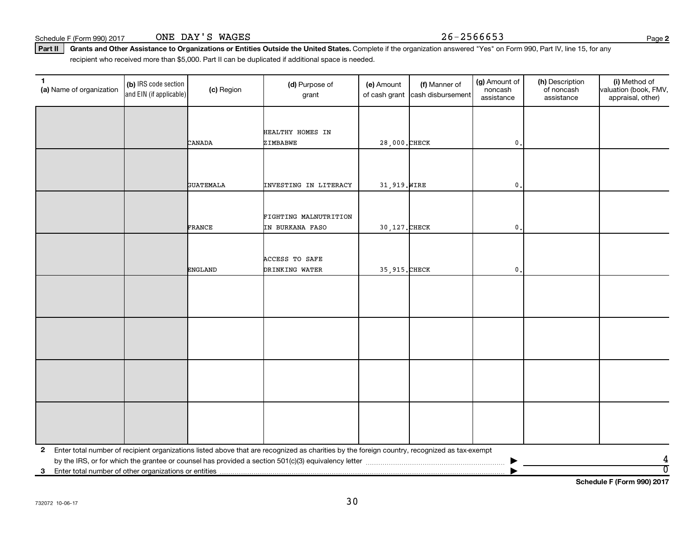Schedule F (Form 990) 2017 ONE DAY'S WAGES 26-2566653

**2**

Part II | Grants and Other Assistance to Organizations or Entities Outside the United States. Complete if the organization answered "Yes" on Form 990, Part IV, line 15, for any recipient who received more than \$5,000. Part II can be duplicated if additional space is needed.

| (a) Name of organization | (b) IRS code section<br>and EIN (if applicable) | (c) Region       | (d) Purpose of<br>grant                                                                                                                      | (e) Amount     | (f) Manner of<br>of cash grant cash disbursement | (g) Amount of<br>noncash<br>assistance | (h) Description<br>of noncash<br>assistance | (i) Method of<br>valuation (book, FMV,<br>appraisal, other) |
|--------------------------|-------------------------------------------------|------------------|----------------------------------------------------------------------------------------------------------------------------------------------|----------------|--------------------------------------------------|----------------------------------------|---------------------------------------------|-------------------------------------------------------------|
|                          |                                                 |                  |                                                                                                                                              |                |                                                  |                                        |                                             |                                                             |
|                          |                                                 |                  | HEALTHY HOMES IN                                                                                                                             |                |                                                  |                                        |                                             |                                                             |
|                          |                                                 | CANADA           | ZIMBABWE                                                                                                                                     | 28,000. CHECK  |                                                  | $\mathbf{0}$ .                         |                                             |                                                             |
|                          |                                                 |                  |                                                                                                                                              |                |                                                  |                                        |                                             |                                                             |
|                          |                                                 |                  |                                                                                                                                              |                |                                                  |                                        |                                             |                                                             |
|                          |                                                 | <b>GUATEMALA</b> | <b>INVESTING IN LITERACY</b>                                                                                                                 | 31, 919. WIRE  |                                                  | $\mathfrak o$ .                        |                                             |                                                             |
|                          |                                                 |                  |                                                                                                                                              |                |                                                  |                                        |                                             |                                                             |
|                          |                                                 |                  | FIGHTING MALNUTRITION                                                                                                                        |                |                                                  |                                        |                                             |                                                             |
|                          |                                                 | FRANCE           | IN BURKANA FASO                                                                                                                              | 30, 127. CHECK |                                                  | $\mathbf{0}$ .                         |                                             |                                                             |
|                          |                                                 |                  |                                                                                                                                              |                |                                                  |                                        |                                             |                                                             |
|                          |                                                 |                  | <b>ACCESS TO SAFE</b>                                                                                                                        |                |                                                  |                                        |                                             |                                                             |
|                          |                                                 | <b>ENGLAND</b>   | DRINKING WATER                                                                                                                               | 35, 915. CHECK |                                                  | $\mathbf{0}$                           |                                             |                                                             |
|                          |                                                 |                  |                                                                                                                                              |                |                                                  |                                        |                                             |                                                             |
|                          |                                                 |                  |                                                                                                                                              |                |                                                  |                                        |                                             |                                                             |
|                          |                                                 |                  |                                                                                                                                              |                |                                                  |                                        |                                             |                                                             |
|                          |                                                 |                  |                                                                                                                                              |                |                                                  |                                        |                                             |                                                             |
|                          |                                                 |                  |                                                                                                                                              |                |                                                  |                                        |                                             |                                                             |
|                          |                                                 |                  |                                                                                                                                              |                |                                                  |                                        |                                             |                                                             |
|                          |                                                 |                  |                                                                                                                                              |                |                                                  |                                        |                                             |                                                             |
|                          |                                                 |                  |                                                                                                                                              |                |                                                  |                                        |                                             |                                                             |
|                          |                                                 |                  |                                                                                                                                              |                |                                                  |                                        |                                             |                                                             |
|                          |                                                 |                  |                                                                                                                                              |                |                                                  |                                        |                                             |                                                             |
|                          |                                                 |                  |                                                                                                                                              |                |                                                  |                                        |                                             |                                                             |
| $\mathbf{2}$             |                                                 |                  | Enter total number of recipient organizations listed above that are recognized as charities by the foreign country, recognized as tax-exempt |                |                                                  |                                        |                                             |                                                             |
|                          |                                                 |                  |                                                                                                                                              |                |                                                  |                                        |                                             | 4                                                           |
| 3                        |                                                 |                  |                                                                                                                                              |                |                                                  |                                        |                                             | $\overline{0}$                                              |

**Schedule F (Form 990) 2017**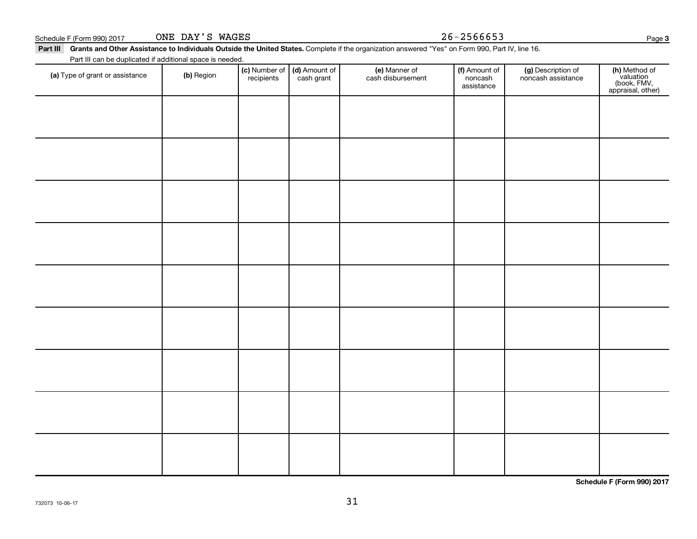| Schedule F (Form 990) 2017                                                                                                                                | ONE DAY'S WAGES |               |               |                   | $26 - 2566653$        |                    | Page 3                                                         |
|-----------------------------------------------------------------------------------------------------------------------------------------------------------|-----------------|---------------|---------------|-------------------|-----------------------|--------------------|----------------------------------------------------------------|
| Part III Grants and Other Assistance to Individuals Outside the United States. Complete if the organization answered "Yes" on Form 990, Part IV, line 16. |                 |               |               |                   |                       |                    |                                                                |
| Part III can be duplicated if additional space is needed.<br>(a) Type of grant or assistance                                                              | (b) Region      | (c) Number of | (d) Amount of | (e) Manner of     | (f) Amount of         | (g) Description of |                                                                |
|                                                                                                                                                           |                 | recipients    | cash grant    | cash disbursement | noncash<br>assistance | noncash assistance | (h) Method of<br>valuation<br>(book, FMV,<br>appraisal, other) |
|                                                                                                                                                           |                 |               |               |                   |                       |                    |                                                                |
|                                                                                                                                                           |                 |               |               |                   |                       |                    |                                                                |
|                                                                                                                                                           |                 |               |               |                   |                       |                    |                                                                |
|                                                                                                                                                           |                 |               |               |                   |                       |                    |                                                                |
|                                                                                                                                                           |                 |               |               |                   |                       |                    |                                                                |
|                                                                                                                                                           |                 |               |               |                   |                       |                    |                                                                |
|                                                                                                                                                           |                 |               |               |                   |                       |                    |                                                                |
|                                                                                                                                                           |                 |               |               |                   |                       |                    |                                                                |
|                                                                                                                                                           |                 |               |               |                   |                       |                    |                                                                |
|                                                                                                                                                           |                 |               |               |                   |                       |                    |                                                                |
|                                                                                                                                                           |                 |               |               |                   |                       |                    |                                                                |
|                                                                                                                                                           |                 |               |               |                   |                       |                    |                                                                |
|                                                                                                                                                           |                 |               |               |                   |                       |                    |                                                                |
|                                                                                                                                                           |                 |               |               |                   |                       |                    |                                                                |
|                                                                                                                                                           |                 |               |               |                   |                       |                    |                                                                |
|                                                                                                                                                           |                 |               |               |                   |                       |                    |                                                                |
|                                                                                                                                                           |                 |               |               |                   |                       |                    |                                                                |
|                                                                                                                                                           |                 |               |               |                   |                       |                    |                                                                |
|                                                                                                                                                           |                 |               |               |                   |                       |                    |                                                                |

**Schedule F (Form 990) 2017**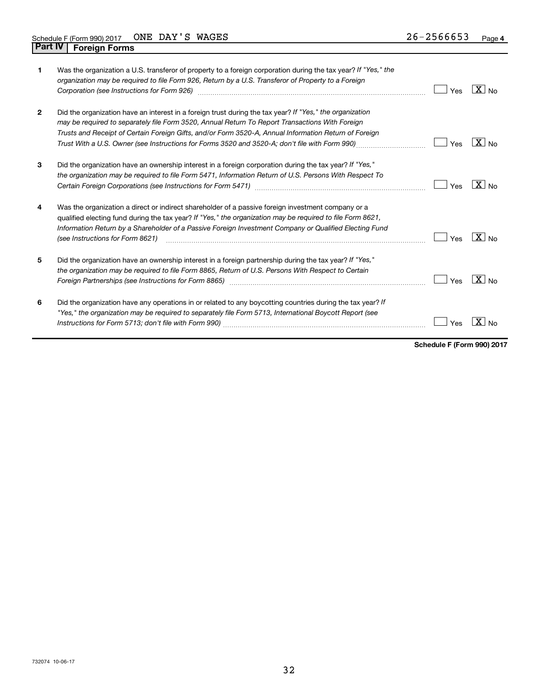| 1            | Was the organization a U.S. transferor of property to a foreign corporation during the tax year? If "Yes," the<br>organization may be required to file Form 926, Return by a U.S. Transferor of Property to a Foreign<br>Corporation (see Instructions for Form 926)                                                                                                                                                   | Yes | $ X _{\sf No}$  |
|--------------|------------------------------------------------------------------------------------------------------------------------------------------------------------------------------------------------------------------------------------------------------------------------------------------------------------------------------------------------------------------------------------------------------------------------|-----|-----------------|
| $\mathbf{2}$ | Did the organization have an interest in a foreign trust during the tax year? If "Yes," the organization<br>may be required to separately file Form 3520, Annual Return To Report Transactions With Foreign<br>Trusts and Receipt of Certain Foreign Gifts, and/or Form 3520-A, Annual Information Return of Foreign<br>Trust With a U.S. Owner (see Instructions for Forms 3520 and 3520-A; don't file with Form 990) | Yes | $X_{\text{No}}$ |
| 3            | Did the organization have an ownership interest in a foreign corporation during the tax year? If "Yes,"<br>the organization may be required to file Form 5471, Information Return of U.S. Persons With Respect To                                                                                                                                                                                                      | Yes | $X _{N0}$       |
| 4            | Was the organization a direct or indirect shareholder of a passive foreign investment company or a<br>qualified electing fund during the tax year? If "Yes," the organization may be required to file Form 8621,<br>Information Return by a Shareholder of a Passive Foreign Investment Company or Qualified Electing Fund<br>(see Instructions for Form 8621)                                                         | Yes | $ X _{\sf No}$  |
| 5            | Did the organization have an ownership interest in a foreign partnership during the tax year? If "Yes,"<br>the organization may be required to file Form 8865, Return of U.S. Persons With Respect to Certain<br>Foreign Partnerships (see Instructions for Form 8865) manufactured content to the manufactured resources and t                                                                                        | Yes | $ X _{\sf No}$  |
| 6            | Did the organization have any operations in or related to any boycotting countries during the tax year? If<br>"Yes," the organization may be required to separately file Form 5713, International Boycott Report (see                                                                                                                                                                                                  | Yes |                 |

**Schedule F (Form 990) 2017**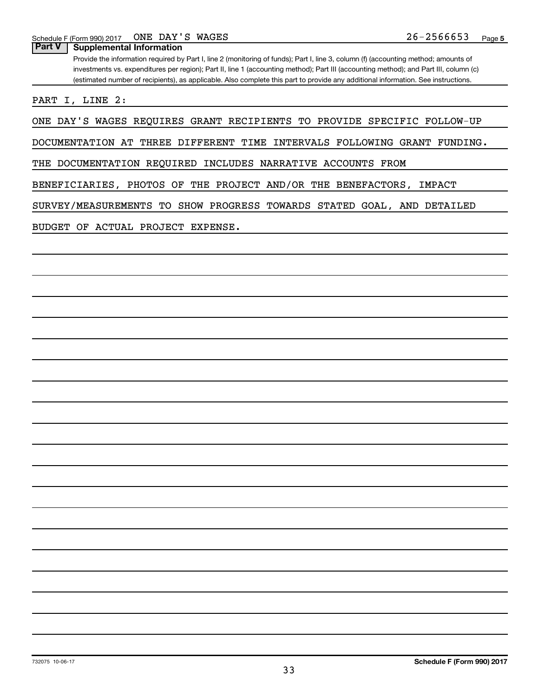**Part V Supplemental Information**

Provide the information required by Part I, line 2 (monitoring of funds); Part I, line 3, column (f) (accounting method; amounts of investments vs. expenditures per region); Part II, line 1 (accounting method); Part III (accounting method); and Part III, column (c) (estimated number of recipients), as applicable. Also complete this part to provide any additional information. See instructions.

PART I, LINE 2:

ONE DAY'S WAGES REQUIRES GRANT RECIPIENTS TO PROVIDE SPECIFIC FOLLOW-UP

DOCUMENTATION AT THREE DIFFERENT TIME INTERVALS FOLLOWING GRANT FUNDING.

THE DOCUMENTATION REQUIRED INCLUDES NARRATIVE ACCOUNTS FROM

BENEFICIARIES, PHOTOS OF THE PROJECT AND/OR THE BENEFACTORS, IMPACT

SURVEY/MEASUREMENTS TO SHOW PROGRESS TOWARDS STATED GOAL, AND DETAILED

BUDGET OF ACTUAL PROJECT EXPENSE.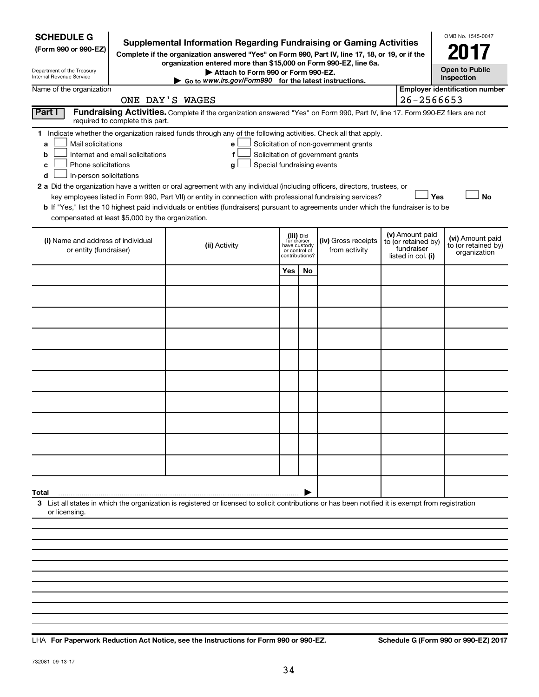| <b>SCHEDULE G</b><br><b>Supplemental Information Regarding Fundraising or Gaming Activities</b><br>(Form 990 or 990-EZ)<br>Complete if the organization answered "Yes" on Form 990, Part IV, line 17, 18, or 19, or if the<br>Department of the Treasury<br>Internal Revenue Service                                                                                                                                                                                                                                                                                        |                                                                                                                                                          | OMB No. 1545-0047<br><b>Open to Public</b><br>Inspection                   |    |                                                                            |  |                                                                                                                                       |                                       |  |  |
|-----------------------------------------------------------------------------------------------------------------------------------------------------------------------------------------------------------------------------------------------------------------------------------------------------------------------------------------------------------------------------------------------------------------------------------------------------------------------------------------------------------------------------------------------------------------------------|----------------------------------------------------------------------------------------------------------------------------------------------------------|----------------------------------------------------------------------------|----|----------------------------------------------------------------------------|--|---------------------------------------------------------------------------------------------------------------------------------------|---------------------------------------|--|--|
| Name of the organization                                                                                                                                                                                                                                                                                                                                                                                                                                                                                                                                                    | Go to www.irs.gov/Form990 for the latest instructions.                                                                                                   |                                                                            |    |                                                                            |  |                                                                                                                                       | <b>Employer identification number</b> |  |  |
| Part I                                                                                                                                                                                                                                                                                                                                                                                                                                                                                                                                                                      | ONE DAY'S WAGES<br>Fundraising Activities. Complete if the organization answered "Yes" on Form 990, Part IV, line 17. Form 990-EZ filers are not         |                                                                            |    |                                                                            |  | 26-2566653                                                                                                                            |                                       |  |  |
| required to complete this part.                                                                                                                                                                                                                                                                                                                                                                                                                                                                                                                                             |                                                                                                                                                          |                                                                            |    |                                                                            |  |                                                                                                                                       |                                       |  |  |
| 1 Indicate whether the organization raised funds through any of the following activities. Check all that apply.<br>Mail solicitations<br>a<br>Internet and email solicitations<br>b<br>Phone solicitations<br>с<br>In-person solicitations<br>d<br>2 a Did the organization have a written or oral agreement with any individual (including officers, directors, trustees, or<br>b If "Yes," list the 10 highest paid individuals or entities (fundraisers) pursuant to agreements under which the fundraiser is to be<br>compensated at least \$5,000 by the organization. | e<br>f<br>Special fundraising events<br>g<br>key employees listed in Form 990, Part VII) or entity in connection with professional fundraising services? |                                                                            |    | Solicitation of non-government grants<br>Solicitation of government grants |  | Yes                                                                                                                                   | <b>No</b>                             |  |  |
| (i) Name and address of individual<br>or entity (fundraiser)                                                                                                                                                                                                                                                                                                                                                                                                                                                                                                                | (ii) Activity                                                                                                                                            | (iii) Did<br>fundraiser<br>have custody<br>or control of<br>contributions? |    | (iv) Gross receipts<br>from activity                                       |  | (v) Amount paid<br>(vi) Amount paid<br>to (or retained by)<br>to (or retained by)<br>fundraiser<br>organization<br>listed in col. (i) |                                       |  |  |
|                                                                                                                                                                                                                                                                                                                                                                                                                                                                                                                                                                             |                                                                                                                                                          | <b>Yes</b>                                                                 | No |                                                                            |  |                                                                                                                                       |                                       |  |  |
|                                                                                                                                                                                                                                                                                                                                                                                                                                                                                                                                                                             |                                                                                                                                                          |                                                                            |    |                                                                            |  |                                                                                                                                       |                                       |  |  |
|                                                                                                                                                                                                                                                                                                                                                                                                                                                                                                                                                                             |                                                                                                                                                          |                                                                            |    |                                                                            |  |                                                                                                                                       |                                       |  |  |
|                                                                                                                                                                                                                                                                                                                                                                                                                                                                                                                                                                             |                                                                                                                                                          |                                                                            |    |                                                                            |  |                                                                                                                                       |                                       |  |  |
|                                                                                                                                                                                                                                                                                                                                                                                                                                                                                                                                                                             |                                                                                                                                                          |                                                                            |    |                                                                            |  |                                                                                                                                       |                                       |  |  |
|                                                                                                                                                                                                                                                                                                                                                                                                                                                                                                                                                                             |                                                                                                                                                          |                                                                            |    |                                                                            |  |                                                                                                                                       |                                       |  |  |
|                                                                                                                                                                                                                                                                                                                                                                                                                                                                                                                                                                             |                                                                                                                                                          |                                                                            |    |                                                                            |  |                                                                                                                                       |                                       |  |  |
|                                                                                                                                                                                                                                                                                                                                                                                                                                                                                                                                                                             |                                                                                                                                                          |                                                                            |    |                                                                            |  |                                                                                                                                       |                                       |  |  |
|                                                                                                                                                                                                                                                                                                                                                                                                                                                                                                                                                                             |                                                                                                                                                          |                                                                            |    |                                                                            |  |                                                                                                                                       |                                       |  |  |
|                                                                                                                                                                                                                                                                                                                                                                                                                                                                                                                                                                             |                                                                                                                                                          |                                                                            |    |                                                                            |  |                                                                                                                                       |                                       |  |  |
|                                                                                                                                                                                                                                                                                                                                                                                                                                                                                                                                                                             |                                                                                                                                                          |                                                                            |    |                                                                            |  |                                                                                                                                       |                                       |  |  |
|                                                                                                                                                                                                                                                                                                                                                                                                                                                                                                                                                                             |                                                                                                                                                          |                                                                            |    |                                                                            |  |                                                                                                                                       |                                       |  |  |
| Total<br>3 List all states in which the organization is registered or licensed to solicit contributions or has been notified it is exempt from registration<br>or licensing.                                                                                                                                                                                                                                                                                                                                                                                                |                                                                                                                                                          |                                                                            |    |                                                                            |  |                                                                                                                                       |                                       |  |  |
|                                                                                                                                                                                                                                                                                                                                                                                                                                                                                                                                                                             |                                                                                                                                                          |                                                                            |    |                                                                            |  |                                                                                                                                       |                                       |  |  |
|                                                                                                                                                                                                                                                                                                                                                                                                                                                                                                                                                                             |                                                                                                                                                          |                                                                            |    |                                                                            |  |                                                                                                                                       |                                       |  |  |
|                                                                                                                                                                                                                                                                                                                                                                                                                                                                                                                                                                             |                                                                                                                                                          |                                                                            |    |                                                                            |  |                                                                                                                                       |                                       |  |  |
|                                                                                                                                                                                                                                                                                                                                                                                                                                                                                                                                                                             |                                                                                                                                                          |                                                                            |    |                                                                            |  |                                                                                                                                       |                                       |  |  |

**For Paperwork Reduction Act Notice, see the Instructions for Form 990 or 990-EZ. Schedule G (Form 990 or 990-EZ) 2017** LHA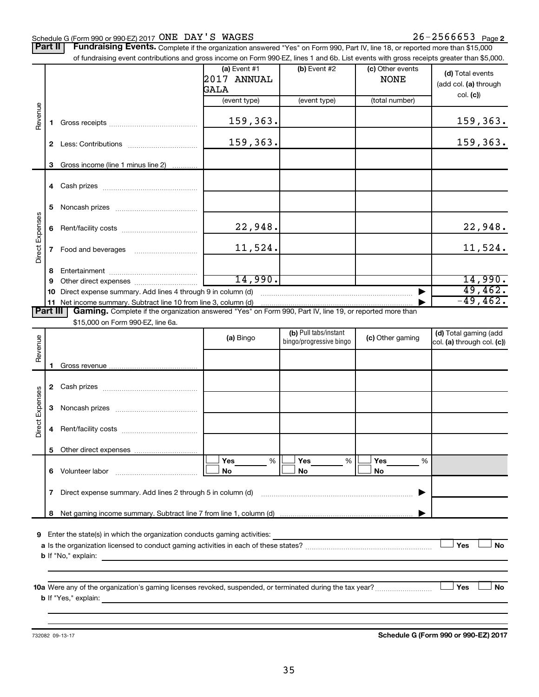#### Schedule G (Form 990 or 990-EZ) 2017 UNE DAYES WAGES NARROUGHT ALL ALL AND MODEL AS DRIVE Page ONE DAY'S WAGES 26-2566653

Part II | Fundraising Events. Complete if the organization answered "Yes" on Form 990, Part IV, line 18, or reported more than \$15,000 of fundraising event contributions and gross income on Form 990-EZ, lines 1 and 6b. List events with gross receipts greater than \$5,000.

|                 |              | of fundraising event contributions and gross income on Form 990-EZ, lines 1 and 6b. List events with gross receipts greater than \$5,000.                                                                                                 |                                       |                         |                                 |                                           |
|-----------------|--------------|-------------------------------------------------------------------------------------------------------------------------------------------------------------------------------------------------------------------------------------------|---------------------------------------|-------------------------|---------------------------------|-------------------------------------------|
|                 |              |                                                                                                                                                                                                                                           | (a) Event $#1$<br>2017 ANNUAL<br>GALA | $(b)$ Event #2          | (c) Other events<br><b>NONE</b> | (d) Total events<br>(add col. (a) through |
|                 |              |                                                                                                                                                                                                                                           | (event type)                          | (event type)            | (total number)                  | col. (c)                                  |
| Revenue         | 1.           |                                                                                                                                                                                                                                           | 159,363.                              |                         |                                 | 159,363.                                  |
|                 |              |                                                                                                                                                                                                                                           | 159,363.                              |                         |                                 | 159,363.                                  |
|                 | 3            | Gross income (line 1 minus line 2)                                                                                                                                                                                                        |                                       |                         |                                 |                                           |
|                 |              |                                                                                                                                                                                                                                           |                                       |                         |                                 |                                           |
|                 |              |                                                                                                                                                                                                                                           |                                       |                         |                                 |                                           |
|                 | 5            |                                                                                                                                                                                                                                           |                                       |                         |                                 |                                           |
|                 | 6            |                                                                                                                                                                                                                                           | 22,948.                               |                         |                                 | 22,948.                                   |
| Direct Expenses | $\mathbf{7}$ |                                                                                                                                                                                                                                           | 11,524.                               |                         |                                 | 11,524.                                   |
|                 | 8            |                                                                                                                                                                                                                                           |                                       |                         |                                 |                                           |
|                 | 9            |                                                                                                                                                                                                                                           | 14,990.                               |                         |                                 | 14,990.                                   |
|                 |              | 10 Direct expense summary. Add lines 4 through 9 in column (d)                                                                                                                                                                            |                                       |                         |                                 | 49,462.                                   |
| <b>Part III</b> |              | 11 Net income summary. Subtract line 10 from line 3, column (d)<br>Gaming. Complete if the organization answered "Yes" on Form 990, Part IV, line 19, or reported more than                                                               |                                       |                         |                                 | $-49,462.$                                |
|                 |              | \$15,000 on Form 990-EZ, line 6a.                                                                                                                                                                                                         |                                       |                         |                                 |                                           |
|                 |              |                                                                                                                                                                                                                                           |                                       | (b) Pull tabs/instant   |                                 | (d) Total gaming (add                     |
| Revenue         |              |                                                                                                                                                                                                                                           | (a) Bingo                             | bingo/progressive bingo | (c) Other gaming                | col. (a) through col. (c))                |
|                 |              |                                                                                                                                                                                                                                           |                                       |                         |                                 |                                           |
|                 | 1            |                                                                                                                                                                                                                                           |                                       |                         |                                 |                                           |
|                 |              |                                                                                                                                                                                                                                           |                                       |                         |                                 |                                           |
|                 |              |                                                                                                                                                                                                                                           |                                       |                         |                                 |                                           |
|                 | 3            |                                                                                                                                                                                                                                           |                                       |                         |                                 |                                           |
| Direct Expenses | 4            |                                                                                                                                                                                                                                           |                                       |                         |                                 |                                           |
|                 |              |                                                                                                                                                                                                                                           |                                       |                         |                                 |                                           |
|                 |              |                                                                                                                                                                                                                                           | Yes<br>%                              | $\%$<br>Yes             | Yes<br>%                        |                                           |
|                 |              | 6 Volunteer labor <b>6 Volunteer</b> labor                                                                                                                                                                                                | No                                    | No                      | No                              |                                           |
|                 | 7            | Direct expense summary. Add lines 2 through 5 in column (d)                                                                                                                                                                               |                                       |                         |                                 |                                           |
|                 | 8            |                                                                                                                                                                                                                                           |                                       |                         |                                 |                                           |
|                 |              |                                                                                                                                                                                                                                           |                                       |                         |                                 |                                           |
|                 |              | 9 Enter the state(s) in which the organization conducts gaming activities:                                                                                                                                                                |                                       |                         |                                 |                                           |
|                 |              |                                                                                                                                                                                                                                           |                                       |                         |                                 | Yes<br>No                                 |
|                 |              | <b>b</b> If "No," explain:<br><u> 1989 - John Stein, Amerikaansk politiker (* 1908)</u>                                                                                                                                                   |                                       |                         |                                 |                                           |
|                 |              |                                                                                                                                                                                                                                           |                                       |                         |                                 |                                           |
|                 |              | 10a Were any of the organization's gaming licenses revoked, suspended, or terminated during the tax year?                                                                                                                                 |                                       |                         |                                 | Yes<br>No                                 |
|                 |              | <b>b</b> If "Yes," explain: <b>contract and the contract of the contract of the contract of the contract of the contract of the contract of the contract of the contract of the contract of the contract of the contract of the contr</b> |                                       |                         |                                 |                                           |
|                 |              |                                                                                                                                                                                                                                           |                                       |                         |                                 |                                           |
|                 |              |                                                                                                                                                                                                                                           |                                       |                         |                                 |                                           |

732082 09-13-17

**Schedule G (Form 990 or 990-EZ) 2017**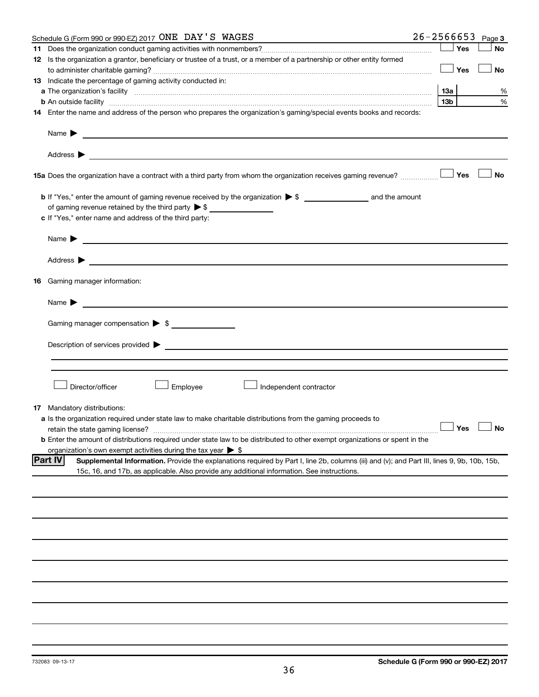| Schedule G (Form 990 or 990-EZ) 2017 ONE DAY'S WAGES                                                                                                                                                                                |                 |     | $26 - 2566653$ Page 3 |
|-------------------------------------------------------------------------------------------------------------------------------------------------------------------------------------------------------------------------------------|-----------------|-----|-----------------------|
|                                                                                                                                                                                                                                     |                 | Yes | <b>No</b>             |
| 12 Is the organization a grantor, beneficiary or trustee of a trust, or a member of a partnership or other entity formed                                                                                                            |                 |     |                       |
|                                                                                                                                                                                                                                     |                 | Yes | No                    |
| 13 Indicate the percentage of gaming activity conducted in:                                                                                                                                                                         |                 |     |                       |
| a The organization's facility <i>measurement assemble to the companion of the companisation</i> in the state of the companion of the companion of the companion of the companion of the companion of the companion of the companion |                 |     | %                     |
| <b>b</b> An outside facility <i>www.communicality.communicality.communicality www.communicality.communicality.communicality.com</i>                                                                                                 | 13 <sub>b</sub> |     | %                     |
| 14 Enter the name and address of the person who prepares the organization's gaming/special events books and records:                                                                                                                |                 |     |                       |
|                                                                                                                                                                                                                                     |                 |     |                       |
|                                                                                                                                                                                                                                     |                 |     |                       |
| 15a Does the organization have a contract with a third party from whom the organization receives gaming revenue?                                                                                                                    |                 | Yes | <b>No</b>             |
|                                                                                                                                                                                                                                     |                 |     |                       |
| of gaming revenue retained by the third party $\triangleright$ \$                                                                                                                                                                   |                 |     |                       |
| c If "Yes," enter name and address of the third party:                                                                                                                                                                              |                 |     |                       |
|                                                                                                                                                                                                                                     |                 |     |                       |
|                                                                                                                                                                                                                                     |                 |     |                       |
| <b>16</b> Gaming manager information:                                                                                                                                                                                               |                 |     |                       |
|                                                                                                                                                                                                                                     |                 |     |                       |
| Name $\blacktriangleright$<br><u> 1989 - Johann Barn, mars et al. (</u> † 1939)                                                                                                                                                     |                 |     |                       |
| Gaming manager compensation > \$                                                                                                                                                                                                    |                 |     |                       |
|                                                                                                                                                                                                                                     |                 |     |                       |
| Employee<br>Director/officer<br>Independent contractor                                                                                                                                                                              |                 |     |                       |
| <b>17</b> Mandatory distributions:                                                                                                                                                                                                  |                 |     |                       |
| <b>a</b> Is the organization required under state law to make charitable distributions from the gaming proceeds to                                                                                                                  |                 |     | $\Box$ Yes $\Box$ No  |
|                                                                                                                                                                                                                                     |                 |     |                       |
| <b>b</b> Enter the amount of distributions required under state law to be distributed to other exempt organizations or spent in the<br>organization's own exempt activities during the tax year $\triangleright$ \$                 |                 |     |                       |
| <b>Part IV</b><br>Supplemental Information. Provide the explanations required by Part I, line 2b, columns (iii) and (v); and Part III, lines 9, 9b, 10b, 15b,                                                                       |                 |     |                       |
| 15c, 16, and 17b, as applicable. Also provide any additional information. See instructions.                                                                                                                                         |                 |     |                       |
|                                                                                                                                                                                                                                     |                 |     |                       |
|                                                                                                                                                                                                                                     |                 |     |                       |
|                                                                                                                                                                                                                                     |                 |     |                       |
|                                                                                                                                                                                                                                     |                 |     |                       |
|                                                                                                                                                                                                                                     |                 |     |                       |
|                                                                                                                                                                                                                                     |                 |     |                       |
|                                                                                                                                                                                                                                     |                 |     |                       |
|                                                                                                                                                                                                                                     |                 |     |                       |
|                                                                                                                                                                                                                                     |                 |     |                       |
|                                                                                                                                                                                                                                     |                 |     |                       |
|                                                                                                                                                                                                                                     |                 |     |                       |
|                                                                                                                                                                                                                                     |                 |     |                       |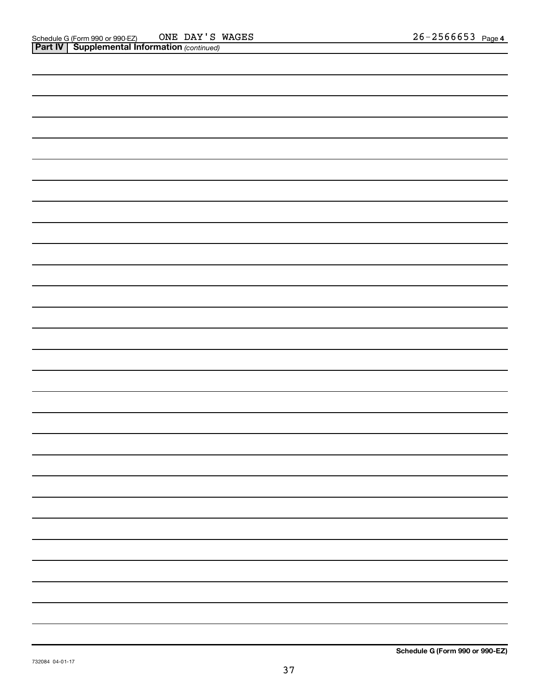| —<br>— |
|--------|
|        |
|        |
|        |
|        |
|        |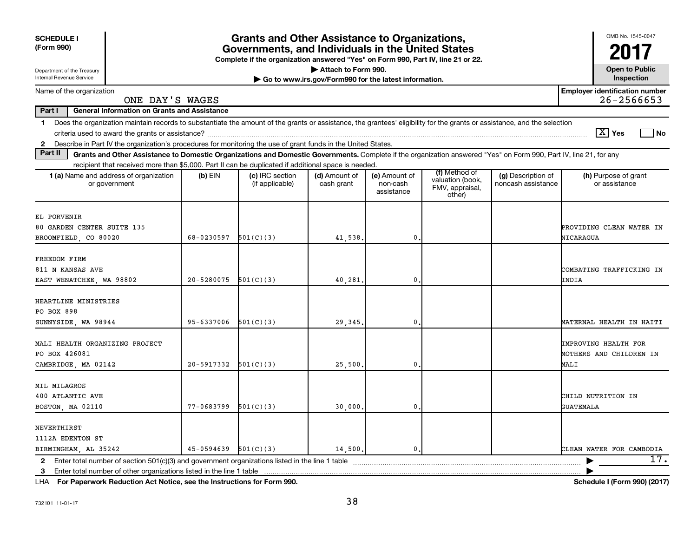| <b>SCHEDULE I</b><br>(Form 990)                                                                                                                                                                                                                                                                                           | <b>Grants and Other Assistance to Organizations,</b><br>Governments, and Individuals in the United States<br>Complete if the organization answered "Yes" on Form 990, Part IV, line 21 or 22. |                                    |                                                                              |                                         |                                                                |                                          |                                                         |  |  |  |  |
|---------------------------------------------------------------------------------------------------------------------------------------------------------------------------------------------------------------------------------------------------------------------------------------------------------------------------|-----------------------------------------------------------------------------------------------------------------------------------------------------------------------------------------------|------------------------------------|------------------------------------------------------------------------------|-----------------------------------------|----------------------------------------------------------------|------------------------------------------|---------------------------------------------------------|--|--|--|--|
| Department of the Treasury<br>Internal Revenue Service                                                                                                                                                                                                                                                                    |                                                                                                                                                                                               |                                    | Attach to Form 990.<br>Go to www.irs.gov/Form990 for the latest information. |                                         |                                                                |                                          | <b>Open to Public</b><br>Inspection                     |  |  |  |  |
| Name of the organization<br>ONE DAY'S WAGES                                                                                                                                                                                                                                                                               |                                                                                                                                                                                               |                                    |                                                                              |                                         |                                                                |                                          | <b>Employer identification number</b><br>$26 - 2566653$ |  |  |  |  |
| Part I<br><b>General Information on Grants and Assistance</b>                                                                                                                                                                                                                                                             |                                                                                                                                                                                               |                                    |                                                                              |                                         |                                                                |                                          |                                                         |  |  |  |  |
| Does the organization maintain records to substantiate the amount of the grants or assistance, the grantees' eligibility for the grants or assistance, and the selection<br>$\mathbf{1}$<br>Describe in Part IV the organization's procedures for monitoring the use of grant funds in the United States.<br>$\mathbf{2}$ |                                                                                                                                                                                               |                                    |                                                                              |                                         |                                                                |                                          | $\boxed{\text{X}}$ Yes<br>  No                          |  |  |  |  |
| Part II<br>Grants and Other Assistance to Domestic Organizations and Domestic Governments. Complete if the organization answered "Yes" on Form 990, Part IV, line 21, for any                                                                                                                                             |                                                                                                                                                                                               |                                    |                                                                              |                                         |                                                                |                                          |                                                         |  |  |  |  |
| recipient that received more than \$5,000. Part II can be duplicated if additional space is needed.<br>1 (a) Name and address of organization<br>or government                                                                                                                                                            | $(b)$ EIN                                                                                                                                                                                     | (c) IRC section<br>(if applicable) | (d) Amount of<br>cash grant                                                  | (e) Amount of<br>non-cash<br>assistance | (f) Method of<br>valuation (book,<br>FMV, appraisal,<br>other) | (g) Description of<br>noncash assistance | (h) Purpose of grant<br>or assistance                   |  |  |  |  |
| EL PORVENIR<br>80 GARDEN CENTER SUITE 135<br>BROOMFIELD, CO 80020                                                                                                                                                                                                                                                         | 68-0230597                                                                                                                                                                                    | 501(C)(3)                          | 41,538                                                                       | 0                                       |                                                                |                                          | PROVIDING CLEAN WATER IN<br>NICARAGUA                   |  |  |  |  |
| FREEDOM FIRM<br>811 N KANSAS AVE<br>EAST WENATCHEE, WA 98802                                                                                                                                                                                                                                                              | 20-5280075                                                                                                                                                                                    | 501(C)(3)                          | 40,281                                                                       | 0                                       |                                                                |                                          | COMBATING TRAFFICKING IN<br>INDIA                       |  |  |  |  |
| HEARTLINE MINISTRIES<br>PO BOX 898<br>SUNNYSIDE, WA 98944                                                                                                                                                                                                                                                                 | 95-6337006                                                                                                                                                                                    | 501(C)(3)                          | 29,345                                                                       | 0                                       |                                                                |                                          | MATERNAL HEALTH IN HAITI                                |  |  |  |  |
| MALI HEALTH ORGANIZING PROJECT<br>PO BOX 426081<br>CAMBRIDGE, MA 02142                                                                                                                                                                                                                                                    | 20-5917332                                                                                                                                                                                    | 501(C)(3)                          | 25,500                                                                       | 0                                       |                                                                |                                          | IMPROVING HEALTH FOR<br>MOTHERS AND CHILDREN IN<br>MALI |  |  |  |  |
| MIL MILAGROS<br>400 ATLANTIC AVE<br>BOSTON, MA 02110                                                                                                                                                                                                                                                                      | 77-0683799                                                                                                                                                                                    | 501(C)(3)                          | 30,000                                                                       | 0                                       |                                                                |                                          | CHILD NUTRITION IN<br><b>GUATEMALA</b>                  |  |  |  |  |
| NEVERTHIRST<br>1112A EDENTON ST<br>BIRMINGHAM, AL 35242                                                                                                                                                                                                                                                                   | 45-0594639                                                                                                                                                                                    | 501(C)(3)                          | 14,500,                                                                      | $\mathbf 0$ .                           |                                                                |                                          | CLEAN WATER FOR CAMBODIA                                |  |  |  |  |
| $\mathbf{2}$<br>Enter total number of other organizations listed in the line 1 table<br>3                                                                                                                                                                                                                                 |                                                                                                                                                                                               |                                    |                                                                              |                                         |                                                                |                                          | 17.                                                     |  |  |  |  |

**For Paperwork Reduction Act Notice, see the Instructions for Form 990. Schedule I (Form 990) (2017)** LHA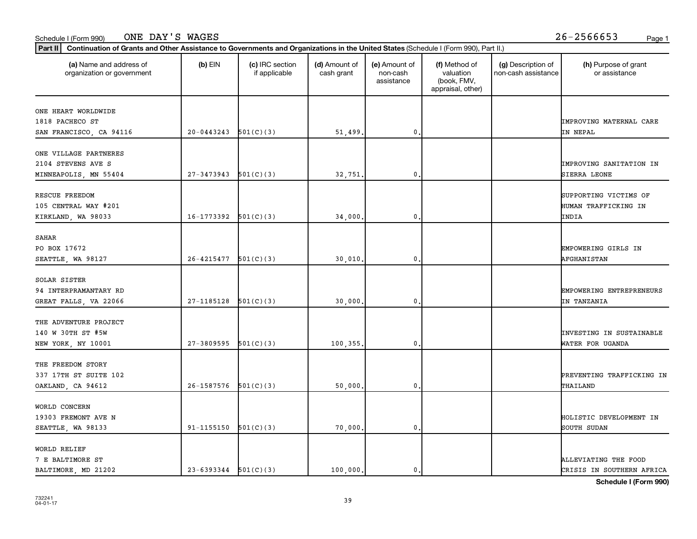#### Schedule I (Form 990) Page 1 ONE DAY'S WAGES 26-2566653

| (a) Name and address of<br>organization or government | $(b)$ EIN                | (c) IRC section<br>if applicable | (d) Amount of<br>cash grant | (e) Amount of<br>non-cash<br>assistance | (f) Method of<br>valuation<br>(book, FMV,<br>appraisal, other) | (g) Description of<br>non-cash assistance | (h) Purpose of grant<br>or assistance |
|-------------------------------------------------------|--------------------------|----------------------------------|-----------------------------|-----------------------------------------|----------------------------------------------------------------|-------------------------------------------|---------------------------------------|
| ONE HEART WORLDWIDE                                   |                          |                                  |                             |                                         |                                                                |                                           |                                       |
| 1818 PACHECO ST                                       |                          |                                  |                             |                                         |                                                                |                                           | <b>IMPROVING MATERNAL CARE</b>        |
| SAN FRANCISCO, CA 94116                               | $20-0443243$ $501(C)(3)$ |                                  | 51,499.                     | $\mathbf{0}$                            |                                                                |                                           | IN NEPAL                              |
| ONE VILLAGE PARTNERES                                 |                          |                                  |                             |                                         |                                                                |                                           |                                       |
| 2104 STEVENS AVE S                                    |                          |                                  |                             |                                         |                                                                |                                           | <b>IMPROVING SANITATION IN</b>        |
| MINNEAPOLIS, MN 55404                                 | 27-3473943               | 501(C)(3)                        | 32,751.                     | $\mathbf{0}$                            |                                                                |                                           | SIERRA LEONE                          |
| RESCUE FREEDOM                                        |                          |                                  |                             |                                         |                                                                |                                           | SUPPORTING VICTIMS OF                 |
| 105 CENTRAL WAY #201                                  |                          |                                  |                             |                                         |                                                                |                                           | HUMAN TRAFFICKING IN                  |
| KIRKLAND, WA 98033                                    | $16-1773392$ $501(C)(3)$ |                                  | 34,000.                     | $\mathbf{0}$                            |                                                                |                                           | INDIA                                 |
| SAHAR                                                 |                          |                                  |                             |                                         |                                                                |                                           |                                       |
| PO BOX 17672                                          |                          |                                  |                             |                                         |                                                                |                                           | EMPOWERING GIRLS IN                   |
| SEATTLE, WA 98127                                     | 26-4215477               | 501(C)(3)                        | 30,010.                     | $\mathbf{0}$                            |                                                                |                                           | <b>AFGHANISTAN</b>                    |
| SOLAR SISTER                                          |                          |                                  |                             |                                         |                                                                |                                           |                                       |
| 94 INTERPRAMANTARY RD                                 |                          |                                  |                             |                                         |                                                                |                                           | EMPOWERING ENTREPRENEURS              |
| GREAT FALLS, VA 22066                                 | 27-1185128               | 501(C)(3)                        | 30,000.                     | 0                                       |                                                                |                                           | IN TANZANIA                           |
| THE ADVENTURE PROJECT                                 |                          |                                  |                             |                                         |                                                                |                                           |                                       |
| 140 W 30TH ST #5W                                     |                          |                                  |                             |                                         |                                                                |                                           | <b>INVESTING IN SUSTAINABLE</b>       |
| NEW YORK, NY 10001                                    | 27-3809595               | 501(C)(3)                        | 100,355.                    | $\mathbf{0}$                            |                                                                |                                           | WATER FOR UGANDA                      |
| THE FREEDOM STORY                                     |                          |                                  |                             |                                         |                                                                |                                           |                                       |
| 337 17TH ST SUITE 102                                 |                          |                                  |                             |                                         |                                                                |                                           | PREVENTING TRAFFICKING IN             |
| OAKLAND, CA 94612                                     | $26-1587576$ $501(C)(3)$ |                                  | 50,000.                     | $\mathbf{0}$                            |                                                                |                                           | THAILAND                              |
| WORLD CONCERN                                         |                          |                                  |                             |                                         |                                                                |                                           |                                       |
| 19303 FREMONT AVE N                                   |                          |                                  |                             |                                         |                                                                |                                           | HOLISTIC DEVELOPMENT IN               |
| SEATTLE, WA 98133                                     | 91-1155150               | 501(C)(3)                        | 70,000.                     | $\mathbf{0}$                            |                                                                |                                           | SOUTH SUDAN                           |
| WORLD RELIEF                                          |                          |                                  |                             |                                         |                                                                |                                           |                                       |
| 7 E BALTIMORE ST                                      |                          |                                  |                             |                                         |                                                                |                                           | ALLEVIATING THE FOOD                  |
| BALTIMORE, MD 21202                                   | $23-6393344$ $501(C)(3)$ |                                  | 100,000.                    | $\mathbf{0}$ .                          |                                                                |                                           | CRISIS IN SOUTHERN AFRICA             |

**Schedule I (Form 990)**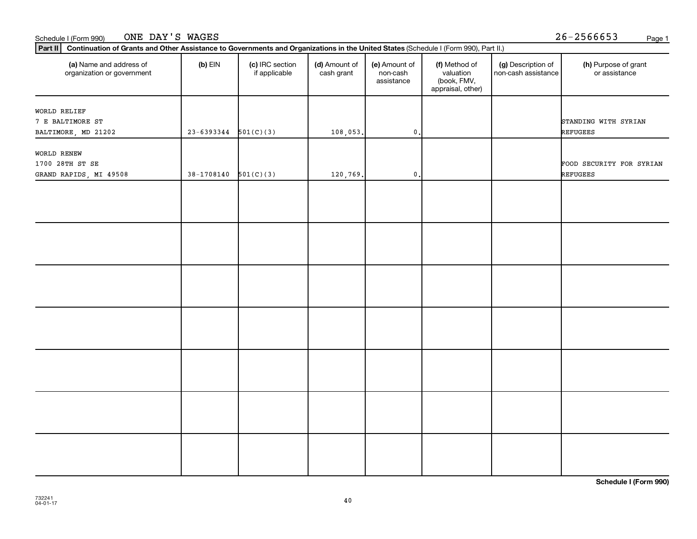#### Schedule I (Form 990) Page 1 ONE DAY'S WAGES 26-2566653

| (a) Name and address of<br>organization or government | $(b)$ EIN                | (c) IRC section<br>if applicable | (d) Amount of<br>cash grant | (e) Amount of<br>non-cash<br>assistance | (f) Method of<br>valuation<br>(book, FMV,<br>appraisal, other) | (g) Description of<br>non-cash assistance | (h) Purpose of grant<br>or assistance |
|-------------------------------------------------------|--------------------------|----------------------------------|-----------------------------|-----------------------------------------|----------------------------------------------------------------|-------------------------------------------|---------------------------------------|
| WORLD RELIEF                                          |                          |                                  |                             |                                         |                                                                |                                           |                                       |
| 7 E BALTIMORE ST                                      |                          |                                  |                             |                                         |                                                                |                                           | STANDING WITH SYRIAN                  |
| BALTIMORE, MD 21202                                   | $23 - 6393344$           | 501(C)(3)                        | 108,053.                    | $\mathsf{0}$ .                          |                                                                |                                           | <b>REFUGEES</b>                       |
| WORLD RENEW                                           |                          |                                  |                             |                                         |                                                                |                                           |                                       |
| 1700 28TH ST SE                                       |                          |                                  |                             |                                         |                                                                |                                           | FOOD SECURITY FOR SYRIAN              |
| GRAND RAPIDS, MI 49508                                | $38-1708140$ $501(C)(3)$ |                                  | 120,769.                    | $\mathfrak o$ .                         |                                                                |                                           | <b>REFUGEES</b>                       |
|                                                       |                          |                                  |                             |                                         |                                                                |                                           |                                       |
|                                                       |                          |                                  |                             |                                         |                                                                |                                           |                                       |
|                                                       |                          |                                  |                             |                                         |                                                                |                                           |                                       |
|                                                       |                          |                                  |                             |                                         |                                                                |                                           |                                       |
|                                                       |                          |                                  |                             |                                         |                                                                |                                           |                                       |
|                                                       |                          |                                  |                             |                                         |                                                                |                                           |                                       |
|                                                       |                          |                                  |                             |                                         |                                                                |                                           |                                       |
|                                                       |                          |                                  |                             |                                         |                                                                |                                           |                                       |
|                                                       |                          |                                  |                             |                                         |                                                                |                                           |                                       |
|                                                       |                          |                                  |                             |                                         |                                                                |                                           |                                       |
|                                                       |                          |                                  |                             |                                         |                                                                |                                           |                                       |
|                                                       |                          |                                  |                             |                                         |                                                                |                                           |                                       |
|                                                       |                          |                                  |                             |                                         |                                                                |                                           |                                       |
|                                                       |                          |                                  |                             |                                         |                                                                |                                           |                                       |
|                                                       |                          |                                  |                             |                                         |                                                                |                                           |                                       |
|                                                       |                          |                                  |                             |                                         |                                                                |                                           |                                       |
|                                                       |                          |                                  |                             |                                         |                                                                |                                           |                                       |
|                                                       |                          |                                  |                             |                                         |                                                                |                                           |                                       |
|                                                       |                          |                                  |                             |                                         |                                                                |                                           |                                       |
|                                                       |                          |                                  |                             |                                         |                                                                |                                           |                                       |
|                                                       |                          |                                  |                             |                                         |                                                                |                                           |                                       |

**Schedule I (Form 990)**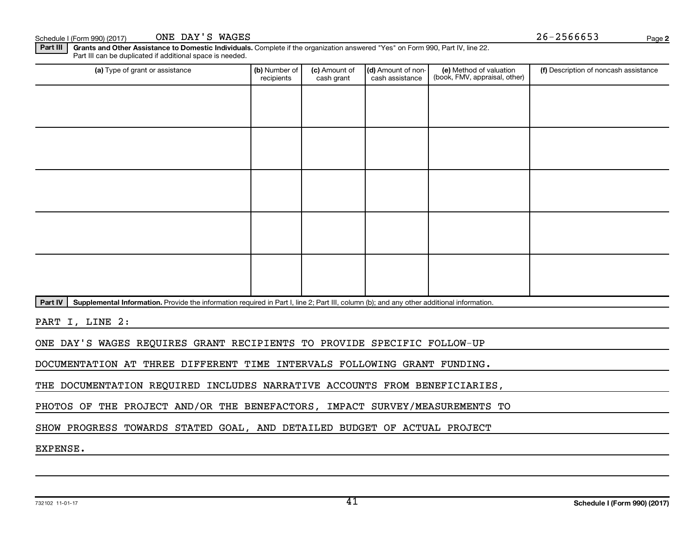Schedule I (Form 990) (2017) ONE DAY'S WAGES  $26-2566653$ 

ONE DAY'S WAGES

Part III | Grants and Other Assistance to Domestic Individuals. Complete if the organization answered "Yes" on Form 990, Part IV, line 22. Part III can be duplicated if additional space is needed.

| (a) Type of grant or assistance                                                                                                                      | (b) Number of<br>recipients | (c) Amount of<br>cash grant | (d) Amount of non-<br>cash assistance | (e) Method of valuation<br>(book, FMV, appraisal, other) | (f) Description of noncash assistance |  |  |  |  |
|------------------------------------------------------------------------------------------------------------------------------------------------------|-----------------------------|-----------------------------|---------------------------------------|----------------------------------------------------------|---------------------------------------|--|--|--|--|
|                                                                                                                                                      |                             |                             |                                       |                                                          |                                       |  |  |  |  |
|                                                                                                                                                      |                             |                             |                                       |                                                          |                                       |  |  |  |  |
|                                                                                                                                                      |                             |                             |                                       |                                                          |                                       |  |  |  |  |
|                                                                                                                                                      |                             |                             |                                       |                                                          |                                       |  |  |  |  |
|                                                                                                                                                      |                             |                             |                                       |                                                          |                                       |  |  |  |  |
|                                                                                                                                                      |                             |                             |                                       |                                                          |                                       |  |  |  |  |
|                                                                                                                                                      |                             |                             |                                       |                                                          |                                       |  |  |  |  |
|                                                                                                                                                      |                             |                             |                                       |                                                          |                                       |  |  |  |  |
|                                                                                                                                                      |                             |                             |                                       |                                                          |                                       |  |  |  |  |
|                                                                                                                                                      |                             |                             |                                       |                                                          |                                       |  |  |  |  |
| Supplemental Information. Provide the information required in Part I, line 2; Part III, column (b); and any other additional information.<br>Part IV |                             |                             |                                       |                                                          |                                       |  |  |  |  |

PART I, LINE 2:

ONE DAY'S WAGES REQUIRES GRANT RECIPIENTS TO PROVIDE SPECIFIC FOLLOW-UP

DOCUMENTATION AT THREE DIFFERENT TIME INTERVALS FOLLOWING GRANT FUNDING.

THE DOCUMENTATION REQUIRED INCLUDES NARRATIVE ACCOUNTS FROM BENEFICIARIES,

PHOTOS OF THE PROJECT AND/OR THE BENEFACTORS, IMPACT SURVEY/MEASUREMENTS TO

SHOW PROGRESS TOWARDS STATED GOAL, AND DETAILED BUDGET OF ACTUAL PROJECT

EXPENSE.